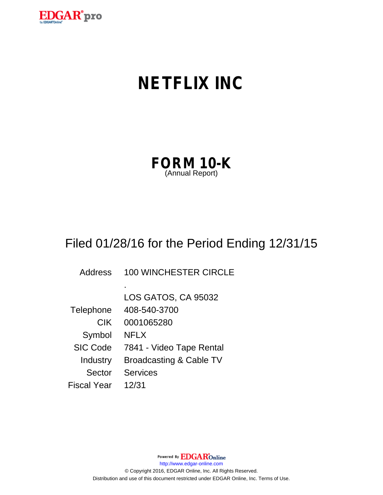

# **NETFLIX INC**

| <b>FORM 10-K</b> |  |  |
|------------------|--|--|
| (Annual Report)  |  |  |

# Filed 01/28/16 for the Period Ending 12/31/15

Address 100 WINCHESTER CIRCLE

LOS GATOS, CA 95032 Telephone 408-540-3700 CIK 0001065280 Symbol NFLX SIC Code 7841 - Video Tape Rental Industry Broadcasting & Cable TV Sector Services Fiscal Year 12/31

.

Powered By **EDGAR**Online

http://www.edgar-online.com © Copyright 2016, EDGAR Online, Inc. All Rights Reserved. Distribution and use of this document restricted under EDGAR Online, Inc. Terms of Use.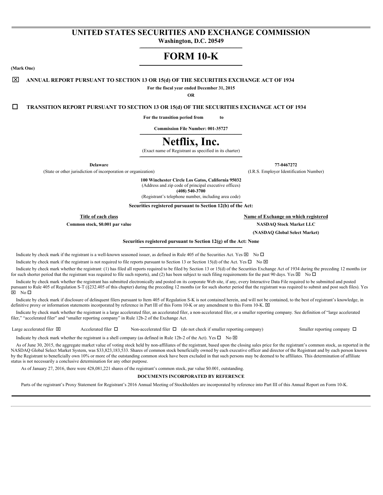#### **UNITED STATES SECURITIES AND EXCHANGE COMMISSION Washington, D.C. 20549**

**FORM 10-K**

## **(Mark One)**

**X ANNUAL REPORT PURSUANT TO SECTION 13 OR 15(d) OF THE SECURITIES EXCHANGE ACT OF 1934** 

**For the fiscal year ended December 31, 2015**

**OR**

**TRANSITION REPORT PURSUANT TO SECTION 13 OR 15(d) OF THE SECURITIES EXCHANGE ACT OF 1934** 

**For the transition period from to** 

**Commission File Number: 001-35727**

**\_\_\_\_\_\_\_\_\_\_\_\_\_\_\_\_\_\_\_\_\_\_\_\_\_\_\_\_\_\_\_\_\_\_\_\_\_\_\_\_\_\_\_\_\_\_\_\_\_\_\_\_\_\_\_\_\_\_\_\_\_\_\_\_\_\_\_\_\_**

 $\mathcal{L}_\text{max} = \frac{1}{2} \sum_{i=1}^{n} \frac{1}{2} \sum_{i=1}^{n} \frac{1}{2} \sum_{i=1}^{n} \frac{1}{2} \sum_{i=1}^{n} \frac{1}{2} \sum_{i=1}^{n} \frac{1}{2} \sum_{i=1}^{n} \frac{1}{2} \sum_{i=1}^{n} \frac{1}{2} \sum_{i=1}^{n} \frac{1}{2} \sum_{i=1}^{n} \frac{1}{2} \sum_{i=1}^{n} \frac{1}{2} \sum_{i=1}^{n} \frac{1}{2} \sum_{i=1}^{n} \frac{1$ 

 $\mathcal{L}_\mathcal{L} = \mathcal{L}_\mathcal{L} = \mathcal{L}_\mathcal{L} = \mathcal{L}_\mathcal{L} = \mathcal{L}_\mathcal{L} = \mathcal{L}_\mathcal{L} = \mathcal{L}_\mathcal{L} = \mathcal{L}_\mathcal{L} = \mathcal{L}_\mathcal{L} = \mathcal{L}_\mathcal{L} = \mathcal{L}_\mathcal{L} = \mathcal{L}_\mathcal{L} = \mathcal{L}_\mathcal{L} = \mathcal{L}_\mathcal{L} = \mathcal{L}_\mathcal{L} = \mathcal{L}_\mathcal{L} = \mathcal{L}_\mathcal{L}$ 



(Exact name of Registrant as specified in its charter)

**Delaware 77-0467272**

(State or other jurisdiction of incorporation or organization) (I.R.S. Employer Identification Number)

**100 Winchester Circle Los Gatos, California 95032** (Address and zip code of principal executive offices) **(408) 540-3700** (Registrant's telephone number, including area code)

**Securities registered pursuant to Section 12(b) of the Act:**

**Securities registered pursuant to Section 12(g) of the Act: None**  $\mathcal{L} = \{ \mathcal{L} = \{ \mathcal{L} = \{ \mathcal{L} = \{ \mathcal{L} = \{ \mathcal{L} = \{ \mathcal{L} = \{ \mathcal{L} = \{ \mathcal{L} = \{ \mathcal{L} = \{ \mathcal{L} = \{ \mathcal{L} = \{ \mathcal{L} = \{ \mathcal{L} = \{ \mathcal{L} = \{ \mathcal{L} = \{ \mathcal{L} = \{ \mathcal{L} = \{ \mathcal{L} = \{ \mathcal{L} = \{ \mathcal{L} = \{ \mathcal{L} = \{ \mathcal{L} = \{ \mathcal{L} = \{ \mathcal{$ 

Indicate by check mark if the registrant is a well-known seasoned issuer, as defined in Rule 405 of the Securities Act. Yes  $\boxtimes$  No  $\Box$  $\Box$ 

Indicate by check mark if the registrant is not required to file reports pursuant to Section 13 or Section 15(d) of the Act. Yes  $\square$  No  $\boxtimes$  $N<sub>0</sub>$   $\overline{\times}$ 

Indicate by check mark whether the registrant: (1) has filed all reports required to be filed by Section 13 or 15(d) of the Securities Exchange Act of 1934 during the preceding 12 months (or for such shorter period that the registrant was required to file such reports), and (2) has been subject to such filing requirements for the past 90 days. Yes  $\boxtimes$  No  $\Box$  $\Box$   $\Box$ 

Indicate by check mark whether the registrant has submitted electronically and posted on its corporate Web site, if any, every Interactive Data File required to be submitted and posted pursuant to Rule 405 of Regulation S-T (§232.405 of this chapter) during the preceding 12 months (or for such shorter period that the registrant was required to submit and post such files). Yes  $\boxtimes$  No  $\square$ No  $\Box$ 

Indicate by check mark if disclosure of delinquent filers pursuant to Item 405 of Regulation S-K is not contained herein, and will not be contained, to the best of registrant's knowledge, in definitive proxy or information statements incorporated by reference in Part III of this Form 10-K or any amendment to this Form 10-K.  $\boxtimes$ 

Indicate by check mark whether the registrant is a large accelerated filer, an accelerated filer, a non-accelerated filer, or a smaller reporting company. See definition of "large accelerated filer," "accelerated filer" and "smaller reporting company" in Rule 12b-2 of the Exchange Act.

Large accelerated filer  $\boxtimes$  Accelerated filer  $\square$  Non-accelerated filer  $\square$  (do not check if smaller reporting company) Smaller reporting company  $\square$ 

Indicate by check mark whether the registrant is a shell company (as defined in Rule 12b-2 of the Act). Yes  $\square$  No  $\boxtimes$  $N<sub>0</sub>$   $\boxtimes$ 

As of June 30, 2015, the aggregate market value of voting stock held by non-affiliates of the registrant, based upon the closing sales price for the registrant's common stock, as reported in the NASDAQ Global Select Market System, was \$33,823,183,533. Shares of common stock beneficially owned by each executive officer and director of the Registrant and by each person known by the Registrant to beneficially own 10% or more of the outstanding common stock have been excluded in that such persons may be deemed to be affiliates. This determination of affiliate status is not necessarily a conclusive determination for any other purpose.

As of January 27, 2016, there were 428,081,221 shares of the registrant's common stock, par value \$0.001, outstanding.

#### **DOCUMENTS INCORPORATED BY REFERENCE**

Parts of the registrant's Proxy Statement for Registrant's 2016 Annual Meeting of Stockholders are incorporated by reference into Part III of this Annual Report on Form 10-K.

**Title of each class Name of Exchange on which registered Common stock, \$0.001 par value NASDAQ Stock Market LLC**

**(NASDAQ Global Select Market)**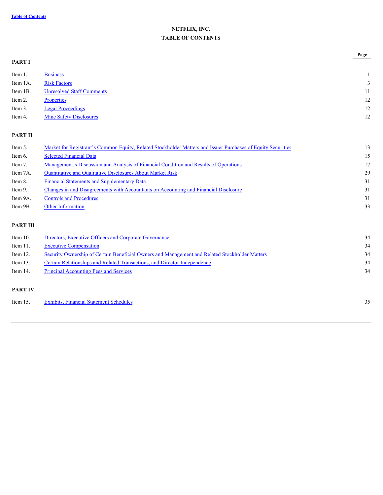### **NETFLIX, INC. TABLE OF CONTENTS**

|                 |                                                                                                              | Page |
|-----------------|--------------------------------------------------------------------------------------------------------------|------|
| <b>PART I</b>   |                                                                                                              |      |
| Item 1.         | <b>Business</b>                                                                                              |      |
| Item 1A.        | <b>Risk Factors</b>                                                                                          | 3    |
| Item 1B.        | <b>Unresolved Staff Comments</b>                                                                             | 11   |
| Item 2.         | Properties                                                                                                   | 12   |
| Item 3.         | <b>Legal Proceedings</b>                                                                                     | 12   |
| Item 4.         | <b>Mine Safety Disclosures</b>                                                                               | 12   |
| <b>PART II</b>  |                                                                                                              |      |
| Item 5.         | Market for Registrant's Common Equity, Related Stockholder Matters and Issuer Purchases of Equity Securities | 13   |
| Item 6.         | <b>Selected Financial Data</b>                                                                               | 15   |
| Item 7.         | Management's Discussion and Analysis of Financial Condition and Results of Operations                        | 17   |
| Item 7A.        | Quantitative and Qualitative Disclosures About Market Risk                                                   | 29   |
| Item 8.         | <b>Financial Statements and Supplementary Data</b>                                                           | 31   |
| Item 9.         | Changes in and Disagreements with Accountants on Accounting and Financial Disclosure                         | 31   |
| Item 9A.        | <b>Controls and Procedures</b>                                                                               | 31   |
| Item 9B.        | <b>Other Information</b>                                                                                     | 33   |
| <b>PART III</b> |                                                                                                              |      |
| Item 10.        | Directors, Executive Officers and Corporate Governance                                                       | 34   |
| Item 11.        | <b>Executive Compensation</b>                                                                                | 34   |
| Item 12.        | Security Ownership of Certain Beneficial Owners and Management and Related Stockholder Matters               | 34   |
| Item 13.        | Certain Relationships and Related Transactions, and Director Independence                                    | 34   |
| Item 14.        | <b>Principal Accounting Fees and Services</b>                                                                | 34   |
| <b>PART IV</b>  |                                                                                                              |      |
| Item 15.        | <b>Exhibits, Financial Statement Schedules</b>                                                               | 35   |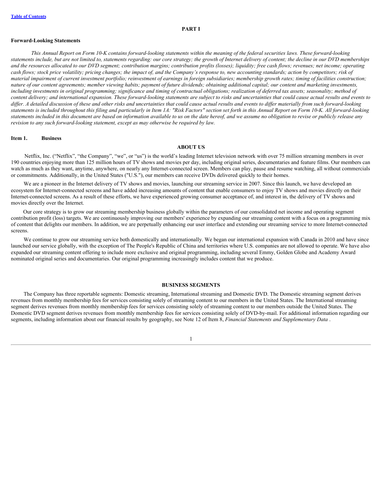#### **PART I**

#### **Forward-Looking Statements**

*This Annual Report on Form 10-K contains forward-looking statements within the meaning of the federal securities laws. These forward-looking statements include, but are not limited to, statements regarding: our core strategy; the growth of Internet delivery of content; the decline in our DVD memberships and the resources allocated to our DVD segment; contribution margins; contribution profits (losses); liquidity; free cash flows; revenues; net income; operating cash flows; stock price volatility; pricing changes; the impact of, and the Company's response to, new accounting standards; action by competitors; risk of material impairment of current investment portfolio; reinvestment of earnings in foreign subsidiaries; membership growth rates; timing of facilities construction; nature of our content agreements; member viewing habits; payment of future dividends; obtaining additional capital; our content and marketing investments, including investments in original programming; significance and timing of contractual obligations; realization of deferred tax assets; seasonality; method of content delivery; and international expansion. These forward-looking statements are subject to risks and uncertainties that could cause actual results and events to differ. A detailed discussion of these and other risks and uncertainties that could cause actual results and events to differ materially from such forward-looking statements is included throughout this filing and particularly in Item 1A: "Risk Factors" section set forth in this Annual Report on Form 10-K. All forward-looking statements included in this document are based on information available to us on the date hereof, and we assume no obligation to revise or publicly release any revision to any such forward-looking statement, except as may otherwise be required by law.*

#### **Item 1. Business**

#### **ABOUT US**

Netflix, Inc. ("Netflix", "the Company", "we", or "us") is the world's leading Internet television network with over 75 million streaming members in over 190 countries enjoying more than 125 million hours of TV shows and movies per day, including original series, documentaries and feature films. Our members can watch as much as they want, anytime, anywhere, on nearly any Internet-connected screen. Members can play, pause and resume watching, all without commercials or commitments. Additionally, in the United States ("U.S."), our members can receive DVDs delivered quickly to their homes.

We are a pioneer in the Internet delivery of TV shows and movies, launching our streaming service in 2007. Since this launch, we have developed an ecosystem for Internet-connected screens and have added increasing amounts of content that enable consumers to enjoy TV shows and movies directly on their Internet-connected screens. As a result of these efforts, we have experienced growing consumer acceptance of, and interest in, the delivery of TV shows and movies directly over the Internet.

Our core strategy is to grow our streaming membership business globally within the parameters of our consolidated net income and operating segment contribution profit (loss) targets. We are continuously improving our members' experience by expanding our streaming content with a focus on a programming mix of content that delights our members. In addition, we are perpetually enhancing our user interface and extending our streaming service to more Internet-connected screens.

We continue to grow our streaming service both domestically and internationally. We began our international expansion with Canada in 2010 and have since launched our service globally, with the exception of The People's Republic of China and territories where U.S. companies are not allowed to operate. We have also expanded our streaming content offering to include more exclusive and original programming, including several Emmy, Golden Globe and Academy Award nominated original series and documentaries. Our original programming increasingly includes content that we produce.

#### **BUSINESS SEGMENTS**

The Company has three reportable segments: Domestic streaming, International streaming and Domestic DVD. The Domestic streaming segment derives revenues from monthly membership fees for services consisting solely of streaming content to our members in the United States. The International streaming segment derives revenues from monthly membership fees for services consisting solely of streaming content to our members outside the United States. The Domestic DVD segment derives revenues from monthly membership fees for services consisting solely of DVD-by-mail. For additional information regarding our segments, including information about our financial results by geography, see Note 12 of Item 8, *Financial Statements and Supplementary Data* .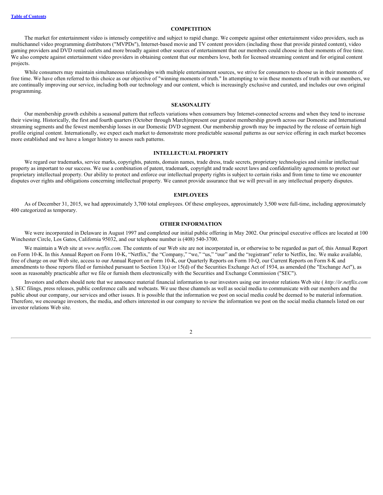#### **COMPETITION**

The market for entertainment video is intensely competitive and subject to rapid change. We compete against other entertainment video providers, such as multichannel video programming distributors ("MVPDs"), Internet-based movie and TV content providers (including those that provide pirated content), video gaming providers and DVD rental outlets and more broadly against other sources of entertainment that our members could choose in their moments of free time. We also compete against entertainment video providers in obtaining content that our members love, both for licensed streaming content and for original content projects.

While consumers may maintain simultaneous relationships with multiple entertainment sources, we strive for consumers to choose us in their moments of free time. We have often referred to this choice as our objective of "winning moments of truth." In attempting to win these moments of truth with our members, we are continually improving our service, including both our technology and our content, which is increasingly exclusive and curated, and includes our own original programming.

#### **SEASONALITY**

Our membership growth exhibits a seasonal pattern that reflects variations when consumers buy Internet-connected screens and when they tend to increase their viewing. Historically, the first and fourth quarters (October through March)represent our greatest membership growth across our Domestic and International streaming segments and the fewest membership losses in our Domestic DVD segment. Our membership growth may be impacted by the release of certain high profile original content. Internationally, we expect each market to demonstrate more predictable seasonal patterns as our service offering in each market becomes more established and we have a longer history to assess such patterns.

#### **INTELLECTUAL PROPERTY**

We regard our trademarks, service marks, copyrights, patents, domain names, trade dress, trade secrets, proprietary technologies and similar intellectual property as important to our success. We use a combination of patent, trademark, copyright and trade secret laws and confidentiality agreements to protect our proprietary intellectual property. Our ability to protect and enforce our intellectual property rights is subject to certain risks and from time to time we encounter disputes over rights and obligations concerning intellectual property. We cannot provide assurance that we will prevail in any intellectual property disputes.

#### **EMPLOYEES**

As of December 31, 2015, we had approximately 3,700 total employees. Of these employees, approximately 3,500 were full-time, including approximately 400 categorized as temporary.

#### **OTHER INFORMATION**

We were incorporated in Delaware in August 1997 and completed our initial public offering in May 2002. Our principal executive offices are located at 100 Winchester Circle, Los Gatos, California 95032, and our telephone number is (408) 540-3700.

We maintain a Web site at www.netflix.com. The contents of our Web site are not incorporated in, or otherwise to be regarded as part of, this Annual Report on Form 10-K. In this Annual Report on Form 10-K, "Netflix," the "Company," "we," "us," "our" and the "registrant" refer to Netflix, Inc. We make available, free of charge on our Web site, access to our Annual Report on Form 10-K, our Quarterly Reports on Form 10-Q, our Current Reports on Form 8-K and amendments to those reports filed or furnished pursuant to Section 13(a) or 15(d) of the Securities Exchange Act of 1934, as amended (the "Exchange Act"), as soon as reasonably practicable after we file or furnish them electronically with the Securities and Exchange Commission ("SEC").

Investors and others should note that we announce material financial information to our investors using our investor relations Web site ( *http://ir.netflix.com* ), SEC filings, press releases, public conference calls and webcasts. We use these channels as well as social media to communicate with our members and the public about our company, our services and other issues. It is possible that the information we post on social media could be deemed to be material information. Therefore, we encourage investors, the media, and others interested in our company to review the information we post on the social media channels listed on our investor relations Web site.

 $\overline{\mathcal{Z}}$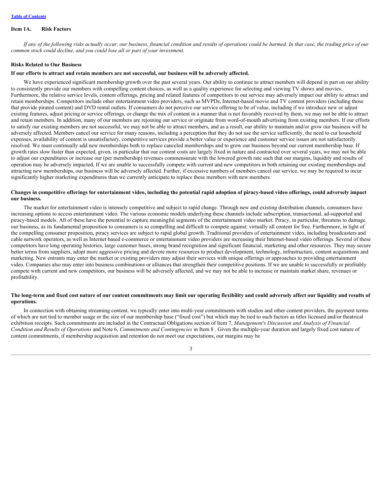#### **Item 1A. Risk Factors**

*If any of the following risks actually occur, our business, financial condition and results of operations could be harmed. In that case, the trading price of our common stock could decline, and you could lose all or part of your investment.*

#### **Risks Related to Our Business**

#### **If our efforts to attract and retain members are not successful, our business will be adversely affected.**

We have experienced significant membership growth over the past several years. Our ability to continue to attract members will depend in part on our ability to consistently provide our members with compelling content choices, as well as a quality experience for selecting and viewing TV shows and movies. Furthermore, the relative service levels, content offerings, pricing and related features of competitors to our service may adversely impact our ability to attract and retain memberships. Competitors include other entertainment video providers, such as MVPDs, Internet-based movie and TV content providers (including those that provide pirated content) and DVD rental outlets. If consumers do not perceive our service offering to be of value, including if we introduce new or adjust existing features, adjust pricing or service offerings, or change the mix of content in a manner that is not favorably received by them, we may not be able to attract and retain members. In addition, many of our members are rejoining our service or originate from word-of-mouth advertising from existing members. If our efforts to satisfy our existing members are not successful, we may not be able to attract members, and as a result, our ability to maintain and/or grow our business will be adversely affected. Members cancel our service for many reasons, including a perception that they do not use the service sufficiently, the need to cut household expenses, availability of content is unsatisfactory, competitive services provide a better value or experience and customer service issues are not satisfactorily resolved. We must continually add new memberships both to replace canceled memberships and to grow our business beyond our current membership base. If growth rates slow faster than expected, given, in particular that our content costs are largely fixed in nature and contracted over several years, we may not be able to adjust our expenditures or increase our (per membership) revenues commensurate with the lowered growth rate such that our margins, liquidity and results of operation may be adversely impacted. If we are unable to successfully compete with current and new competitors in both retaining our existing memberships and attracting new memberships, our business will be adversely affected. Further, if excessive numbers of members cancel our service, we may be required to incur significantly higher marketing expenditures than we currently anticipate to replace these members with new members.

#### **Changes in competitive offerings for entertainment video, including the potential rapid adoption of piracy-based video offerings, could adversely impact our business.**

The market for entertainment video is intensely competitive and subject to rapid change. Through new and existing distribution channels, consumers have increasing options to access entertainment video. The various economic models underlying these channels include subscription, transactional, ad-supported and piracy-based models. All of these have the potential to capture meaningful segments of the entertainment video market. Piracy, in particular, threatens to damage our business, as its fundamental proposition to consumers is so compelling and difficult to compete against: virtually all content for free. Furthermore, in light of the compelling consumer proposition, piracy services are subject to rapid global growth. Traditional providers of entertainment video, including broadcasters and cable network operators, as well as Internet based e-commerce or entertainment video providers are increasing their Internet-based video offerings. Several of these competitors have long operating histories, large customer bases, strong brand recognition and significant financial, marketing and other resources. They may secure better terms from suppliers, adopt more aggressive pricing and devote more resources to product development, technology, infrastructure, content acquisitions and marketing. New entrants may enter the market or existing providers may adjust their services with unique offerings or approaches to providing entertainment video. Companies also may enter into business combinations or alliances that strengthen their competitive positions. If we are unable to successfully or profitably compete with current and new competitors, our business will be adversely affected, and we may not be able to increase or maintain market share, revenues or profitability.

#### **The long-term and fixed cost nature of our content commitments may limit our operating flexibility and could adversely affect our liquidity and results of operations.**

In connection with obtaining streaming content, we typically enter into multi-year commitments with studios and other content providers, the payment terms of which are not tied to member usage or the size of our membership base ("fixed cost") but which may be tied to such factors as titles licensed and/or theatrical exhibition receipts. Such commitments are included in the Contractual Obligations section of Item 7, *Management's Discussion and Analysis of Financial Condition and Results of Operations* and Note 6, *Commitments and Contingencies* in Item 8 *.* Given the multiple-year duration and largely fixed cost nature of content commitments, if membership acquisition and retention do not meet our expectations, our margins may be

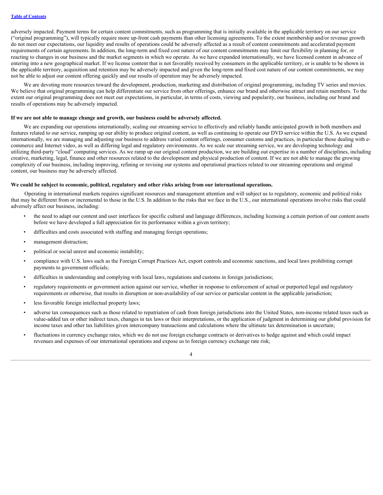adversely impacted. Payment terms for certain content commitments, such as programming that is initially available in the applicable territory on our service ("original programming"), will typically require more up-front cash payments than other licensing agreements. To the extent membership and/or revenue growth do not meet our expectations, our liquidity and results of operations could be adversely affected as a result of content commitments and accelerated payment requirements of certain agreements. In addition, the long-term and fixed cost nature of our content commitments may limit our flexibility in planning for, or reacting to changes in our business and the market segments in which we operate. As we have expanded internationally, we have licensed content in advance of entering into a new geographical market. If we license content that is not favorably received by consumers in the applicable territory, or is unable to be shown in the applicable territory, acquisition and retention may be adversely impacted and given the long-term and fixed cost nature of our content commitments, we may not be able to adjust our content offering quickly and our results of operation may be adversely impacted.

We are devoting more resources toward the development, production, marketing and distribution of original programming, including TV series and movies. We believe that original programming can help differentiate our service from other offerings, enhance our brand and otherwise attract and retain members. To the extent our original programming does not meet our expectations, in particular, in terms of costs, viewing and popularity, our business, including our brand and results of operations may be adversely impacted.

#### **If we are not able to manage change and growth, our business could be adversely affected.**

We are expanding our operations internationally, scaling our streaming service to effectively and reliably handle anticipated growth in both members and features related to our service, ramping up our ability to produce original content, as well as continuing to operate our DVD service within the U.S. As we expand internationally, we are managing and adjusting our business to address varied content offerings, consumer customs and practices, in particular those dealing with ecommerce and Internet video, as well as differing legal and regulatory environments. As we scale our streaming service, we are developing technology and utilizing third-party "cloud" computing services. As we ramp up our original content production, we are building out expertise in a number of disciplines, including creative, marketing, legal, finance and other resources related to the development and physical production of content. If we are not able to manage the growing complexity of our business, including improving, refining or revising our systems and operational practices related to our streaming operations and original content, our business may be adversely affected.

#### **We could be subject to economic, political, regulatory and other risks arising from our international operations.**

Operating in international markets requires significant resources and management attention and will subject us to regulatory, economic and political risks that may be different from or incremental to those in the U.S. In addition to the risks that we face in the U.S., our international operations involve risks that could adversely affect our business, including:

- the need to adapt our content and user interfaces for specific cultural and language differences, including licensing a certain portion of our content assets before we have developed a full appreciation for its performance within a given territory;
- difficulties and costs associated with staffing and managing foreign operations;
- management distraction;
- political or social unrest and economic instability;
- compliance with U.S. laws such as the Foreign Corrupt Practices Act, export controls and economic sanctions, and local laws prohibiting corrupt payments to government officials;
- difficulties in understanding and complying with local laws, regulations and customs in foreign jurisdictions;
- regulatory requirements or government action against our service, whether in response to enforcement of actual or purported legal and regulatory requirements or otherwise, that results in disruption or non-availability of our service or particular content in the applicable jurisdiction;
- less favorable foreign intellectual property laws;
- adverse tax consequences such as those related to repatriation of cash from foreign jurisdictions into the United States, non-income related taxes such as value-added tax or other indirect taxes, changes in tax laws or their interpretations, or the application of judgment in determining our global provision for income taxes and other tax liabilities given intercompany transactions and calculations where the ultimate tax determination is uncertain;
- fluctuations in currency exchange rates, which we do not use foreign exchange contracts or derivatives to hedge against and which could impact revenues and expenses of our international operations and expose us to foreign currency exchange rate risk;

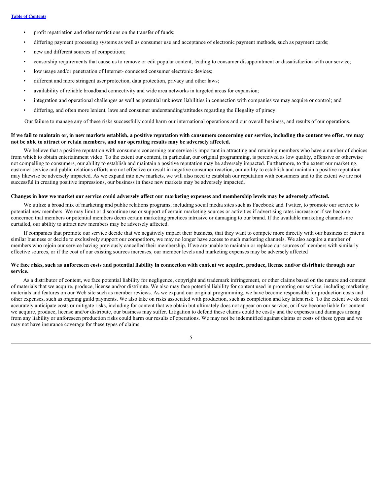- profit repatriation and other restrictions on the transfer of funds;
- differing payment processing systems as well as consumer use and acceptance of electronic payment methods, such as payment cards;
- new and different sources of competition;
- censorship requirements that cause us to remove or edit popular content, leading to consumer disappointment or dissatisfaction with our service;
- low usage and/or penetration of Internet-connected consumer electronic devices;
- different and more stringent user protection, data protection, privacy and other laws;
- availability of reliable broadband connectivity and wide area networks in targeted areas for expansion;
- integration and operational challenges as well as potential unknown liabilities in connection with companies we may acquire or control; and
- differing, and often more lenient, laws and consumer understanding/attitudes regarding the illegality of piracy.

Our failure to manage any of these risks successfully could harm our international operations and our overall business, and results of our operations.

#### **If we fail to maintain or, in new markets establish, a positive reputation with consumers concerning our service, including the content we offer, we may not be able to attract or retain members, and our operating results may be adversely affected.**

We believe that a positive reputation with consumers concerning our service is important in attracting and retaining members who have a number of choices from which to obtain entertainment video. To the extent our content, in particular, our original programming, is perceived as low quality, offensive or otherwise not compelling to consumers, our ability to establish and maintain a positive reputation may be adversely impacted. Furthermore, to the extent our marketing, customer service and public relations efforts are not effective or result in negative consumer reaction, our ability to establish and maintain a positive reputation may likewise be adversely impacted. As we expand into new markets, we will also need to establish our reputation with consumers and to the extent we are not successful in creating positive impressions, our business in these new markets may be adversely impacted.

#### **Changes in how we market our service could adversely affect our marketing expenses and membership levels may be adversely affected.**

We utilize a broad mix of marketing and public relations programs, including social media sites such as Facebook and Twitter, to promote our service to potential new members. We may limit or discontinue use or support of certain marketing sources or activities if advertising rates increase or if we become concerned that members or potential members deem certain marketing practices intrusive or damaging to our brand. If the available marketing channels are curtailed, our ability to attract new members may be adversely affected.

If companies that promote our service decide that we negatively impact their business, that they want to compete more directly with our business or enter a similar business or decide to exclusively support our competitors, we may no longer have access to such marketing channels. We also acquire a number of members who rejoin our service having previously cancelled their membership. If we are unable to maintain or replace our sources of members with similarly effective sources, or if the cost of our existing sources increases, our member levels and marketing expenses may be adversely affected

#### **We face risks, such as unforeseen costs and potential liability in connection with content we acquire, produce, license and/or distribute through our service.**

As a distributor of content, we face potential liability for negligence, copyright and trademark infringement, or other claims based on the nature and content of materials that we acquire, produce, license and/or distribute. We also may face potential liability for content used in promoting our service, including marketing materials and features on our Web site such as member reviews. As we expand our original programming, we have become responsible for production costs and other expenses, such as ongoing guild payments. We also take on risks associated with production, such as completion and key talent risk. To the extent we do not accurately anticipate costs or mitigate risks, including for content that we obtain but ultimately does not appear on our service, or if we become liable for content we acquire, produce, license and/or distribute, our business may suffer. Litigation to defend these claims could be costly and the expenses and damages arising from any liability or unforeseen production risks could harm our results of operations. We may not be indemnified against claims or costs of these types and we may not have insurance coverage for these types of claims.

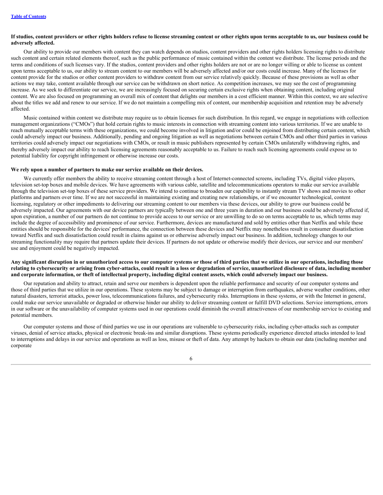#### **If studios, content providers or other rights holders refuse to license streaming content or other rights upon terms acceptable to us, our business could be adversely affected.**

Our ability to provide our members with content they can watch depends on studios, content providers and other rights holders licensing rights to distribute such content and certain related elements thereof, such as the public performance of music contained within the content we distribute. The license periods and the terms and conditions of such licenses vary. If the studios, content providers and other rights holders are not or are no longer willing or able to license us content upon terms acceptable to us, our ability to stream content to our members will be adversely affected and/or our costs could increase. Many of the licenses for content provide for the studios or other content providers to withdraw content from our service relatively quickly. Because of these provisions as well as other actions we may take, content available through our service can be withdrawn on short notice. As competition increases, we may see the cost of programming increase. As we seek to differentiate our service, we are increasingly focused on securing certain exclusive rights when obtaining content, including original content. We are also focused on programming an overall mix of content that delights our members in a cost efficient manner. Within this context, we are selective about the titles we add and renew to our service. If we do not maintain a compelling mix of content, our membership acquisition and retention may be adversely affected.

Music contained within content we distribute may require us to obtain licenses for such distribution. In this regard, we engage in negotiations with collection management organizations ("CMOs") that hold certain rights to music interests in connection with streaming content into various territories. If we are unable to reach mutually acceptable terms with these organizations, we could become involved in litigation and/or could be enjoined from distributing certain content, which could adversely impact our business. Additionally, pending and ongoing litigation as well as negotiations between certain CMOs and other third parties in various territories could adversely impact our negotiations with CMOs, or result in music publishers represented by certain CMOs unilaterally withdrawing rights, and thereby adversely impact our ability to reach licensing agreements reasonably acceptable to us. Failure to reach such licensing agreements could expose us to potential liability for copyright infringement or otherwise increase our costs.

#### **We rely upon a number of partners to make our service available on their devices.**

We currently offer members the ability to receive streaming content through a host of Internet-connected screens, including TVs, digital video players, television set-top boxes and mobile devices. We have agreements with various cable, satellite and telecommunications operators to make our service available through the television set-top boxes of these service providers. We intend to continue to broaden our capability to instantly stream TV shows and movies to other platforms and partners over time. If we are not successful in maintaining existing and creating new relationships, or if we encounter technological, content licensing, regulatory or other impediments to delivering our streaming content to our members via these devices, our ability to grow our business could be adversely impacted. Our agreements with our device partners are typically between one and three years in duration and our business could be adversely affected if, upon expiration, a number of our partners do not continue to provide access to our service or are unwilling to do so on terms acceptable to us, which terms may include the degree of accessibility and prominence of our service. Furthermore, devices are manufactured and sold by entities other than Netflix and while these entities should be responsible for the devices' performance, the connection between these devices and Netflix may nonetheless result in consumer dissatisfaction toward Netflix and such dissatisfaction could result in claims against us or otherwise adversely impact our business. In addition, technology changes to our streaming functionality may require that partners update their devices. If partners do not update or otherwise modify their devices, our service and our members' use and enjoyment could be negatively impacted.

#### **Any significant disruption in or unauthorized access to our computer systems or those of third parties that we utilize in our operations, including those relating to cybersecurity or arising from cyber-attacks, could result in a loss or degradation of service, unauthorized disclosure of data, including member and corporate information, or theft of intellectual property, including digital content assets, which could adversely impact our business.**

Our reputation and ability to attract, retain and serve our members is dependent upon the reliable performance and security of our computer systems and those of third parties that we utilize in our operations. These systems may be subject to damage or interruption from earthquakes, adverse weather conditions, other natural disasters, terrorist attacks, power loss, telecommunications failures, and cybersecurity risks. Interruptions in these systems, or with the Internet in general, could make our service unavailable or degraded or otherwise hinder our ability to deliver streaming content or fulfill DVD selections. Service interruptions, errors in our software or the unavailability of computer systems used in our operations could diminish the overall attractiveness of our membership service to existing and potential members.

Our computer systems and those of third parties we use in our operations are vulnerable to cybersecurity risks, including cyber-attacks such as computer viruses, denial of service attacks, physical or electronic break-ins and similar disruptions. These systems periodically experience directed attacks intended to lead to interruptions and delays in our service and operations as well as loss, misuse or theft of data. Any attempt by hackers to obtain our data (including member and corporate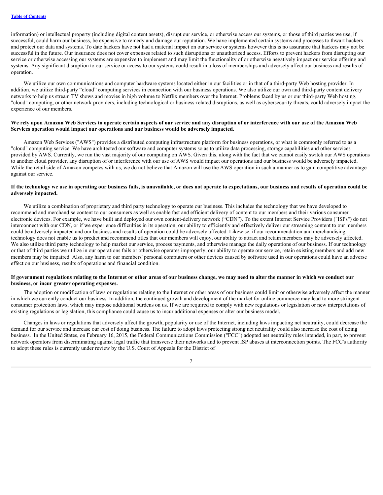information) or intellectual property (including digital content assets), disrupt our service, or otherwise access our systems, or those of third parties we use, if successful, could harm our business, be expensive to remedy and damage our reputation. We have implemented certain systems and processes to thwart hackers and protect our data and systems. To date hackers have not had a material impact on our service or systems however this is no assurance that hackers may not be successful in the future. Our insurance does not cover expenses related to such disruptions or unauthorized access. Efforts to prevent hackers from disrupting our service or otherwise accessing our systems are expensive to implement and may limit the functionality of or otherwise negatively impact our service offering and systems. Any significant disruption to our service or access to our systems could result in a loss of memberships and adversely affect our business and results of operation.

We utilize our own communications and computer hardware systems located either in our facilities or in that of a third-party Web hosting provider. In addition, we utilize third-party "cloud" computing services in connection with our business operations. We also utilize our own and third-party content delivery networks to help us stream TV shows and movies in high volume to Netflix members over the Internet. Problems faced by us or our third-party Web hosting, "cloud" computing, or other network providers, including technological or business-related disruptions, as well as cybersecurity threats, could adversely impact the experience of our members.

#### **We rely upon Amazon Web Services to operate certain aspects of our service and any disruption of or interference with our use of the Amazon Web Services operation would impact our operations and our business would be adversely impacted.**

Amazon Web Services ("AWS") provides a distributed computing infrastructure platform for business operations, or what is commonly referred to as a "cloud" computing service. We have architected our software and computer systems so as to utilize data processing, storage capabilities and other services provided by AWS. Currently, we run the vast majority of our computing on AWS. Given this, along with the fact that we cannot easily switch our AWS operations to another cloud provider, any disruption of or interference with our use of AWS would impact our operations and our business would be adversely impacted. While the retail side of Amazon competes with us, we do not believe that Amazon will use the AWS operation in such a manner as to gain competitive advantage against our service.

#### **If the technology we use in operating our business fails, is unavailable, or does not operate to expectations, our business and results of operation could be adversely impacted.**

We utilize a combination of proprietary and third party technology to operate our business. This includes the technology that we have developed to recommend and merchandise content to our consumers as well as enable fast and efficient delivery of content to our members and their various consumer electronic devices. For example, we have built and deployed our own content-delivery network ("CDN"). To the extent Internet Service Providers ("ISPs") do not interconnect with our CDN, or if we experience difficulties in its operation, our ability to efficiently and effectively deliver our streaming content to our members could be adversely impacted and our business and results of operation could be adversely affected. Likewise, if our recommendation and merchandising technology does not enable us to predict and recommend titles that our members will enjoy, our ability to attract and retain members may be adversely affected. We also utilize third party technology to help market our service, process payments, and otherwise manage the daily operations of our business. If our technology or that of third parties we utilize in our operations fails or otherwise operates improperly, our ability to operate our service, retain existing members and add new members may be impaired. Also, any harm to our members' personal computers or other devices caused by software used in our operations could have an adverse effect on our business, results of operations and financial condition.

#### **If government regulations relating to the Internet or other areas of our business change, we may need to alter the manner in which we conduct our business, or incur greater operating expenses.**

The adoption or modification of laws or regulations relating to the Internet or other areas of our business could limit or otherwise adversely affect the manner in which we currently conduct our business. In addition, the continued growth and development of the market for online commerce may lead to more stringent consumer protection laws, which may impose additional burdens on us. If we are required to comply with new regulations or legislation or new interpretations of existing regulations or legislation, this compliance could cause us to incur additional expenses or alter our business model.

Changes in laws or regulations that adversely affect the growth, popularity or use of the Internet, including laws impacting net neutrality, could decrease the demand for our service and increase our cost of doing business. The failure to adopt laws protecting strong net neutrality could also increase the cost of doing business. In the United States, on February 16, 2015, the Federal Communications Commission ("FCC") adopted net neutrality rules intended, in part, to prevent network operators from discriminating against legal traffic that transverse their networks and to prevent ISP abuses at interconnection points. The FCC's authority to adopt these rules is currently under review by the U.S. Court of Appeals for the District of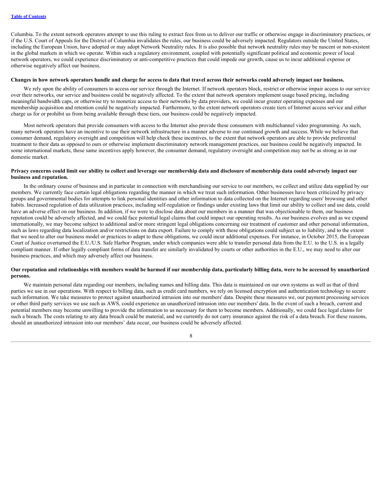Columbia. To the extent network operators attempt to use this ruling to extract fees from us to deliver our traffic or otherwise engage in discriminatory practices, or if the U.S. Court of Appeals for the District of Columbia invalidates the rules, our business could be adversely impacted. Regulators outside the United States, including the European Union, have adopted or may adopt Network Neutrality rules. It is also possible that network neutrality rules may be nascent or non-existent in the global markets in which we operate. Within such a regulatory environment, coupled with potentially significant political and economic power of local network operators, we could experience discriminatory or anti-competitive practices that could impede our growth, cause us to incur additional expense or otherwise negatively affect our business.

#### **Changes in how network operators handle and charge for access to data that travel across their networks could adversely impact our business.**

We rely upon the ability of consumers to access our service through the Internet. If network operators block, restrict or otherwise impair access to our service over their networks, our service and business could be negatively affected. To the extent that network operators implement usage based pricing, including meaningful bandwidth caps, or otherwise try to monetize access to their networks by data providers, we could incur greater operating expenses and our membership acquisition and retention could be negatively impacted. Furthermore, to the extent network operators create tiers of Internet access service and either charge us for or prohibit us from being available through these tiers, our business could be negatively impacted.

Most network operators that provide consumers with access to the Internet also provide these consumers with multichannel video programming. As such, many network operators have an incentive to use their network infrastructure in a manner adverse to our continued growth and success. While we believe that consumer demand, regulatory oversight and competition will help check these incentives, to the extent that network operators are able to provide preferential treatment to their data as opposed to ours or otherwise implement discriminatory network management practices, our business could be negatively impacted. In some international markets, these same incentives apply however, the consumer demand, regulatory oversight and competition may not be as strong as in our domestic market.

#### **Privacy concerns could limit our ability to collect and leverage our membership data and disclosure of membership data could adversely impact our business and reputation.**

In the ordinary course of business and in particular in connection with merchandising our service to our members, we collect and utilize data supplied by our members. We currently face certain legal obligations regarding the manner in which we treat such information. Other businesses have been criticized by privacy groups and governmental bodies for attempts to link personal identities and other information to data collected on the Internet regarding users' browsing and other habits. Increased regulation of data utilization practices, including self-regulation or findings under existing laws that limit our ability to collect and use data, could have an adverse effect on our business. In addition, if we were to disclose data about our members in a manner that was objectionable to them, our business reputation could be adversely affected, and we could face potential legal claims that could impact our operating results. As our business evolves and as we expand internationally, we may become subject to additional and/or more stringent legal obligations concerning our treatment of customer and other personal information, such as laws regarding data localization and/or restrictions on data export. Failure to comply with these obligations could subject us to liability, and to the extent that we need to alter our business model or practices to adapt to these obligations, we could incur additional expenses. For instance, in October 2015, the European Court of Justice overturned the E.U./U.S. Safe Harbor Program, under which companies were able to transfer personal data from the E.U. to the U.S. in a legally compliant manner. If other legally compliant forms of data transfer are similarly invalidated by courts or other authorities in the E.U., we may need to alter our business practices, and which may adversely affect our business.

#### **Our reputation and relationships with members would be harmed if our membership data, particularly billing data, were to be accessed by unauthorized persons.**

We maintain personal data regarding our members, including names and billing data. This data is maintained on our own systems as well as that of third parties we use in our operations. With respect to billing data, such as credit card numbers, we rely on licensed encryption and authentication technology to secure such information. We take measures to protect against unauthorized intrusion into our members' data. Despite these measures we, our payment processing services or other third party services we use such as AWS, could experience an unauthorized intrusion into our members' data. In the event of such a breach, current and potential members may become unwilling to provide the information to us necessary for them to become members. Additionally, we could face legal claims for such a breach. The costs relating to any data breach could be material, and we currently do not carry insurance against the risk of a data breach. For these reasons, should an unauthorized intrusion into our members' data occur, our business could be adversely affected.

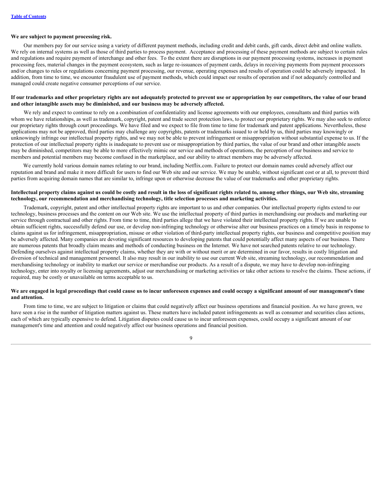#### **We are subject to payment processing risk.**

Our members pay for our service using a variety of different payment methods, including credit and debit cards, gift cards, direct debit and online wallets. We rely on internal systems as well as those of third parties to process payment. Acceptance and processing of these payment methods are subject to certain rules and regulations and require payment of interchange and other fees. To the extent there are disruptions in our payment processing systems, increases in payment processing fees, material changes in the payment ecosystem, such as large re-issuances of payment cards, delays in receiving payments from payment processors and/or changes to rules or regulations concerning payment processing, our revenue, operating expenses and results of operation could be adversely impacted. In addition, from time to time, we encounter fraudulent use of payment methods, which could impact our results of operation and if not adequately controlled and managed could create negative consumer perceptions of our service.

#### **If our trademarks and other proprietary rights are not adequately protected to prevent use or appropriation by our competitors, the value of our brand and other intangible assets may be diminished, and our business may be adversely affected.**

We rely and expect to continue to rely on a combination of confidentiality and license agreements with our employees, consultants and third parties with whom we have relationships, as well as trademark, copyright, patent and trade secret protection laws, to protect our proprietary rights. We may also seek to enforce our proprietary rights through court proceedings. We have filed and we expect to file from time to time for trademark and patent applications. Nevertheless, these applications may not be approved, third parties may challenge any copyrights, patents or trademarks issued to or held by us, third parties may knowingly or unknowingly infringe our intellectual property rights, and we may not be able to prevent infringement or misappropriation without substantial expense to us. If the protection of our intellectual property rights is inadequate to prevent use or misappropriation by third parties, the value of our brand and other intangible assets may be diminished, competitors may be able to more effectively mimic our service and methods of operations, the perception of our business and service to members and potential members may become confused in the marketplace, and our ability to attract members may be adversely affected.

We currently hold various domain names relating to our brand, including Netflix.com. Failure to protect our domain names could adversely affect our reputation and brand and make it more difficult for users to find our Web site and our service. We may be unable, without significant cost or at all, to prevent third parties from acquiring domain names that are similar to, infringe upon or otherwise decrease the value of our trademarks and other proprietary rights.

#### **Intellectual property claims against us could be costly and result in the loss of significant rights related to, among other things, our Web site, streaming technology, our recommendation and merchandising technology, title selection processes and marketing activities.**

Trademark, copyright, patent and other intellectual property rights are important to us and other companies. Our intellectual property rights extend to our technology, business processes and the content on our Web site. We use the intellectual property of third parties in merchandising our products and marketing our service through contractual and other rights. From time to time, third parties allege that we have violated their intellectual property rights. If we are unable to obtain sufficient rights, successfully defend our use, or develop non-infringing technology or otherwise alter our business practices on a timely basis in response to claims against us for infringement, misappropriation, misuse or other violation of third-party intellectual property rights, our business and competitive position may be adversely affected. Many companies are devoting significant resources to developing patents that could potentially affect many aspects of our business. There are numerous patents that broadly claim means and methods of conducting business on the Internet. We have not searched patents relative to our technology. Defending ourselves against intellectual property claims, whether they are with or without merit or are determined in our favor, results in costly litigation and diversion of technical and management personnel. It also may result in our inability to use our current Web site, streaming technology, our recommendation and merchandising technology or inability to market our service or merchandise our products. As a result of a dispute, we may have to develop non-infringing technology, enter into royalty or licensing agreements, adjust our merchandising or marketing activities or take other actions to resolve the claims. These actions, if required, may be costly or unavailable on terms acceptable to us.

#### **We are engaged in legal proceedings that could cause us to incur unforeseen expenses and could occupy a significant amount of our management's time and attention.**

From time to time, we are subject to litigation or claims that could negatively affect our business operations and financial position. As we have grown, we have seen a rise in the number of litigation matters against us. These matters have included patent infringements as well as consumer and securities class actions, each of which are typically expensive to defend. Litigation disputes could cause us to incur unforeseen expenses, could occupy a significant amount of our management's time and attention and could negatively affect our business operations and financial position.

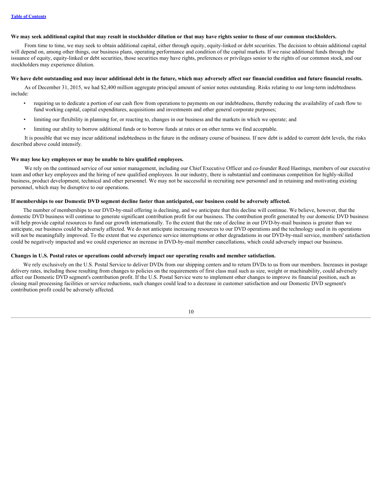#### **We may seek additional capital that may result in stockholder dilution or that may have rights senior to those of our common stockholders.**

From time to time, we may seek to obtain additional capital, either through equity, equity-linked or debt securities. The decision to obtain additional capital will depend on, among other things, our business plans, operating performance and condition of the capital markets. If we raise additional funds through the issuance of equity, equity-linked or debt securities, those securities may have rights, preferences or privileges senior to the rights of our common stock, and our stockholders may experience dilution.

#### **We have debt outstanding and may incur additional debt in the future, which may adversely affect our financial condition and future financial results.**

As of December 31, 2015, we had \$2,400 million aggregate principal amount of senior notes outstanding. Risks relating to our long-term indebtedness include:

- requiring us to dedicate a portion of our cash flow from operations to payments on our indebtedness, thereby reducing the availability of cash flow to fund working capital, capital expenditures, acquisitions and investments and other general corporate purposes;
- limiting our flexibility in planning for, or reacting to, changes in our business and the markets in which we operate; and
- limiting our ability to borrow additional funds or to borrow funds at rates or on other terms we find acceptable.

It is possible that we may incur additional indebtedness in the future in the ordinary course of business. If new debt is added to current debt levels, the risks described above could intensify.

#### **We may lose key employees or may be unable to hire qualified employees.**

We rely on the continued service of our senior management, including our Chief Executive Officer and co-founder Reed Hastings, members of our executive team and other key employees and the hiring of new qualified employees. In our industry, there is substantial and continuous competition for highly-skilled business, product development, technical and other personnel. We may not be successful in recruiting new personnel and in retaining and motivating existing personnel, which may be disruptive to our operations.

#### **If memberships to our Domestic DVD segment decline faster than anticipated, our business could be adversely affected.**

The number of memberships to our DVD-by-mail offering is declining, and we anticipate that this decline will continue. We believe, however, that the domestic DVD business will continue to generate significant contribution profit for our business. The contribution profit generated by our domestic DVD business will help provide capital resources to fund our growth internationally. To the extent that the rate of decline in our DVD-by-mail business is greater than we anticipate, our business could be adversely affected. We do not anticipate increasing resources to our DVD operations and the technology used in its operations will not be meaningfully improved. To the extent that we experience service interruptions or other degradations in our DVD-by-mail service, members' satisfaction could be negatively impacted and we could experience an increase in DVD-by-mail member cancellations, which could adversely impact our business.

#### **Changes in U.S. Postal rates or operations could adversely impact our operating results and member satisfaction.**

We rely exclusively on the U.S. Postal Service to deliver DVDs from our shipping centers and to return DVDs to us from our members. Increases in postage delivery rates, including those resulting from changes to policies on the requirements of first class mail such as size, weight or machinability, could adversely affect our Domestic DVD segment's contribution profit. If the U.S. Postal Service were to implement other changes to improve its financial position, such as closing mail processing facilities or service reductions, such changes could lead to a decrease in customer satisfaction and our Domestic DVD segment's contribution profit could be adversely affected.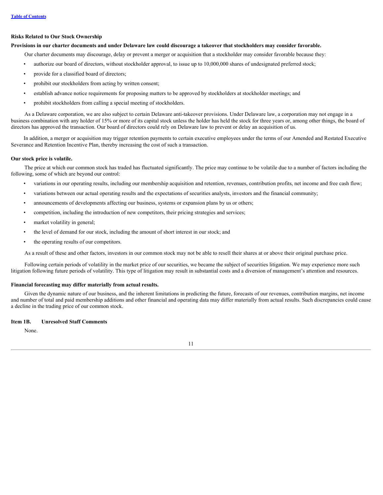#### **Risks Related to Our Stock Ownership**

#### **Provisions in our charter documents and under Delaware law could discourage a takeover that stockholders may consider favorable.**

Our charter documents may discourage, delay or prevent a merger or acquisition that a stockholder may consider favorable because they:

- authorize our board of directors, without stockholder approval, to issue up to 10,000,000 shares of undesignated preferred stock;
- provide for a classified board of directors;
- prohibit our stockholders from acting by written consent;
- establish advance notice requirements for proposing matters to be approved by stockholders at stockholder meetings; and
- prohibit stockholders from calling a special meeting of stockholders.

As a Delaware corporation, we are also subject to certain Delaware anti-takeover provisions. Under Delaware law, a corporation may not engage in a business combination with any holder of 15% or more of its capital stock unless the holder has held the stock for three years or, among other things, the board of directors has approved the transaction. Our board of directors could rely on Delaware law to prevent or delay an acquisition of us.

In addition, a merger or acquisition may trigger retention payments to certain executive employees under the terms of our Amended and Restated Executive Severance and Retention Incentive Plan, thereby increasing the cost of such a transaction.

#### **Our stock price is volatile.**

The price at which our common stock has traded has fluctuated significantly. The price may continue to be volatile due to a number of factors including the following, some of which are beyond our control:

- variations in our operating results, including our membership acquisition and retention, revenues, contribution profits, net income and free cash flow;
- variations between our actual operating results and the expectations of securities analysts, investors and the financial community;
- announcements of developments affecting our business, systems or expansion plans by us or others;
- competition, including the introduction of new competitors, their pricing strategies and services;
- market volatility in general;
- the level of demand for our stock, including the amount of short interest in our stock; and
- the operating results of our competitors.

As a result of these and other factors, investors in our common stock may not be able to resell their shares at or above their original purchase price.

Following certain periods of volatility in the market price of our securities, we became the subject of securities litigation. We may experience more such litigation following future periods of volatility. This type of litigation may result in substantial costs and a diversion of management's attention and resources.

#### **Financial forecasting may differ materially from actual results.**

Given the dynamic nature of our business, and the inherent limitations in predicting the future, forecasts of our revenues, contribution margins, net income and number of total and paid membership additions and other financial and operating data may differ materially from actual results. Such discrepancies could cause a decline in the trading price of our common stock.

#### **Item 1B. Unresolved Staff Comments**

None.

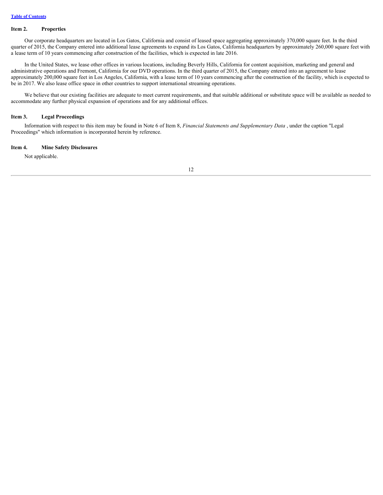#### **Item 2. Properties**

Our corporate headquarters are located in Los Gatos, California and consist of leased space aggregating approximately 370,000 square feet. In the third quarter of 2015, the Company entered into additional lease agreements to expand its Los Gatos, California headquarters by approximately 260,000 square feet with a lease term of 10 years commencing after construction of the facilities, which is expected in late 2016.

In the United States, we lease other offices in various locations, including Beverly Hills, California for content acquisition, marketing and general and administrative operations and Fremont, California for our DVD operations. In the third quarter of 2015, the Company entered into an agreement to lease approximately 200,000 square feet in Los Angeles, California, with a lease term of 10 years commencing after the construction of the facility, which is expected to be in 2017. We also lease office space in other countries to support international streaming operations.

We believe that our existing facilities are adequate to meet current requirements, and that suitable additional or substitute space will be available as needed to accommodate any further physical expansion of operations and for any additional offices.

#### **Item 3. Legal Proceedings**

Information with respect to this item may be found in Note 6 of Item 8, *Financial Statements and Supplementary Data* , under the caption "Legal Proceedings" which information is incorporated herein by reference.

#### **Item 4. Mine Safety Disclosures**

Not applicable.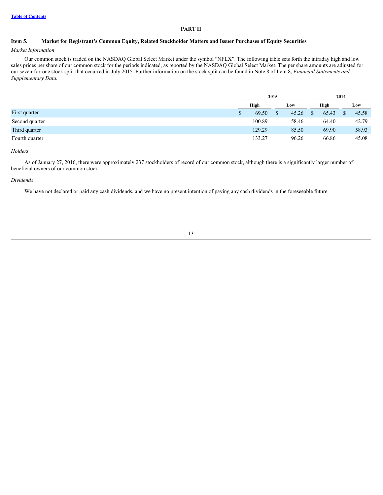#### **PART II**

#### **Item 5. Market for Registrant's Common Equity, Related Stockholder Matters and Issuer Purchases of Equity Securities**

#### *Market Information*

Our common stock is traded on the NASDAQ Global Select Market under the symbol "NFLX". The following table sets forth the intraday high and low sales prices per share of our common stock for the periods indicated, as reported by the NASDAQ Global Select Market. The per share amounts are adjusted for our seven-for-one stock split that occurred in July 2015. Further information on the stock split can be found in Note 8 of Item 8, *Financial Statements and Supplementary Data.*

|                |        | 2015 |       |       | 2014 |       |
|----------------|--------|------|-------|-------|------|-------|
|                | High   |      | Low   | High  |      | Low   |
| First quarter  | 69.50  |      | 45.26 | 65.43 |      | 45.58 |
| Second quarter | 100.89 |      | 58.46 | 64.40 |      | 42.79 |
| Third quarter  | 129.29 |      | 85.50 | 69.90 |      | 58.93 |
| Fourth quarter | 133.27 |      | 96.26 | 66.86 |      | 45.08 |

#### *Holders*

As of January 27, 2016, there were approximately 237 stockholders of record of our common stock, although there is a significantly larger number of beneficial owners of our common stock.

#### *Dividends*

We have not declared or paid any cash dividends, and we have no present intention of paying any cash dividends in the foreseeable future.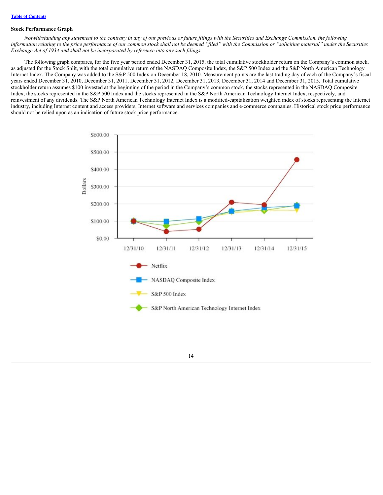#### **Stock Performance Graph**

*Notwithstanding any statement to the contrary in any of our previous or future filings with the Securities and Exchange Commission, the following information relating to the price performance of our common stock shall not be deemed "filed" with the Commission or "soliciting material" under the Securities Exchange Act of 1934 and shall not be incorporated by reference into any such filings.*

The following graph compares, for the five year period ended December 31, 2015, the total cumulative stockholder return on the Company's common stock, as adjusted for the Stock Split, with the total cumulative return of the NASDAQ Composite Index, the S&P 500 Index and the S&P North American Technology Internet Index. The Company was added to the S&P 500 Index on December 18, 2010. Measurement points are the last trading day of each of the Company's fiscal years ended December 31, 2010, December 31, 2011, December 31, 2012, December 31, 2013, December 31, 2014 and December 31, 2015. Total cumulative stockholder return assumes \$100 invested at the beginning of the period in the Company's common stock, the stocks represented in the NASDAQ Composite Index, the stocks represented in the S&P 500 Index and the stocks represented in the S&P North American Technology Internet Index, respectively, and reinvestment of any dividends. The S&P North American Technology Internet Index is a modified-capitalization weighted index of stocks representing the Internet industry, including Internet content and access providers, Internet software and services companies and e-commerce companies. Historical stock price performance should not be relied upon as an indication of future stock price performance.

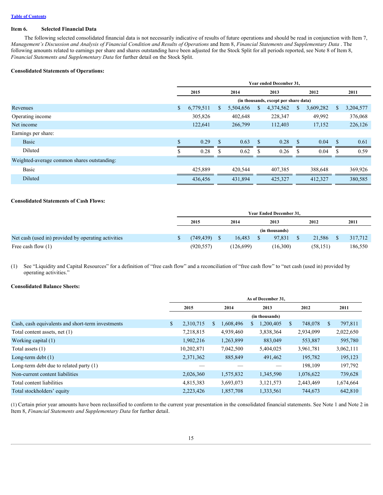#### **Item 6. Selected Financial Data**

The following selected consolidated financial data is not necessarily indicative of results of future operations and should be read in conjunction with Item 7, *Management's Discussion and Analysis of Financial Condition and Results of Operations* and Item 8, *Financial Statements and Supplementary Data* . The following amounts related to earnings per share and shares outstanding have been adjusted for the Stock Split for all periods reported, see Note 8 of Item 8, *Financial Statements and Supplementary Data* for further detail on the Stock Split.

#### **Consolidated Statements of Operations:**

|                                             | Year ended December 31, |           |  |           |                                       |           |    |           |               |           |  |
|---------------------------------------------|-------------------------|-----------|--|-----------|---------------------------------------|-----------|----|-----------|---------------|-----------|--|
|                                             |                         | 2015      |  | 2014      |                                       | 2013      |    | 2012      |               | 2011      |  |
|                                             |                         |           |  |           | (in thousands, except per share data) |           |    |           |               |           |  |
| Revenues                                    | <sup>\$</sup>           | 6,779,511 |  | 5,504,656 |                                       | 4,374,562 | -S | 3,609,282 |               | 3,204,577 |  |
| Operating income                            |                         | 305,826   |  | 402,648   |                                       | 228,347   |    | 49,992    |               | 376,068   |  |
| Net income                                  |                         | 122,641   |  | 266,799   |                                       | 112,403   |    | 17,152    |               | 226,126   |  |
| Earnings per share:                         |                         |           |  |           |                                       |           |    |           |               |           |  |
| <b>Basic</b>                                |                         | 0.29      |  | 0.63      |                                       | 0.28      |    | 0.04      | $\mathcal{S}$ | 0.61      |  |
| Diluted                                     |                         | 0.28      |  | 0.62      |                                       | 0.26      |    | 0.04      |               | 0.59      |  |
| Weighted-average common shares outstanding: |                         |           |  |           |                                       |           |    |           |               |           |  |
| Basic                                       |                         | 425,889   |  | 420,544   |                                       | 407,385   |    | 388,648   |               | 369,926   |  |
| Diluted                                     |                         | 436,456   |  | 431,894   |                                       | 425,327   |    | 412,327   |               | 380,585   |  |

#### **Consolidated Statements of Cash Flows:**

|                                                     |            |            | <b>Year Ended December 31,</b> |           |         |
|-----------------------------------------------------|------------|------------|--------------------------------|-----------|---------|
|                                                     | 2015       | 2014       | 2013                           | 2012      | 2011    |
|                                                     |            |            | (in thousands)                 |           |         |
| Net cash (used in) provided by operating activities | (749, 439) | 16,483     | 97,831                         | 21,586    | 317,712 |
| Free cash flow $(1)$                                | (920, 557) | (126, 699) | (16,300)                       | (58, 151) | 186,550 |

(1) See "Liquidity and Capital Resources" for a definition of "free cash flow" and a reconciliation of "free cash flow" to "net cash (used in) provided by operating activities."

#### **Consolidated Balance Sheets:**

|                                                   |            |           | As of December 31, |           |                 |
|---------------------------------------------------|------------|-----------|--------------------|-----------|-----------------|
|                                                   | 2015       | 2014      | 2013               | 2012      | 2011            |
|                                                   |            |           | (in thousands)     |           |                 |
| Cash, cash equivalents and short-term investments | 2,310,715  | 1,608,496 | 1,200,405          | 748,078   | 797,811<br>- 55 |
| Total content assets, net (1)                     | 7,218,815  | 4,939,460 | 3,838,364          | 2,934,099 | 2,022,650       |
| Working capital $(1)$                             | 1,902,216  | 1,263,899 | 883,049            | 553,887   | 595,780         |
| Total assets (1)                                  | 10,202,871 | 7,042,500 | 5,404,025          | 3,961,781 | 3,062,111       |
| Long-term debt $(1)$                              | 2,371,362  | 885,849   | 491,462            | 195,782   | 195,123         |
| Long-term debt due to related party $(1)$         |            |           |                    | 198,109   | 197,792         |
| Non-current content liabilities                   | 2,026,360  | 1,575,832 | 1,345,590          | 1,076,622 | 739,628         |
| Total content liabilities                         | 4,815,383  | 3,693,073 | 3,121,573          | 2,443,469 | 1,674,664       |
| Total stockholders' equity                        | 2,223,426  | 1,857,708 | 1,333,561          | 744,673   | 642,810         |

(1) Certain prior year amounts have been reclassified to conform to the current year presentation in the consolidated financial statements. See Note 1 and Note 2 in Item 8, *Financial Statements and Supplementary Data* for further detail.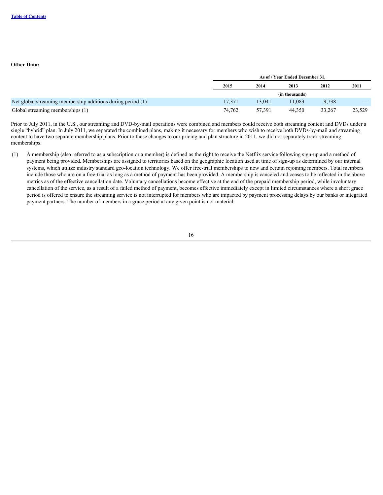#### **Other Data:**

|                                                             |        |                              | As of / Year Ended December 31, |        |                          |  |
|-------------------------------------------------------------|--------|------------------------------|---------------------------------|--------|--------------------------|--|
|                                                             | 2015   | 2011<br>2012<br>2013<br>2014 |                                 |        |                          |  |
|                                                             |        |                              | (in thousands)                  |        |                          |  |
| Net global streaming membership additions during period (1) | 17,371 | 13,041                       | 11,083                          | 9,738  | $\overline{\phantom{m}}$ |  |
| Global streaming memberships (1)                            | 74,762 | 57,391                       | 44,350                          | 33,267 | 23,529                   |  |

Prior to July 2011, in the U.S., our streaming and DVD-by-mail operations were combined and members could receive both streaming content and DVDs under a single "hybrid" plan. In July 2011, we separated the combined plans, making it necessary for members who wish to receive both DVDs-by-mail and streaming content to have two separate membership plans. Prior to these changes to our pricing and plan structure in 2011, we did not separately track streaming memberships.

(1) A membership (also referred to as a subscription or a member) is defined as the right to receive the Netflix service following sign-up and a method of payment being provided. Memberships are assigned to territories based on the geographic location used at time of sign-up as determined by our internal systems, which utilize industry standard geo-location technology. We offer free-trial memberships to new and certain rejoining members. Total members include those who are on a free-trial as long as a method of payment has been provided. A membership is canceled and ceases to be reflected in the above metrics as of the effective cancellation date. Voluntary cancellations become effective at the end of the prepaid membership period, while involuntary cancellation of the service, as a result of a failed method of payment, becomes effective immediately except in limited circumstances where a short grace period is offered to ensure the streaming service is not interrupted for members who are impacted by payment processing delays by our banks or integrated payment partners. The number of members in a grace period at any given point is not material.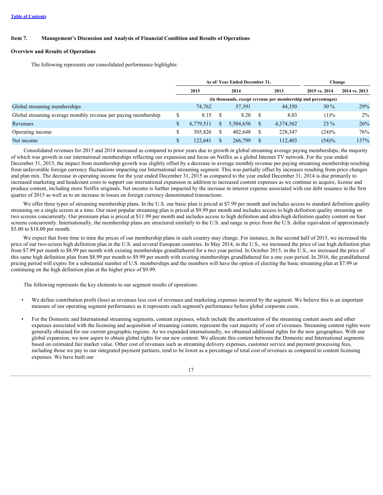#### **Item 7. Management's Discussion and Analysis of Financial Condition and Results of Operations**

#### **Overview and Results of Operations**

The following represents our consolidated performance highlights:

|                                                                |           |               | As of/Year Ended December 31, |           | Change                                                        |               |
|----------------------------------------------------------------|-----------|---------------|-------------------------------|-----------|---------------------------------------------------------------|---------------|
|                                                                | 2015      |               | 2014                          | 2013      | 2015 vs. 2014                                                 | 2014 vs. 2013 |
|                                                                |           |               |                               |           | (in thousands, except revenue per membership and percentages) |               |
| Global streaming memberships                                   | 74,762    |               | 57,391                        | 44,350    | $30\%$                                                        | 29%           |
| Global streaming average monthly revenue per paying membership | 8.15      |               | 8.20 \$                       | 8.03      | (1)%                                                          | 2%            |
| Revenues                                                       | 6,779,511 |               | 5,504,656 \$                  | 4,374,562 | 23 %                                                          | 26%           |
| Operating income                                               | 305,826   | $\mathcal{L}$ | 402,648 \$                    | 228,347   | $(24)\%$                                                      | 76%           |
| Net income                                                     | 122,641   |               | 266,799                       | 112,403   | (54)%                                                         | 137%          |

Consolidated revenues for 2015 and 2014 increased as compared to prior years due to growth in global streaming average paying memberships, the majority of which was growth in our international memberships reflecting our expansion and focus on Netflix as a global Internet TV network. For the year ended December 31, 2015, the impact from membership growth was slightly offset by a decrease in average monthly revenue per paying streaming membership resulting from unfavorable foreign currency fluctuations impacting our International streaming segment. This was partially offset by increases resulting from price changes and plan mix. The decrease in operating income for the year ended December 31, 2015 as compared to the year ended December 31, 2014 is due primarily to increased marketing and headcount costs to support our international expansion in addition to increased content expenses as we continue to acquire, license and produce content, including more Netflix originals. Net income is further impacted by the increase in interest expense associated with our debt issuance in the first quarter of 2015 as well as to an increase in losses on foreign currency denominated transactions.

We offer three types of streaming membership plans. In the U.S. our basic plan is priced at \$7.99 per month and includes access to standard definition quality streaming on a single screen at a time. Our most popular streaming plan is priced at \$9.99 per month and includes access to high definition quality streaming on two screens concurrently. Our premium plan is priced at \$11.99 per month and includes access to high definition and ultra-high definition quality content on four screens concurrently. Internationally, the membership plans are structured similarly to the U.S. and range in price from the U.S. dollar equivalent of approximately \$5.00 to \$18.00 per month.

We expect that from time to time the prices of our membership plans in each country may change. For instance, in the second half of 2015, we increased the price of our two-screen high definition plan in the U.S. and several European countries. In May 2014, in the U.S., we increased the price of our high definition plan from \$7.99 per month to \$8.99 per month with existing memberships grandfathered for a two year period. In October 2015, in the U.S., we increased the price of this same high definition plan from \$8.99 per month to \$9.99 per month with existing memberships grandfathered for a one year period. In 2016, the grandfathered pricing period will expire for a substantial number of U.S. memberships and the members will have the option of electing the basic streaming plan at \$7.99 or continuing on the high definition plan at the higher price of \$9.99.

The following represents the key elements to our segment results of operations:

- We define contribution profit (loss) as revenues less cost of revenues and marketing expenses incurred by the segment. We believe this is an important measure of our operating segment performance as it represents each segment's performance before global corporate costs.
- For the Domestic and International streaming segments, content expenses, which include the amortization of the streaming content assets and other expenses associated with the licensing and acquisition of streaming content, represent the vast majority of cost of revenues. Streaming content rights were generally obtained for our current geographic regions. As we expanded internationally, we obtained additional rights for the new geographies. With our global expansion, we now aspire to obtain global rights for our new content. We allocate this content between the Domestic and International segments based on estimated fair market value. Other cost of revenues such as streaming delivery expenses, customer service and payment processing fees, including those we pay to our integrated payment partners, tend to be lower as a percentage of total cost of revenues as compared to content licensing expenses. We have built our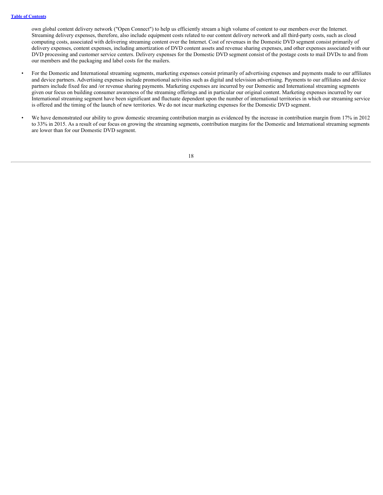own global content delivery network ("Open Connect") to help us efficiently stream a high volume of content to our members over the Internet. Streaming delivery expenses, therefore, also include equipment costs related to our content delivery network and all third-party costs, such as cloud computing costs, associated with delivering streaming content over the Internet. Cost of revenues in the Domestic DVD segment consist primarily of delivery expenses, content expenses, including amortization of DVD content assets and revenue sharing expenses, and other expenses associated with our DVD processing and customer service centers. Delivery expenses for the Domestic DVD segment consist of the postage costs to mail DVDs to and from our members and the packaging and label costs for the mailers.

- For the Domestic and International streaming segments, marketing expenses consist primarily of advertising expenses and payments made to our affiliates and device partners. Advertising expenses include promotional activities such as digital and television advertising. Payments to our affiliates and device partners include fixed fee and /or revenue sharing payments. Marketing expenses are incurred by our Domestic and International streaming segments given our focus on building consumer awareness of the streaming offerings and in particular our original content. Marketing expenses incurred by our International streaming segment have been significant and fluctuate dependent upon the number of international territories in which our streaming service is offered and the timing of the launch of new territories. We do not incur marketing expenses for the Domestic DVD segment.
- We have demonstrated our ability to grow domestic streaming contribution margin as evidenced by the increase in contribution margin from 17% in 2012 to 33% in 2015. As a result of our focus on growing the streaming segments, contribution margins for the Domestic and International streaming segments are lower than for our Domestic DVD segment.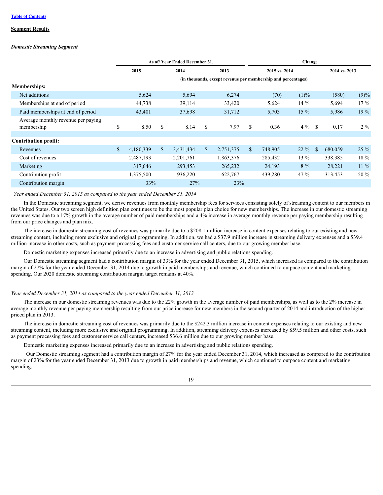#### **Segment Results**

#### *Domestic Streaming Segment*

|                                                  |           |              | As of/Year Ended December 31, |              |                                                               |    |               | Change   |               |        |
|--------------------------------------------------|-----------|--------------|-------------------------------|--------------|---------------------------------------------------------------|----|---------------|----------|---------------|--------|
|                                                  | 2015      |              | 2014                          |              | 2013                                                          |    | 2015 vs. 2014 |          | 2014 vs. 2013 |        |
|                                                  |           |              |                               |              | (in thousands, except revenue per membership and percentages) |    |               |          |               |        |
| <b>Memberships:</b>                              |           |              |                               |              |                                                               |    |               |          |               |        |
| Net additions                                    | 5,624     |              | 5,694                         |              | 6,274                                                         |    | (70)          | (1)%     | (580)         | (9)%   |
| Memberships at end of period                     | 44,738    |              | 39,114                        |              | 33,420                                                        |    | 5,624         | 14 %     | 5,694         | $17\%$ |
| Paid memberships at end of period                | 43,401    |              | 37,698                        |              | 31,712                                                        |    | 5,703         | $15 \%$  | 5,986         | 19 %   |
| Average monthly revenue per paying<br>membership | 8.50      | $\mathbf{s}$ | 8.14                          | <sup>S</sup> | 7.97                                                          | -S | 0.36          | $4\%$ \$ | 0.17          | $2\%$  |
|                                                  |           |              |                               |              |                                                               |    |               |          |               |        |
| <b>Contribution profit:</b><br>Revenues          | 4,180,339 |              | 3,431,434                     |              | 2,751,375                                                     |    | 748,905       | $22\%$   | 680,059       | 25 %   |
| Cost of revenues                                 | 2,487,193 |              | 2,201,761                     |              | 1,863,376                                                     |    | 285,432       | 13 %     | 338,385       | 18 %   |
| Marketing                                        | 317,646   |              | 293,453                       |              | 265,232                                                       |    | 24,193        | 8 %      | 28,221        | 11 %   |
| Contribution profit                              | 1,375,500 |              | 936,220                       |              | 622,767                                                       |    | 439,280       | $47\%$   | 313,453       | 50 %   |
| Contribution margin                              | 33%       |              | 27%                           |              | 23%                                                           |    |               |          |               |        |

#### *Year ended December 31, 2015 as compared to the year ended December 31, 2014*

In the Domestic streaming segment, we derive revenues from monthly membership fees for services consisting solely of streaming content to our members in the United States. Our two screen high definition plan continues to be the most popular plan choice for new memberships. The increase in our domestic streaming revenues was due to a 17% growth in the average number of paid memberships and a 4% increase in average monthly revenue per paying membership resulting from our price changes and plan mix.

The increase in domestic streaming cost of revenues was primarily due to a \$208.1 million increase in content expenses relating to our existing and new streaming content, including more exclusive and original programming. In addition, we had a \$37.9 million increase in streaming delivery expenses and a \$39.4 million increase in other costs, such as payment processing fees and customer service call centers, due to our growing member base.

Domestic marketing expenses increased primarily due to an increase in advertising and public relations spending.

Our Domestic streaming segment had a contribution margin of 33% for the year ended December 31, 2015, which increased as compared to the contribution margin of 27% for the year ended December 31, 2014 due to growth in paid memberships and revenue, which continued to outpace content and marketing spending. Our 2020 domestic streaming contribution margin target remains at 40%.

#### *Year ended December 31, 2014 as compared to the year ended December 31, 2013*

The increase in our domestic streaming revenues was due to the 22% growth in the average number of paid memberships, as well as to the 2% increase in average monthly revenue per paying membership resulting from our price increase for new members in the second quarter of 2014 and introduction of the higher priced plan in 2013.

The increase in domestic streaming cost of revenues was primarily due to the \$242.3 million increase in content expenses relating to our existing and new streaming content, including more exclusive and original programming. In addition, streaming delivery expenses increased by \$59.5 million and other costs, such as payment processing fees and customer service call centers, increased \$36.6 million due to our growing member base.

Domestic marketing expenses increased primarily due to an increase in advertising and public relations spending.

Our Domestic streaming segment had a contribution margin of 27% for the year ended December 31, 2014, which increased as compared to the contribution margin of 23% for the year ended December 31, 2013 due to growth in paid memberships and revenue, which continued to outpace content and marketing spending.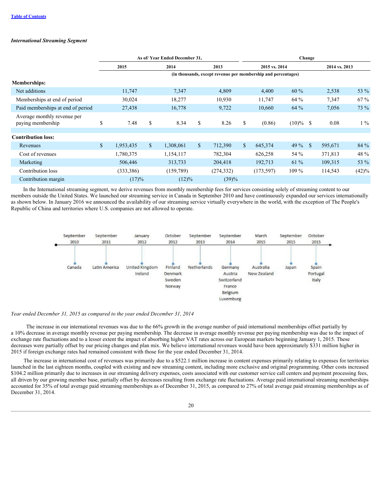#### *International Streaming Segment*

|                                                  |           |    | As of/Year Ended December 31, |    |                                                               |               | Change       |               |       |
|--------------------------------------------------|-----------|----|-------------------------------|----|---------------------------------------------------------------|---------------|--------------|---------------|-------|
|                                                  | 2015      |    | 2014                          |    | 2013                                                          | 2015 vs. 2014 |              | 2014 vs. 2013 |       |
|                                                  |           |    |                               |    | (in thousands, except revenue per membership and percentages) |               |              |               |       |
| <b>Memberships:</b>                              |           |    |                               |    |                                                               |               |              |               |       |
| Net additions                                    | 11,747    |    | 7,347                         |    | 4,809                                                         | 4,400         | 60 %         | 2,538         | 53 %  |
| Memberships at end of period                     | 30,024    |    | 18,277                        |    | 10,930                                                        | 11,747        | 64 %         | 7,347         | 67 %  |
| Paid memberships at end of period                | 27,438    |    | 16,778                        |    | 9,722                                                         | 10,660        | 64 %         | 7,056         | 73 %  |
| Average monthly revenue per<br>paying membership | 7.48      | -S | 8.34                          | -S | 8.26                                                          | (0.86)        | $(10)\%$ \$  | 0.08          | $1\%$ |
|                                                  |           |    |                               |    |                                                               |               |              |               |       |
| <b>Contribution loss:</b>                        |           |    |                               |    |                                                               |               |              |               |       |
| Revenues                                         | 1,953,435 | S. | 1,308,061                     |    | 712,390                                                       | 645,374       | 49 %<br>- \$ | 595,671       | 84 %  |
| Cost of revenues                                 | 1,780,375 |    | 1,154,117                     |    | 782,304                                                       | 626,258       | 54 %         | 371,813       | 48 %  |
| Marketing                                        | 506,446   |    | 313,733                       |    | 204,418                                                       | 192,713       | 61%          | 109,315       | 53 %  |
| Contribution loss                                | (333,386) |    | (159, 789)                    |    | (274, 332)                                                    | (173, 597)    | $109\%$      | 114,543       | (42)% |
| Contribution margin                              | (17)%     |    | $(12)\%$                      |    | (39)%                                                         |               |              |               |       |

In the International streaming segment, we derive revenues from monthly membership fees for services consisting solely of streaming content to our members outside the United States. We launched our streaming service in Canada in September 2010 and have continuously expanded our services internationally as shown below. In January 2016 we announced the availability of our streaming service virtually everywhere in the world, with the exception of The People's Republic of China and territories where U.S. companies are not allowed to operate.



#### *Year ended December 31, 2015 as compared to the year ended December 31, 2014*

The increase in our international revenues was due to the 66% growth in the average number of paid international memberships offset partially by a 10% decrease in average monthly revenue per paying membership. The decrease in average monthly revenue per paying membership was due to the impact of exchange rate fluctuations and to a lesser extent the impact of absorbing higher VAT rates across our European markets beginning January 1, 2015. These decreases were partially offset by our pricing changes and plan mix. We believe international revenues would have been approximately \$331 million higher in 2015 if foreign exchange rates had remained consistent with those for the year ended December 31, 2014.

The increase in international cost of revenues was primarily due to a \$522.1 million increase in content expenses primarily relating to expenses for territories launched in the last eighteen months, coupled with existing and new streaming content, including more exclusive and original programming. Other costs increased \$104.2 million primarily due to increases in our streaming delivery expenses, costs associated with our customer service call centers and payment processing fees, all driven by our growing member base, partially offset by decreases resulting from exchange rate fluctuations. Average paid international streaming memberships accounted for 35% of total average paid streaming memberships as of December 31, 2015, as compared to 27% of total average paid streaming memberships as of December 31, 2014.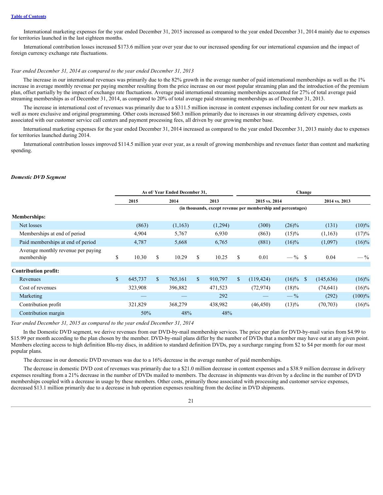#### **Table of Contents**

International marketing expenses for the year ended December 31, 2015 increased as compared to the year ended December 31, 2014 mainly due to expenses for territories launched in the last eighteen months.

International contribution losses increased \$173.6 million year over year due to our increased spending for our international expansion and the impact of foreign currency exchange rate fluctuations.

#### *Year ended December 31, 2014 as compared to the year ended December 31, 2013*

The increase in our international revenues was primarily due to the 82% growth in the average number of paid international memberships as well as the 1% increase in average monthly revenue per paying member resulting from the price increase on our most popular streaming plan and the introduction of the premium plan, offset partially by the impact of exchange rate fluctuations. Average paid international streaming memberships accounted for 27% of total average paid streaming memberships as of December 31, 2014, as compared to 20% of total average paid streaming memberships as of December 31, 2013.

The increase in international cost of revenues was primarily due to a \$311.5 million increase in content expenses including content for our new markets as well as more exclusive and original programming. Other costs increased \$60.3 million primarily due to increases in our streaming delivery expenses, costs associated with our customer service call centers and payment processing fees, all driven by our growing member base.

International marketing expenses for the year ended December 31, 2014 increased as compared to the year ended December 31, 2013 mainly due to expenses for territories launched during 2014.

International contribution losses improved \$114.5 million year over year, as a result of growing memberships and revenues faster than content and marketing spending.

#### *Domestic DVD Segment*

|                                                  |                                 |               | As of/Year Ended December 31,   |               |         |     |                                                               | Change         |               |           |
|--------------------------------------------------|---------------------------------|---------------|---------------------------------|---------------|---------|-----|---------------------------------------------------------------|----------------|---------------|-----------|
|                                                  | 2015                            |               | 2014                            |               | 2013    |     | 2015 vs. 2014                                                 |                | 2014 vs. 2013 |           |
|                                                  |                                 |               |                                 |               |         |     | (in thousands, except revenue per membership and percentages) |                |               |           |
| <b>Memberships:</b>                              |                                 |               |                                 |               |         |     |                                                               |                |               |           |
| Net losses                                       | (863)                           |               | (1,163)                         |               | (1,294) |     | (300)                                                         | $(26)\%$       | (131)         | $(10)\%$  |
| Memberships at end of period                     | 4,904                           |               | 5,767                           |               | 6,930   |     | (863)                                                         | $(15)\%$       | (1, 163)      | (17)%     |
| Paid memberships at end of period                | 4,787                           |               | 5,668                           |               | 6,765   |     | (881)                                                         | $(16)\%$       | (1,097)       | (16)%     |
| Average monthly revenue per paying<br>membership | 10.30                           | <sup>\$</sup> | 10.29                           | <sup>\$</sup> | 10.25   | - S | 0.01                                                          | $-$ % \$       | 0.04          | $-$ %     |
|                                                  |                                 |               |                                 |               |         |     |                                                               |                |               |           |
| <b>Contribution profit:</b>                      |                                 |               |                                 |               |         |     |                                                               |                |               |           |
| Revenues                                         | 645,737                         |               | 765,161                         |               | 910,797 |     | (119, 424)                                                    | $(16)\%$       | (145, 636)    | (16)%     |
| Cost of revenues                                 | 323,908                         |               | 396,882                         |               | 471,523 |     | (72, 974)                                                     | $(18)\%$       | (74, 641)     | $(16)\%$  |
| Marketing                                        | $\hspace{0.1mm}-\hspace{0.1mm}$ |               | $\hspace{0.1mm}-\hspace{0.1mm}$ |               | 292     |     |                                                               | $-\frac{9}{6}$ | (292)         | $(100)\%$ |
| Contribution profit                              | 321,829                         |               | 368,279                         |               | 438,982 |     | (46, 450)                                                     | (13)%          | (70, 703)     | $(16)\%$  |
| Contribution margin                              | 50%                             |               | 48%                             |               | 48%     |     |                                                               |                |               |           |

*Year ended December 31, 2015 as compared to the year ended December 31, 2014*

In the Domestic DVD segment, we derive revenues from our DVD-by-mail membership services. The price per plan for DVD-by-mail varies from \$4.99 to \$15.99 per month according to the plan chosen by the member. DVD-by-mail plans differ by the number of DVDs that a member may have out at any given point. Members electing access to high definition Blu-ray discs, in addition to standard definition DVDs, pay a surcharge ranging from \$2 to \$4 per month for our most popular plans.

The decrease in our domestic DVD revenues was due to a 16% decrease in the average number of paid memberships.

The decrease in domestic DVD cost of revenues was primarily due to a \$21.0 million decrease in content expenses and a \$38.9 million decrease in delivery expenses resulting from a 21% decrease in the number of DVDs mailed to members. The decrease in shipments was driven by a decline in the number of DVD memberships coupled with a decrease in usage by these members. Other costs, primarily those associated with processing and customer service expenses, decreased \$13.1 million primarily due to a decrease in hub operation expenses resulting from the decline in DVD shipments.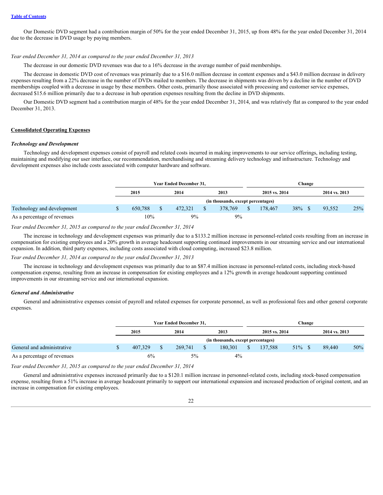Our Domestic DVD segment had a contribution margin of 50% for the year ended December 31, 2015, up from 48% for the year ended December 31, 2014 due to the decrease in DVD usage by paying members.

#### *Year ended December 31, 2014 as compared to the year ended December 31, 2013*

The decrease in our domestic DVD revenues was due to a 16% decrease in the average number of paid memberships.

The decrease in domestic DVD cost of revenues was primarily due to a \$16.0 million decrease in content expenses and a \$43.0 million decrease in delivery expenses resulting from a 22% decrease in the number of DVDs mailed to members. The decrease in shipments was driven by a decline in the number of DVD memberships coupled with a decrease in usage by these members. Other costs, primarily those associated with processing and customer service expenses, decreased \$15.6 million primarily due to a decrease in hub operation expenses resulting from the decline in DVD shipments.

Our Domestic DVD segment had a contribution margin of 48% for the year ended December 31, 2014, and was relatively flat as compared to the year ended December 31, 2013.

#### **Consolidated Operating Expenses**

#### *Technology and Development*

Technology and development expenses consist of payroll and related costs incurred in making improvements to our service offerings, including testing, maintaining and modifying our user interface, our recommendation, merchandising and streaming delivery technology and infrastructure. Technology and development expenses also include costs associated with computer hardware and software.

|                             |         | <b>Year Ended December 31,</b> |    |                                    | Change |               |     |               |     |  |  |  |
|-----------------------------|---------|--------------------------------|----|------------------------------------|--------|---------------|-----|---------------|-----|--|--|--|
|                             | 2015    | 2014                           |    | 2013                               |        | 2015 vs. 2014 |     | 2014 vs. 2013 |     |  |  |  |
|                             |         |                                |    | (in thousands, except percentages) |        |               |     |               |     |  |  |  |
| Technology and development  | 650,788 | 472,321                        |    | 378,769                            |        | 178,467       | 38% | 93,552        | 25% |  |  |  |
| As a percentage of revenues | 10%     |                                | 9% | 9%                                 |        |               |     |               |     |  |  |  |

#### *Year ended December 31, 2015 as compared to the year ended December 31, 2014*

The increase in technology and development expenses was primarily due to a \$133.2 million increase in personnel-related costs resulting from an increase in compensation for existing employees and a 20% growth in average headcount supporting continued improvements in our streaming service and our international expansion. In addition, third party expenses, including costs associated with cloud computing, increased \$23.8 million.

#### *Year ended December 31, 2014 as compared to the year ended December 31, 2013*

The increase in technology and development expenses was primarily due to an \$87.4 million increase in personnel-related costs, including stock-based compensation expense, resulting from an increase in compensation for existing employees and a 12% growth in average headcount supporting continued improvements in our streaming service and our international expansion.

#### *General and Administrative*

General and administrative expenses consist of payroll and related expenses for corporate personnel, as well as professional fees and other general corporate expenses.

|                             | <b>Year Ended December 31,</b> |  |         |  |                                    | Change |               |     |  |               |     |  |
|-----------------------------|--------------------------------|--|---------|--|------------------------------------|--------|---------------|-----|--|---------------|-----|--|
|                             | 2015                           |  | 2014    |  | 2013                               |        | 2015 vs. 2014 |     |  | 2014 vs. 2013 |     |  |
|                             |                                |  |         |  | (in thousands, except percentages) |        |               |     |  |               |     |  |
| General and administrative  | 407,329                        |  | 269,741 |  | 180,301                            |        | 137,588       | 51% |  | 89,440        | 50% |  |
| As a percentage of revenues | 6%                             |  | 5%      |  | $4\%$                              |        |               |     |  |               |     |  |

*Year ended December 31, 2015 as compared to the year ended December 31, 2014*

General and administrative expenses increased primarily due to a \$120.1 million increase in personnel-related costs, including stock-based compensation expense, resulting from a 51% increase in average headcount primarily to support our international expansion and increased production of original content, and an increase in compensation for existing employees.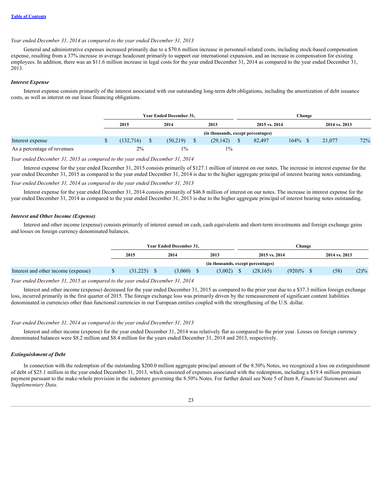#### *Year ended December 31, 2014 as compared to the year ended December 31, 2013*

General and administrative expenses increased primarily due to a \$70.6 million increase in personnel-related costs, including stock-based compensation expense, resulting from a 37% increase in average headcount primarily to support our international expansion, and an increase in compensation for existing employees. In addition, there was an \$11.6 million increase in legal costs for the year ended December 31, 2014 as compared to the year ended December 31, 2013.

#### *Interest Expense*

Interest expense consists primarily of the interest associated with our outstanding long-term debt obligations, including the amortization of debt issuance costs, as well as interest on our lease financing obligations.

|                             |           | <b>Year Ended December 31,</b> |                                    | Change |               |               |     |  |  |  |
|-----------------------------|-----------|--------------------------------|------------------------------------|--------|---------------|---------------|-----|--|--|--|
|                             | 2015      | 2014                           | 2013                               |        | 2015 vs. 2014 | 2014 vs. 2013 |     |  |  |  |
|                             |           |                                | (in thousands, except percentages) |        |               |               |     |  |  |  |
| Interest expense            | (132,716) | (50,219)                       | (29, 142)                          | 82,497 | 164%          | 21,077        | 72% |  |  |  |
| As a percentage of revenues | $2\%$     | 10/                            |                                    |        |               |               |     |  |  |  |

#### *Year ended December 31, 2015 as compared to the year ended December 31, 2014*

Interest expense for the year ended December 31, 2015 consists primarily of \$127.1 million of interest on our notes. The increase in interest expense for the year ended December 31, 2015 as compared to the year ended December 31, 2014 is due to the higher aggregate principal of interest bearing notes outstanding. *Year ended December 31, 2014 as compared to the year ended December 31, 2013*

Interest expense for the year ended December 31, 2014 consists primarily of \$46.8 million of interest on our notes. The increase in interest expense for the year ended December 31, 2014 as compared to the year ended December 31, 2013 is due to the higher aggregate principal of interest bearing notes outstanding.

#### *Interest and Other Income (Expense)*

Interest and other income (expense) consists primarily of interest earned on cash, cash equivalents and short-term investments and foreign exchange gains and losses on foreign currency denominated balances.

|                                     |          | <b>Year Ended December 31,</b> |                                    | Change        |           |               |         |  |  |  |  |
|-------------------------------------|----------|--------------------------------|------------------------------------|---------------|-----------|---------------|---------|--|--|--|--|
|                                     | 2015     | 2014                           | 2013                               | 2015 vs. 2014 |           | 2014 vs. 2013 |         |  |  |  |  |
|                                     |          |                                | (in thousands, except percentages) |               |           |               |         |  |  |  |  |
| Interest and other income (expense) | (31,225) | (3,060)                        | (3,002)                            | (28, 165)     | $(920)\%$ | (58)          | $(2)\%$ |  |  |  |  |

#### *Year ended December 31, 2015 as compared to the year ended December 31, 2014*

Interest and other income (expense) decreased for the year ended December 31, 2015 as compared to the prior year due to a \$37.3 million foreign exchange loss, incurred primarily in the first quarter of 2015. The foreign exchange loss was primarily driven by the remeasurement of significant content liabilities denominated in currencies other than functional currencies in our European entities coupled with the strengthening of the U.S. dollar.

#### *Year ended December 31, 2014 as compared to the year ended December 31, 2013*

Interest and other income (expense) for the year ended December 31, 2014 was relatively flat as compared to the prior year. Losses on foreign currency denominated balances were \$8.2 million and \$8.4 million for the years ended December 31, 2014 and 2013, respectively.

#### *Extinguishment of Debt*

In connection with the redemption of the outstanding \$200.0 million aggregate principal amount of the 8.50% Notes, we recognized a loss on extinguishment of debt of \$25.1 million in the year ended December 31, 2013, which consisted of expenses associated with the redemption, including a \$19.4 million premium payment pursuant to the make-whole provision in the indenture governing the 8.50% Notes. For further detail see Note 5 of Item 8, *Financial Statements and Supplementary Data.*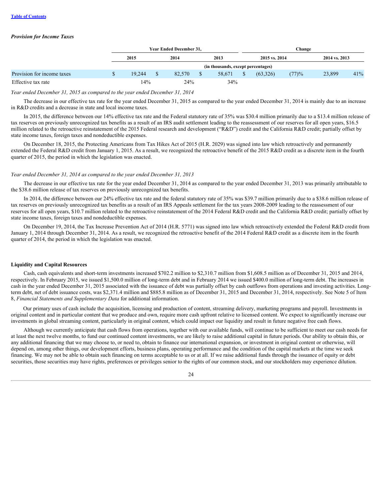#### *Provision for Income Taxes*

|                            | <b>Year Ended December 31,</b> |  |        |  |                                    | Change        |       |               |     |  |  |  |
|----------------------------|--------------------------------|--|--------|--|------------------------------------|---------------|-------|---------------|-----|--|--|--|
|                            | 2015                           |  | 2014   |  | 2013                               | 2015 vs. 2014 |       | 2014 vs. 2013 |     |  |  |  |
|                            |                                |  |        |  | (in thousands, except percentages) |               |       |               |     |  |  |  |
| Provision for income taxes | 19,244                         |  | 82,570 |  | 58,671                             | (63, 326)     | (77)% | 23,899        | 41% |  |  |  |
| Effective tax rate         | 14%                            |  | 24%    |  | 34%                                |               |       |               |     |  |  |  |

#### *Year ended December 31, 2015 as compared to the year ended December 31, 2014*

The decrease in our effective tax rate for the year ended December 31, 2015 as compared to the year ended December 31, 2014 is mainly due to an increase in R&D credits and a decrease in state and local income taxes.

In 2015, the difference between our 14% effective tax rate and the Federal statutory rate of 35% was \$30.4 million primarily due to a \$13.4 million release of tax reserves on previously unrecognized tax benefits as a result of an IRS audit settlement leading to the reassessment of our reserves for all open years, \$16.5 million related to the retroactive reinstatement of the 2015 Federal research and development ("R&D") credit and the California R&D credit; partially offset by state income taxes, foreign taxes and nondeductible expenses.

On December 18, 2015, the Protecting Americans from Tax Hikes Act of 2015 (H.R. 2029) was signed into law which retroactively and permanently extended the Federal R&D credit from January 1, 2015. As a result, we recognized the retroactive benefit of the 2015 R&D credit as a discrete item in the fourth quarter of 2015, the period in which the legislation was enacted.

#### *Year ended December 31, 2014 as compared to the year ended December 31, 2013*

The decrease in our effective tax rate for the year ended December 31, 2014 as compared to the year ended December 31, 2013 was primarily attributable to the \$38.6 million release of tax reserves on previously unrecognized tax benefits.

In 2014, the difference between our 24% effective tax rate and the federal statutory rate of 35% was \$39.7 million primarily due to a \$38.6 million release of tax reserves on previously unrecognized tax benefits as a result of an IRS Appeals settlement for the tax years 2008-2009 leading to the reassessment of our reserves for all open years, \$10.7 million related to the retroactive reinstatement of the 2014 Federal R&D credit and the California R&D credit; partially offset by state income taxes, foreign taxes and nondeductible expenses.

On December 19, 2014, the Tax Increase Prevention Act of 2014 (H.R. 5771) was signed into law which retroactively extended the Federal R&D credit from January 1, 2014 through December 31, 2014. As a result, we recognized the retroactive benefit of the 2014 Federal R&D credit as a discrete item in the fourth quarter of 2014, the period in which the legislation was enacted.

#### **Liquidity and Capital Resources**

Cash, cash equivalents and short-term investments increased \$702.2 million to \$2,310.7 million from \$1,608.5 million as of December 31, 2015 and 2014, respectively. In February 2015, we issued \$1,500.0 million of long-term debt and in February 2014 we issued \$400.0 million of long-term debt. The increases in cash in the year ended December 31, 2015 associated with the issuance of debt was partially offset by cash outflows from operations and investing activities. Longterm debt, net of debt issuance costs, was \$2,371.4 million and \$885.8 million as of December 31, 2015 and December 31, 2014, respectively. See Note 5 of Item 8, *Financial Statements and Supplementary Data* for additional information.

Our primary uses of cash include the acquisition, licensing and production of content, streaming delivery, marketing programs and payroll. Investments in original content and in particular content that we produce and own, require more cash upfront relative to licensed content. We expect to significantly increase our investments in global streaming content, particularly in original content, which could impact our liquidity and result in future negative free cash flows.

Although we currently anticipate that cash flows from operations, together with our available funds, will continue to be sufficient to meet our cash needs for at least the next twelve months, to fund our continued content investments, we are likely to raise additional capital in future periods. Our ability to obtain this, or any additional financing that we may choose to, or need to, obtain to finance our international expansion, or investment in original content or otherwise, will depend on, among other things, our development efforts, business plans, operating performance and the condition of the capital markets at the time we seek financing. We may not be able to obtain such financing on terms acceptable to us or at all. If we raise additional funds through the issuance of equity or debt securities, those securities may have rights, preferences or privileges senior to the rights of our common stock, and our stockholders may experience dilution.

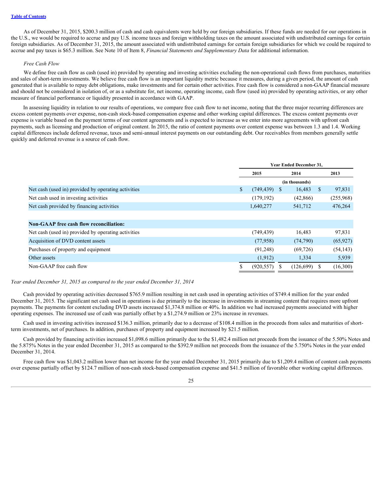As of December 31, 2015, \$200.3 million of cash and cash equivalents were held by our foreign subsidiaries. If these funds are needed for our operations in the U.S., we would be required to accrue and pay U.S. income taxes and foreign withholding taxes on the amount associated with undistributed earnings for certain foreign subsidiaries. As of December 31, 2015, the amount associated with undistributed earnings for certain foreign subsidiaries for which we could be required to accrue and pay taxes is \$65.3 million. See Note 10 of Item 8, *Financial Statements and Supplementary Data* for additional information.

#### *Free Cash Flow*

We define free cash flow as cash (used in) provided by operating and investing activities excluding the non-operational cash flows from purchases, maturities and sales of short-term investments. We believe free cash flow is an important liquidity metric because it measures, during a given period, the amount of cash generated that is available to repay debt obligations, make investments and for certain other activities. Free cash flow is considered a non-GAAP financial measure and should not be considered in isolation of, or as a substitute for, net income, operating income, cash flow (used in) provided by operating activities, or any other measure of financial performance or liquidity presented in accordance with GAAP.

In assessing liquidity in relation to our results of operations, we compare free cash flow to net income, noting that the three major recurring differences are excess content payments over expense, non-cash stock-based compensation expense and other working capital differences. The excess content payments over expense is variable based on the payment terms of our content agreements and is expected to increase as we enter into more agreements with upfront cash payments, such as licensing and production of original content. In 2015, the ratio of content payments over content expense was between 1.3 and 1.4. Working capital differences include deferred revenue, taxes and semi-annual interest payments on our outstanding debt. Our receivables from members generally settle quickly and deferred revenue is a source of cash flow.

|                                                     | Year Ended December 31, |                 |  |                |     |           |  |  |  |
|-----------------------------------------------------|-------------------------|-----------------|--|----------------|-----|-----------|--|--|--|
|                                                     | 2015                    |                 |  | 2014           |     | 2013      |  |  |  |
|                                                     |                         |                 |  | (in thousands) |     |           |  |  |  |
| Net cash (used in) provided by operating activities | \$                      | $(749, 439)$ \$ |  | 16,483         | - S | 97,831    |  |  |  |
| Net cash used in investing activities               |                         | (179, 192)      |  | (42, 866)      |     | (255,968) |  |  |  |
| Net cash provided by financing activities           |                         | 1,640,277       |  | 541,712        |     | 476,264   |  |  |  |
|                                                     |                         |                 |  |                |     |           |  |  |  |
| <b>Non-GAAP</b> free cash flow reconciliation:      |                         |                 |  |                |     |           |  |  |  |
| Net cash (used in) provided by operating activities |                         | (749, 439)      |  | 16,483         |     | 97,831    |  |  |  |
| Acquisition of DVD content assets                   |                         | (77, 958)       |  | (74,790)       |     | (65, 927) |  |  |  |
| Purchases of property and equipment                 |                         | (91,248)        |  | (69, 726)      |     | (54, 143) |  |  |  |
| Other assets                                        |                         | (1,912)         |  | 1,334          |     | 5,939     |  |  |  |
| Non-GAAP free cash flow                             |                         | $(920, 557)$ \$ |  | $(126,699)$ \$ |     | (16,300)  |  |  |  |

#### *Year ended December 31, 2015 as compared to the year ended December 31, 2014*

Cash provided by operating activities decreased \$765.9 million resulting in net cash used in operating activities of \$749.4 million for the year ended December 31, 2015. The significant net cash used in operations is due primarily to the increase in investments in streaming content that requires more upfront payments. The payments for content excluding DVD assets increased \$1,374.8 million or 40%. In addition we had increased payments associated with higher operating expenses. The increased use of cash was partially offset by a \$1,274.9 million or 23% increase in revenues.

Cash used in investing activities increased \$136.3 million, primarily due to a decrease of \$108.4 million in the proceeds from sales and maturities of shortterm investments, net of purchases. In addition, purchases of property and equipment increased by \$21.5 million.

Cash provided by financing activities increased \$1,098.6 million primarily due to the \$1,482.4 million net proceeds from the issuance of the 5.50% Notes and the 5.875% Notes in the year ended December 31, 2015 as compared to the \$392.9 million net proceeds from the issuance of the 5.750% Notes in the year ended December 31, 2014.

Free cash flow was \$1,043.2 million lower than net income for the year ended December 31, 2015 primarily due to \$1,209.4 million of content cash payments over expense partially offset by \$124.7 million of non-cash stock-based compensation expense and \$41.5 million of favorable other working capital differences.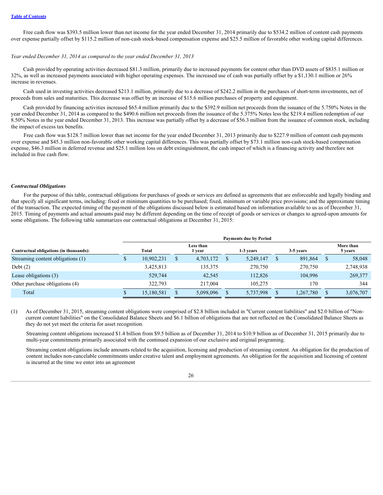Free cash flow was \$393.5 million lower than net income for the year ended December 31, 2014 primarily due to \$534.2 million of content cash payments over expense partially offset by \$115.2 million of non-cash stock-based compensation expense and \$25.5 million of favorable other working capital differences.

#### *Year ended December 31, 2014 as compared to the year ended December 31, 2013*

Cash provided by operating activities decreased \$81.3 million, primarily due to increased payments for content other than DVD assets of \$835.1 million or 32%, as well as increased payments associated with higher operating expenses. The increased use of cash was partially offset by a \$1,130.1 million or 26% increase in revenues.

Cash used in investing activities decreased \$213.1 million, primarily due to a decrease of \$242.2 million in the purchases of short-term investments, net of proceeds from sales and maturities. This decrease was offset by an increase of \$15.6 million purchases of property and equipment.

Cash provided by financing activities increased \$65.4 million primarily due to the \$392.9 million net proceeds from the issuance of the 5.750% Notes in the year ended December 31, 2014 as compared to the \$490.6 million net proceeds from the issuance of the 5.375% Notes less the \$219.4 million redemption of our 8.50% Notes in the year ended December 31, 2013. This increase was partially offset by a decrease of \$56.3 million from the issuance of common stock, including the impact of excess tax benefits.

Free cash flow was \$128.7 million lower than net income for the year ended December 31, 2013 primarily due to \$227.9 million of content cash payments over expense and \$45.3 million non-favorable other working capital differences. This was partially offset by \$73.1 million non-cash stock-based compensation expense, \$46.3 million in deferred revenue and \$25.1 million loss on debt extinguishment, the cash impact of which is a financing activity and therefore not included in free cash flow.

#### *Contractual Obligations*

For the purpose of this table, contractual obligations for purchases of goods or services are defined as agreements that are enforceable and legally binding and that specify all significant terms, including: fixed or minimum quantities to be purchased; fixed, minimum or variable price provisions; and the approximate timing of the transaction. The expected timing of the payment of the obligations discussed below is estimated based on information available to us as of December 31, 2015. Timing of payments and actual amounts paid may be different depending on the time of receipt of goods or services or changes to agreed-upon amounts for some obligations. The following table summarizes our contractual obligations at December 31, 2015:

|                                         |       | <b>Payments due by Period</b> |  |                     |  |           |  |           |  |                      |  |  |  |  |
|-----------------------------------------|-------|-------------------------------|--|---------------------|--|-----------|--|-----------|--|----------------------|--|--|--|--|
| Contractual obligations (in thousands): | Total |                               |  | Less than<br>1 vear |  | 1-3 years |  | 3-5 years |  | More than<br>5 years |  |  |  |  |
| Streaming content obligations (1)       |       | 10,902,231                    |  | 4,703,172           |  | 5,249,147 |  | 891,864   |  | 58,048               |  |  |  |  |
| Debt $(2)$                              |       | 3,425,813                     |  | 135,375             |  | 270,750   |  | 270,750   |  | 2,748,938            |  |  |  |  |
| Lease obligations (3)                   |       | 529,744                       |  | 42,545              |  | 112,826   |  | 104,996   |  | 269,377              |  |  |  |  |
| Other purchase obligations (4)          |       | 322,793                       |  | 217,004             |  | 105,275   |  | 170       |  | 344                  |  |  |  |  |
| Total                                   |       | 15,180,581                    |  | 5,098,096           |  | 5,737,998 |  | .267,780  |  | 3,076,707            |  |  |  |  |

(1) As of December 31, 2015, streaming content obligations were comprised of \$2.8 billion included in "Current content liabilities" and \$2.0 billion of "Noncurrent content liabilities" on the Consolidated Balance Sheets and \$6.1 billion of obligations that are not reflected on the Consolidated Balance Sheets as they do not yet meet the criteria for asset recognition.

Streaming content obligations increased \$1.4 billion from \$9.5 billion as of December 31, 2014 to \$10.9 billion as of December 31, 2015 primarily due to multi-year commitments primarily associated with the continued expansion of our exclusive and original programing.

Streaming content obligations include amounts related to the acquisition, licensing and production of streaming content. An obligation for the production of content includes non-cancelable commitments under creative talent and employment agreements. An obligation for the acquisition and licensing of content is incurred at the time we enter into an agreement

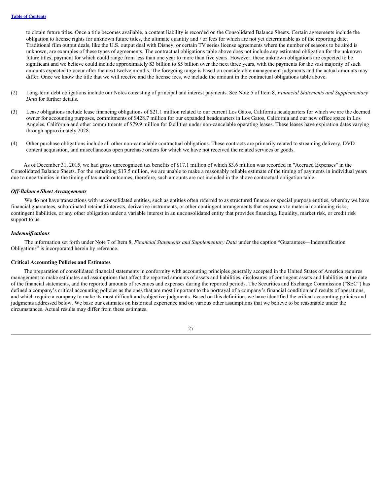to obtain future titles. Once a title becomes available, a content liability is recorded on the Consolidated Balance Sheets. Certain agreements include the obligation to license rights for unknown future titles, the ultimate quantity and / or fees for which are not yet determinable as of the reporting date. Traditional film output deals, like the U.S. output deal with Disney, or certain TV series license agreements where the number of seasons to be aired is unknown, are examples of these types of agreements. The contractual obligations table above does not include any estimated obligation for the unknown future titles, payment for which could range from less than one year to more than five years. However, these unknown obligations are expected to be significant and we believe could include approximately \$3 billion to \$5 billion over the next three years, with the payments for the vast majority of such amounts expected to occur after the next twelve months. The foregoing range is based on considerable management judgments and the actual amounts may differ. Once we know the title that we will receive and the license fees, we include the amount in the contractual obligations table above.

- (2) Long-term debt obligations include our Notes consisting of principal and interest payments. See Note 5 of Item 8, *Financial Statements and Supplementary Data* for further details.
- (3) Lease obligations include lease financing obligations of \$21.1 million related to our current Los Gatos, California headquarters for which we are the deemed owner for accounting purposes, commitments of \$428.7 million for our expanded headquarters in Los Gatos, California and our new office space in Los Angeles, California and other commitments of \$79.9 million for facilities under non-cancelable operating leases. These leases have expiration dates varying through approximately 2028.
- (4) Other purchase obligations include all other non-cancelable contractual obligations. These contracts are primarily related to streaming delivery, DVD content acquisition, and miscellaneous open purchase orders for which we have not received the related services or goods.

As of December 31, 2015, we had gross unrecognized tax benefits of \$17.1 million of which \$3.6 million was recorded in "Accrued Expenses" in the Consolidated Balance Sheets. For the remaining \$13.5 million, we are unable to make a reasonably reliable estimate of the timing of payments in individual years due to uncertainties in the timing of tax audit outcomes, therefore, such amounts are not included in the above contractual obligation table.

#### *Off-Balance Sheet Arrangements*

We do not have transactions with unconsolidated entities, such as entities often referred to as structured finance or special purpose entities, whereby we have financial guarantees, subordinated retained interests, derivative instruments, or other contingent arrangements that expose us to material continuing risks, contingent liabilities, or any other obligation under a variable interest in an unconsolidated entity that provides financing, liquidity, market risk, or credit risk support to us.

#### *Indemnifications*

The information set forth under Note 7 of Item 8, *Financial Statements and Supplementary Data* under the caption "Guarantees—Indemnification Obligations" is incorporated herein by reference.

#### **Critical Accounting Policies and Estimates**

The preparation of consolidated financial statements in conformity with accounting principles generally accepted in the United States of America requires management to make estimates and assumptions that affect the reported amounts of assets and liabilities, disclosures of contingent assets and liabilities at the date of the financial statements, and the reported amounts of revenues and expenses during the reported periods. The Securities and Exchange Commission ("SEC") has defined a company's critical accounting policies as the ones that are most important to the portrayal of a company's financial condition and results of operations, and which require a company to make its most difficult and subjective judgments. Based on this definition, we have identified the critical accounting policies and judgments addressed below. We base our estimates on historical experience and on various other assumptions that we believe to be reasonable under the circumstances. Actual results may differ from these estimates.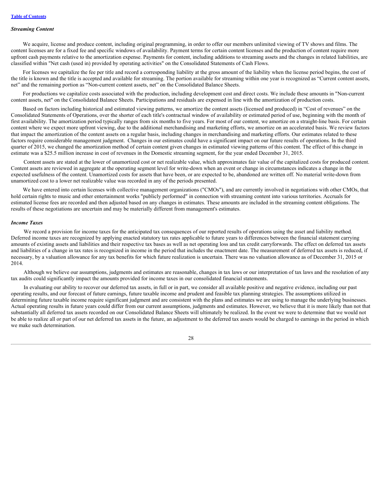#### *Streaming Content*

We acquire, license and produce content, including original programming, in order to offer our members unlimited viewing of TV shows and films. The content licenses are for a fixed fee and specific windows of availability. Payment terms for certain content licenses and the production of content require more upfront cash payments relative to the amortization expense. Payments for content, including additions to streaming assets and the changes in related liabilities, are classified within "Net cash (used in) provided by operating activities" on the Consolidated Statements of Cash Flows.

For licenses we capitalize the fee per title and record a corresponding liability at the gross amount of the liability when the license period begins, the cost of the title is known and the title is accepted and available for streaming. The portion available for streaming within one year is recognized as "Current content assets, net" and the remaining portion as "Non-current content assets, net" on the Consolidated Balance Sheets.

For productions we capitalize costs associated with the production, including development cost and direct costs. We include these amounts in "Non-current content assets, net" on the Consolidated Balance Sheets. Participations and residuals are expensed in line with the amortization of production costs.

Based on factors including historical and estimated viewing patterns, we amortize the content assets (licensed and produced) in "Cost of revenues" on the Consolidated Statements of Operations, over the shorter of each title's contractual window of availability or estimated period of use, beginning with the month of first availability. The amortization period typically ranges from six months to five years. For most of our content, we amortize on a straight-line basis. For certain content where we expect more upfront viewing, due to the additional merchandising and marketing efforts, we amortize on an accelerated basis. We review factors that impact the amortization of the content assets on a regular basis, including changes in merchandising and marketing efforts. Our estimates related to these factors require considerable management judgment. Changes in our estimates could have a significant impact on our future results of operations. In the third quarter of 2015, we changed the amortization method of certain content given changes in estimated viewing patterns of this content. The effect of this change in estimate was a \$25.5 million increase in cost of revenues in the Domestic streaming segment, for the year ended December 31, 2015.

Content assets are stated at the lower of unamortized cost or net realizable value, which approximates fair value of the capitalized costs for produced content. Content assets are reviewed in aggregate at the operating segment level for write-down when an event or change in circumstances indicates a change in the expected usefulness of the content. Unamortized costs for assets that have been, or are expected to be, abandoned are written off. No material write-down from unamortized cost to a lower net realizable value was recorded in any of the periods presented.

We have entered into certain licenses with collective management organizations ("CMOs"), and are currently involved in negotiations with other CMOs, that hold certain rights to music and other entertainment works "publicly performed" in connection with streaming content into various territories. Accruals for estimated license fees are recorded and then adjusted based on any changes in estimates. These amounts are included in the streaming content obligations. The results of these negotiations are uncertain and may be materially different from management's estimates.

#### *Income Taxes*

We record a provision for income taxes for the anticipated tax consequences of our reported results of operations using the asset and liability method. Deferred income taxes are recognized by applying enacted statutory tax rates applicable to future years to differences between the financial statement carrying amounts of existing assets and liabilities and their respective tax bases as well as net operating loss and tax credit carryforwards. The effect on deferred tax assets and liabilities of a change in tax rates is recognized in income in the period that includes the enactment date. The measurement of deferred tax assets is reduced, if necessary, by a valuation allowance for any tax benefits for which future realization is uncertain. There was no valuation allowance as of December 31, 2015 or 2014.

Although we believe our assumptions, judgments and estimates are reasonable, changes in tax laws or our interpretation of tax laws and the resolution of any tax audits could significantly impact the amounts provided for income taxes in our consolidated financial statements.

In evaluating our ability to recover our deferred tax assets, in full or in part, we consider all available positive and negative evidence, including our past operating results, and our forecast of future earnings, future taxable income and prudent and feasible tax planning strategies. The assumptions utilized in determining future taxable income require significant judgment and are consistent with the plans and estimates we are using to manage the underlying businesses. Actual operating results in future years could differ from our current assumptions, judgments and estimates. However, we believe that it is more likely than not that substantially all deferred tax assets recorded on our Consolidated Balance Sheets will ultimately be realized. In the event we were to determine that we would not be able to realize all or part of our net deferred tax assets in the future, an adjustment to the deferred tax assets would be charged to earnings in the period in which we make such determination.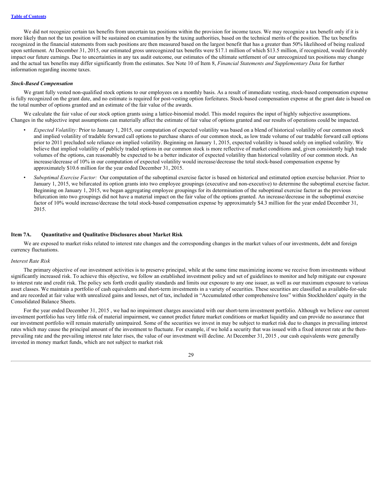We did not recognize certain tax benefits from uncertain tax positions within the provision for income taxes. We may recognize a tax benefit only if it is more likely than not the tax position will be sustained on examination by the taxing authorities, based on the technical merits of the position. The tax benefits recognized in the financial statements from such positions are then measured based on the largest benefit that has a greater than 50% likelihood of being realized upon settlement. At December 31, 2015, our estimated gross unrecognized tax benefits were \$17.1 million of which \$13.5 million, if recognized, would favorably impact our future earnings. Due to uncertainties in any tax audit outcome, our estimates of the ultimate settlement of our unrecognized tax positions may change and the actual tax benefits may differ significantly from the estimates. See Note 10 of Item 8, *Financial Statements and Supplementary Data* for further information regarding income taxes.

#### *Stock-Based Compensation*

We grant fully vested non-qualified stock options to our employees on a monthly basis. As a result of immediate vesting, stock-based compensation expense is fully recognized on the grant date, and no estimate is required for post-vesting option forfeitures. Stock-based compensation expense at the grant date is based on the total number of options granted and an estimate of the fair value of the awards.

We calculate the fair value of our stock option grants using a lattice-binomial model. This model requires the input of highly subjective assumptions. Changes in the subjective input assumptions can materially affect the estimate of fair value of options granted and our results of operations could be impacted.

- *Expected Volatility:* Prior to January 1, 2015, our computation of expected volatility was based on a blend of historical volatility of our common stock and implied volatility of tradable forward call options to purchase shares of our common stock, as low trade volume of our tradable forward call options prior to 2011 precluded sole reliance on implied volatility. Beginning on January 1, 2015, expected volatility is based solely on implied volatility. We believe that implied volatility of publicly traded options in our common stock is more reflective of market conditions and, given consistently high trade volumes of the options, can reasonably be expected to be a better indicator of expected volatility than historical volatility of our common stock. An increase/decrease of 10% in our computation of expected volatility would increase/decrease the total stock-based compensation expense by approximately \$10.6 million for the year ended December 31, 2015.
- *Suboptimal Exercise Factor:* Our computation of the suboptimal exercise factor is based on historical and estimated option exercise behavior. Prior to January 1, 2015, we bifurcated its option grants into two employee groupings (executive and non-executive) to determine the suboptimal exercise factor. Beginning on January 1, 2015, we began aggregating employee groupings for its determination of the suboptimal exercise factor as the previous bifurcation into two groupings did not have a material impact on the fair value of the options granted. An increase/decrease in the suboptimal exercise factor of 10% would increase/decrease the total stock-based compensation expense by approximately \$4.3 million for the year ended December 31, 2015.

#### **Item 7A. Quantitative and Qualitative Disclosures about Market Risk**

We are exposed to market risks related to interest rate changes and the corresponding changes in the market values of our investments, debt and foreign currency fluctuations.

#### *Interest Rate Risk*

The primary objective of our investment activities is to preserve principal, while at the same time maximizing income we receive from investments without significantly increased risk. To achieve this objective, we follow an established investment policy and set of guidelines to monitor and help mitigate our exposure to interest rate and credit risk. The policy sets forth credit quality standards and limits our exposure to any one issuer, as well as our maximum exposure to various asset classes. We maintain a portfolio of cash equivalents and short-term investments in a variety of securities. These securities are classified as available-for-sale and are recorded at fair value with unrealized gains and losses, net of tax, included in "Accumulated other comprehensive loss" within Stockholders' equity in the Consolidated Balance Sheets.

For the year ended December 31, 2015 , we had no impairment charges associated with our short-term investment portfolio. Although we believe our current investment portfolio has very little risk of material impairment, we cannot predict future market conditions or market liquidity and can provide no assurance that our investment portfolio will remain materially unimpaired. Some of the securities we invest in may be subject to market risk due to changes in prevailing interest rates which may cause the principal amount of the investment to fluctuate. For example, if we hold a security that was issued with a fixed interest rate at the thenprevailing rate and the prevailing interest rate later rises, the value of our investment will decline. At December 31, 2015 , our cash equivalents were generally invested in money market funds, which are not subject to market risk

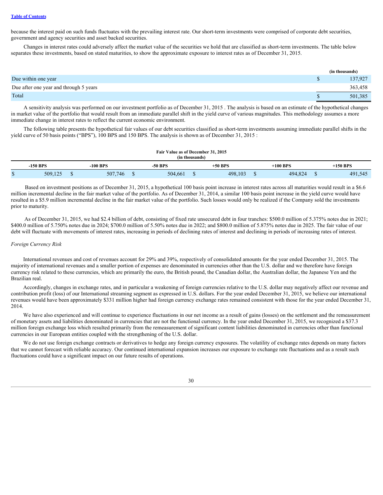because the interest paid on such funds fluctuates with the prevailing interest rate. Our short-term investments were comprised of corporate debt securities, government and agency securities and asset backed securities.

Changes in interest rates could adversely affect the market value of the securities we hold that are classified as short-term investments. The table below separates these investments, based on stated maturities, to show the approximate exposure to interest rates as of December 31, 2015.

|                                        | (in thousands) |         |
|----------------------------------------|----------------|---------|
| Due within one year                    |                | 137,927 |
| Due after one year and through 5 years |                | 363,458 |
| Total                                  |                | 501,385 |

A sensitivity analysis was performed on our investment portfolio as of December 31, 2015 . The analysis is based on an estimate of the hypothetical changes in market value of the portfolio that would result from an immediate parallel shift in the yield curve of various magnitudes. This methodology assumes a more immediate change in interest rates to reflect the current economic environment.

The following table presents the hypothetical fair values of our debt securities classified as short-term investments assuming immediate parallel shifts in the yield curve of 50 basis points ("BPS"), 100 BPS and 150 BPS. The analysis is shown as of December 31, 2015 :

| Fair Value as of December 31, 2015<br>(in thousands) |  |          |         |         |            |  |          |  |  |  |  |  |  |
|------------------------------------------------------|--|----------|---------|---------|------------|--|----------|--|--|--|--|--|--|
| $-150$ BPS                                           |  | -100 BPS | -50 BPS | +50 BPS | $+100$ BPS |  | +150 BPS |  |  |  |  |  |  |
| 509,125                                              |  | 507,746  | 504,661 | 498,103 | 494,824    |  | 491,545  |  |  |  |  |  |  |

 Based on investment positions as of December 31, 2015, a hypothetical 100 basis point increase in interest rates across all maturities would result in a \$6.6 million incremental decline in the fair market value of the portfolio. As of December 31, 2014, a similar 100 basis point increase in the yield curve would have resulted in a \$5.9 million incremental decline in the fair market value of the portfolio. Such losses would only be realized if the Company sold the investments prior to maturity.

As of December 31, 2015, we had \$2.4 billion of debt, consisting of fixed rate unsecured debt in four tranches: \$500.0 million of 5.375% notes due in 2021; \$400.0 million of 5.750% notes due in 2024; \$700.0 million of 5.50% notes due in 2022; and \$800.0 million of 5.875% notes due in 2025. The fair value of our debt will fluctuate with movements of interest rates, increasing in periods of declining rates of interest and declining in periods of increasing rates of interest.

#### *Foreign Currency Risk*

International revenues and cost of revenues account for 29% and 39%, respectively of consolidated amounts for the year ended December 31, 2015. The majority of international revenues and a smaller portion of expenses are denominated in currencies other than the U.S. dollar and we therefore have foreign currency risk related to these currencies, which are primarily the euro, the British pound, the Canadian dollar, the Australian dollar, the Japanese Yen and the Brazilian real.

Accordingly, changes in exchange rates, and in particular a weakening of foreign currencies relative to the U.S. dollar may negatively affect our revenue and contribution profit (loss) of our International streaming segment as expressed in U.S. dollars. For the year ended December 31, 2015, we believe our international revenues would have been approximately \$331 million higher had foreign currency exchange rates remained consistent with those for the year ended December 31, 2014.

We have also experienced and will continue to experience fluctuations in our net income as a result of gains (losses) on the settlement and the remeasurement of monetary assets and liabilities denominated in currencies that are not the functional currency. In the year ended December 31, 2015, we recognized a \$37.3 million foreign exchange loss which resulted primarily from the remeasurement of significant content liabilities denominated in currencies other than functional currencies in our European entities coupled with the strengthening of the U.S. dollar.

We do not use foreign exchange contracts or derivatives to hedge any foreign currency exposures. The volatility of exchange rates depends on many factors that we cannot forecast with reliable accuracy. Our continued international expansion increases our exposure to exchange rate fluctuations and as a result such fluctuations could have a significant impact on our future results of operations.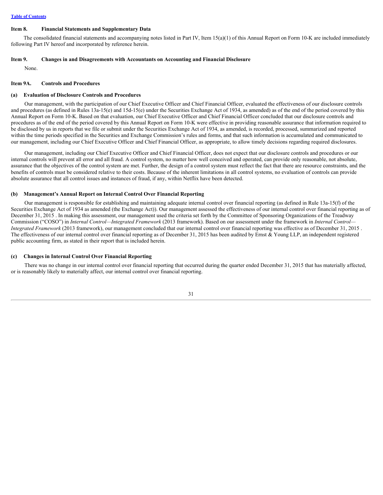#### **Item 8. Financial Statements and Supplementary Data**

The consolidated financial statements and accompanying notes listed in Part IV, Item 15(a)(1) of this Annual Report on Form 10-K are included immediately following Part IV hereof and incorporated by reference herein.

#### **Item 9. Changes in and Disagreements with Accountants on Accounting and Financial Disclosure**

None.

#### **Item 9A. Controls and Procedures**

#### **(a) Evaluation of Disclosure Controls and Procedures**

Our management, with the participation of our Chief Executive Officer and Chief Financial Officer, evaluated the effectiveness of our disclosure controls and procedures (as defined in Rules 13a-15(e) and 15d-15(e) under the Securities Exchange Act of 1934, as amended) as of the end of the period covered by this Annual Report on Form 10-K. Based on that evaluation, our Chief Executive Officer and Chief Financial Officer concluded that our disclosure controls and procedures as of the end of the period covered by this Annual Report on Form 10-K were effective in providing reasonable assurance that information required to be disclosed by us in reports that we file or submit under the Securities Exchange Act of 1934, as amended, is recorded, processed, summarized and reported within the time periods specified in the Securities and Exchange Commission's rules and forms, and that such information is accumulated and communicated to our management, including our Chief Executive Officer and Chief Financial Officer, as appropriate, to allow timely decisions regarding required disclosures.

Our management, including our Chief Executive Officer and Chief Financial Officer, does not expect that our disclosure controls and procedures or our internal controls will prevent all error and all fraud. A control system, no matter how well conceived and operated, can provide only reasonable, not absolute, assurance that the objectives of the control system are met. Further, the design of a control system must reflect the fact that there are resource constraints, and the benefits of controls must be considered relative to their costs. Because of the inherent limitations in all control systems, no evaluation of controls can provide absolute assurance that all control issues and instances of fraud, if any, within Netflix have been detected.

#### **(b) Management's Annual Report on Internal Control Over Financial Reporting**

Our management is responsible for establishing and maintaining adequate internal control over financial reporting (as defined in Rule 13a-15(f) of the Securities Exchange Act of 1934 as amended (the Exchange Act)). Our management assessed the effectiveness of our internal control over financial reporting as of December 31, 2015 . In making this assessment, our management used the criteria set forth by the Committee of Sponsoring Organizations of the Treadway Commission ("COSO") in *Internal Control—Integrated Framework* (2013 framework). Based on our assessment under the framework in *Internal Control— Integrated Framework* (2013 framework), our management concluded that our internal control over financial reporting was effective as of December 31, 2015 . The effectiveness of our internal control over financial reporting as of December 31, 2015 has been audited by Ernst & Young LLP, an independent registered public accounting firm, as stated in their report that is included herein.

#### **(c) Changes in Internal Control Over Financial Reporting**

There was no change in our internal control over financial reporting that occurred during the quarter ended December 31, 2015 that has materially affected, or is reasonably likely to materially affect, our internal control over financial reporting.

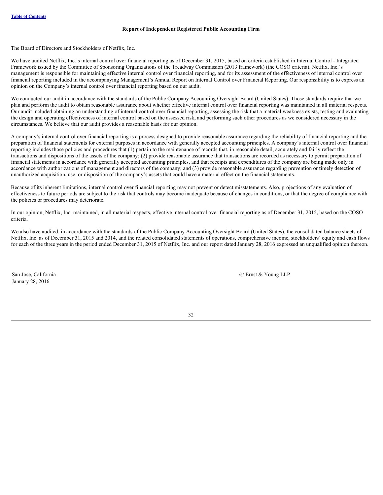#### **Report of Independent Registered Public Accounting Firm**

The Board of Directors and Stockholders of Netflix, Inc.

We have audited Netflix, Inc.'s internal control over financial reporting as of December 31, 2015, based on criteria established in Internal Control - Integrated Framework issued by the Committee of Sponsoring Organizations of the Treadway Commission (2013 framework) (the COSO criteria). Netflix, Inc.'s management is responsible for maintaining effective internal control over financial reporting, and for its assessment of the effectiveness of internal control over financial reporting included in the accompanying Management's Annual Report on Internal Control over Financial Reporting. Our responsibility is to express an opinion on the Company's internal control over financial reporting based on our audit.

We conducted our audit in accordance with the standards of the Public Company Accounting Oversight Board (United States). Those standards require that we plan and perform the audit to obtain reasonable assurance about whether effective internal control over financial reporting was maintained in all material respects. Our audit included obtaining an understanding of internal control over financial reporting, assessing the risk that a material weakness exists, testing and evaluating the design and operating effectiveness of internal control based on the assessed risk, and performing such other procedures as we considered necessary in the circumstances. We believe that our audit provides a reasonable basis for our opinion.

A company's internal control over financial reporting is a process designed to provide reasonable assurance regarding the reliability of financial reporting and the preparation of financial statements for external purposes in accordance with generally accepted accounting principles. A company's internal control over financial reporting includes those policies and procedures that (1) pertain to the maintenance of records that, in reasonable detail, accurately and fairly reflect the transactions and dispositions of the assets of the company; (2) provide reasonable assurance that transactions are recorded as necessary to permit preparation of financial statements in accordance with generally accepted accounting principles, and that receipts and expenditures of the company are being made only in accordance with authorizations of management and directors of the company; and (3) provide reasonable assurance regarding prevention or timely detection of unauthorized acquisition, use, or disposition of the company's assets that could have a material effect on the financial statements.

Because of its inherent limitations, internal control over financial reporting may not prevent or detect misstatements. Also, projections of any evaluation of effectiveness to future periods are subject to the risk that controls may become inadequate because of changes in conditions, or that the degree of compliance with the policies or procedures may deteriorate.

In our opinion, Netflix, Inc. maintained, in all material respects, effective internal control over financial reporting as of December 31, 2015, based on the COSO criteria.

We also have audited, in accordance with the standards of the Public Company Accounting Oversight Board (United States), the consolidated balance sheets of Netflix, Inc. as of December 31, 2015 and 2014, and the related consolidated statements of operations, comprehensive income, stockholders' equity and cash flows for each of the three years in the period ended December 31, 2015 of Netflix, Inc. and our report dated January 28, 2016 expressed an unqualified opinion thereon.

San Jose, California January 28, 2016

/s/ Ernst & Young LLP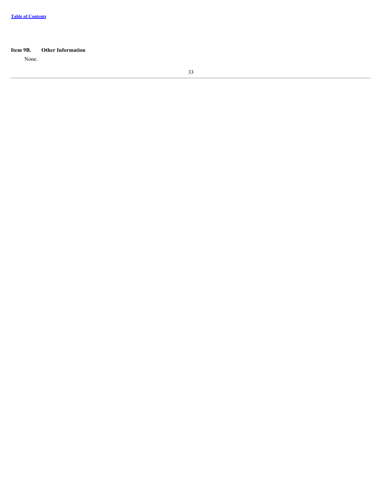#### **Item 9B. Other Information**

None.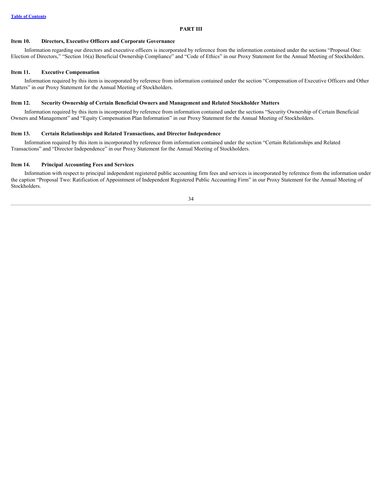### **PART III**

## **Item 10. Directors, Executive Officers and Corporate Governance**

Information regarding our directors and executive officers is incorporated by reference from the information contained under the sections "Proposal One: Election of Directors," "Section 16(a) Beneficial Ownership Compliance" and "Code of Ethics" in our Proxy Statement for the Annual Meeting of Stockholders.

## **Item 11. Executive Compensation**

Information required by this item is incorporated by reference from information contained under the section "Compensation of Executive Officers and Other Matters" in our Proxy Statement for the Annual Meeting of Stockholders.

#### **Item 12. Security Ownership of Certain Beneficial Owners and Management and Related Stockholder Matters**

Information required by this item is incorporated by reference from information contained under the sections "Security Ownership of Certain Beneficial Owners and Management" and "Equity Compensation Plan Information" in our Proxy Statement for the Annual Meeting of Stockholders.

## **Item 13. Certain Relationships and Related Transactions, and Director Independence**

Information required by this item is incorporated by reference from information contained under the section "Certain Relationships and Related Transactions" and "Director Independence" in our Proxy Statement for the Annual Meeting of Stockholders.

## **Item 14. Principal Accounting Fees and Services**

Information with respect to principal independent registered public accounting firm fees and services is incorporated by reference from the information under the caption "Proposal Two: Ratification of Appointment of Independent Registered Public Accounting Firm" in our Proxy Statement for the Annual Meeting of Stockholders.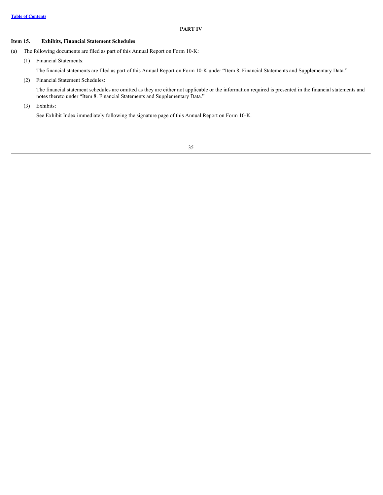## **PART IV**

## **Item 15. Exhibits, Financial Statement Schedules**

- (a) The following documents are filed as part of this Annual Report on Form 10-K:
	- (1) Financial Statements:

The financial statements are filed as part of this Annual Report on Form 10-K under "Item 8. Financial Statements and Supplementary Data."

(2) Financial Statement Schedules:

The financial statement schedules are omitted as they are either not applicable or the information required is presented in the financial statements and notes thereto under "Item 8. Financial Statements and Supplementary Data."

(3) Exhibits:

See Exhibit Index immediately following the signature page of this Annual Report on Form 10-K.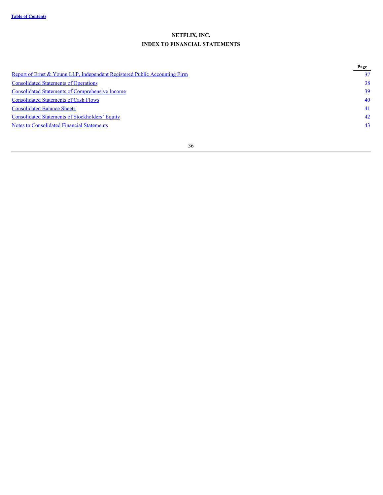# **NETFLIX, INC. INDEX TO FINANCIAL STATEMENTS**

|                                                                            | Page |
|----------------------------------------------------------------------------|------|
| Report of Ernst & Young LLP, Independent Registered Public Accounting Firm | 37   |
| <b>Consolidated Statements of Operations</b>                               |      |
| <b>Consolidated Statements of Comprehensive Income</b>                     |      |
| <b>Consolidated Statements of Cash Flows</b>                               | 40   |
| <b>Consolidated Balance Sheets</b>                                         |      |
| <b>Consolidated Statements of Stockholders' Equity</b>                     |      |
| <b>Notes to Consolidated Financial Statements</b>                          |      |
|                                                                            |      |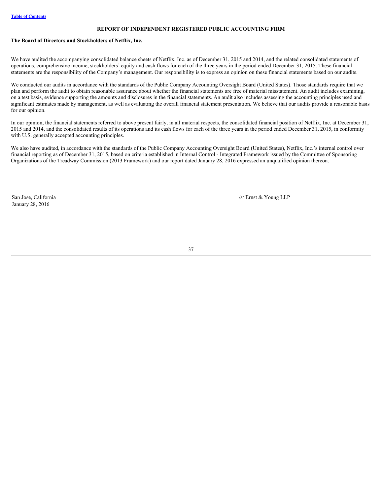## **REPORT OF INDEPENDENT REGISTERED PUBLIC ACCOUNTING FIRM**

# **The Board of Directors and Stockholders of Netflix, Inc.**

We have audited the accompanying consolidated balance sheets of Netflix, Inc. as of December 31, 2015 and 2014, and the related consolidated statements of operations, comprehensive income, stockholders' equity and cash flows for each of the three years in the period ended December 31, 2015. These financial statements are the responsibility of the Company's management. Our responsibility is to express an opinion on these financial statements based on our audits.

We conducted our audits in accordance with the standards of the Public Company Accounting Oversight Board (United States). Those standards require that we plan and perform the audit to obtain reasonable assurance about whether the financial statements are free of material misstatement. An audit includes examining, on a test basis, evidence supporting the amounts and disclosures in the financial statements. An audit also includes assessing the accounting principles used and significant estimates made by management, as well as evaluating the overall financial statement presentation. We believe that our audits provide a reasonable basis for our opinion.

In our opinion, the financial statements referred to above present fairly, in all material respects, the consolidated financial position of Netflix, Inc. at December 31, 2015 and 2014, and the consolidated results of its operations and its cash flows for each of the three years in the period ended December 31, 2015, in conformity with U.S. generally accepted accounting principles.

We also have audited, in accordance with the standards of the Public Company Accounting Oversight Board (United States), Netflix, Inc.'s internal control over financial reporting as of December 31, 2015, based on criteria established in Internal Control - Integrated Framework issued by the Committee of Sponsoring Organizations of the Treadway Commission (2013 Framework) and our report dated January 28, 2016 expressed an unqualified opinion thereon.

San Jose, California January 28, 2016

/s/ Ernst & Young LLP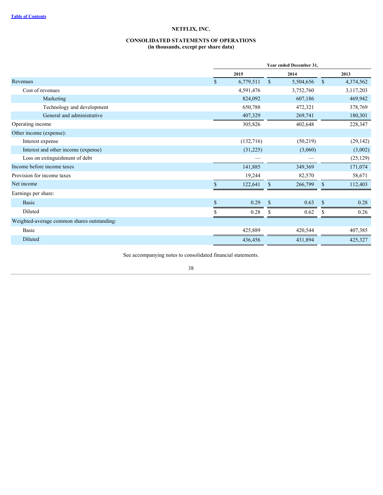# **CONSOLIDATED STATEMENTS OF OPERATIONS (in thousands, except per share data)**

|                                             | Year ended December 31, |      |                   |           |  |  |  |
|---------------------------------------------|-------------------------|------|-------------------|-----------|--|--|--|
|                                             | 2015                    |      | 2014              | 2013      |  |  |  |
| Revenues                                    | $6,779,511$ \$          |      | 5,504,656 \$      | 4,374,562 |  |  |  |
| Cost of revenues                            | 4,591,476               |      | 3,752,760         | 3,117,203 |  |  |  |
| Marketing                                   | 824,092                 |      | 607,186           | 469,942   |  |  |  |
| Technology and development                  | 650,788                 |      | 472,321           | 378,769   |  |  |  |
| General and administrative                  | 407,329                 |      | 269,741           | 180,301   |  |  |  |
| Operating income                            | 305,826                 |      | 402,648           | 228,347   |  |  |  |
| Other income (expense):                     |                         |      |                   |           |  |  |  |
| Interest expense                            | (132,716)               |      | (50,219)          | (29, 142) |  |  |  |
| Interest and other income (expense)         | (31,225)                |      | (3,060)           | (3,002)   |  |  |  |
| Loss on extinguishment of debt              | $\hspace{0.05cm}$       |      | $\hspace{0.05cm}$ | (25, 129) |  |  |  |
| Income before income taxes                  | 141,885                 |      | 349,369           | 171,074   |  |  |  |
| Provision for income taxes                  | 19,244                  |      | 82,570            | 58,671    |  |  |  |
| Net income                                  | 122,641                 | - S  | 266,799           | 112,403   |  |  |  |
| Earnings per share:                         |                         |      |                   |           |  |  |  |
| Basic                                       | 0.29                    | - \$ | $0.63$ \$         | 0.28      |  |  |  |
| Diluted                                     | 0.28                    | - S  | 0.62<br>-8        | 0.26      |  |  |  |
| Weighted-average common shares outstanding: |                         |      |                   |           |  |  |  |
| Basic                                       | 425,889                 |      | 420,544           | 407,385   |  |  |  |
| Diluted                                     | 436,456                 |      | 431,894           | 425,327   |  |  |  |
|                                             |                         |      |                   |           |  |  |  |

See accompanying notes to consolidated financial statements.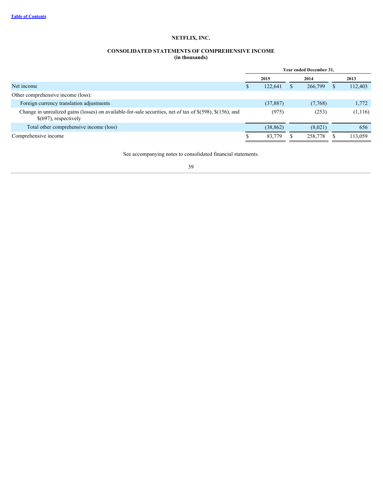#### **CONSOLIDATED STATEMENTS OF COMPREHENSIVE INCOME (in thousands)**

|                                                                                                                                      | Year ended December 31, |  |         |  |         |  |
|--------------------------------------------------------------------------------------------------------------------------------------|-------------------------|--|---------|--|---------|--|
|                                                                                                                                      | 2015                    |  | 2014    |  | 2013    |  |
| Net income                                                                                                                           | 122,641                 |  | 266,799 |  | 112,403 |  |
| Other comprehensive income (loss):                                                                                                   |                         |  |         |  |         |  |
| Foreign currency translation adjustments                                                                                             | (37, 887)               |  | (7,768) |  | 1,772   |  |
| Change in unrealized gains (losses) on available-for-sale securities, net of tax of \$(598), \$(156), and<br>$$(697)$ , respectively | (975)                   |  | (253)   |  | (1,116) |  |
| Total other comprehensive income (loss)                                                                                              | (38, 862)               |  | (8,021) |  | 656     |  |
| Comprehensive income                                                                                                                 | 83,779                  |  | 258,778 |  | 113,059 |  |

See accompanying notes to consolidated financial statements.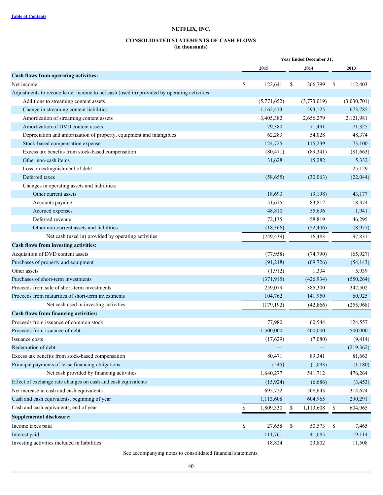# **CONSOLIDATED STATEMENTS OF CASH FLOWS**

**(in thousands)**

|                                                                                             | <b>Year Ended December 31,</b> |                   |              |              |      |             |  |
|---------------------------------------------------------------------------------------------|--------------------------------|-------------------|--------------|--------------|------|-------------|--|
|                                                                                             |                                | 2015              |              | 2014         |      | 2013        |  |
| Cash flows from operating activities:                                                       |                                |                   |              |              |      |             |  |
| Net income                                                                                  | <sup>\$</sup>                  | 122,641           | - S          | 266,799      | - \$ | 112,403     |  |
| Adjustments to reconcile net income to net cash (used in) provided by operating activities: |                                |                   |              |              |      |             |  |
| Additions to streaming content assets                                                       |                                | (5,771,652)       |              | (3,773,019)  |      | (3,030,701) |  |
| Change in streaming content liabilities                                                     |                                | 1,162,413         |              | 593,125      |      | 673,785     |  |
| Amortization of streaming content assets                                                    |                                | 3,405,382         |              | 2,656,279    |      | 2,121,981   |  |
| Amortization of DVD content assets                                                          |                                | 79,380            |              | 71,491       |      | 71,325      |  |
| Depreciation and amortization of property, equipment and intangibles                        |                                | 62,283            |              | 54,028       |      | 48,374      |  |
| Stock-based compensation expense                                                            |                                | 124,725           |              | 115,239      |      | 73,100      |  |
| Excess tax benefits from stock-based compensation                                           |                                | (80, 471)         |              | (89, 341)    |      | (81,663)    |  |
| Other non-cash items                                                                        |                                | 31,628            |              | 15,282       |      | 5,332       |  |
| Loss on extinguishment of debt                                                              |                                | $\hspace{0.05cm}$ |              |              |      | 25,129      |  |
| Deferred taxes                                                                              |                                | (58, 655)         |              | (30,063)     |      | (22,044)    |  |
| Changes in operating assets and liabilities:                                                |                                |                   |              |              |      |             |  |
| Other current assets                                                                        |                                | 18,693            |              | (9,198)      |      | 43,177      |  |
| Accounts payable                                                                            |                                | 51,615            |              | 83,812       |      | 18,374      |  |
| Accrued expenses                                                                            |                                | 48,810            |              | 55,636       |      | 1,941       |  |
| Deferred revenue                                                                            |                                | 72,135            |              | 58,819       |      | 46,295      |  |
| Other non-current assets and liabilities                                                    |                                | (18, 366)         |              | (52, 406)    |      | (8,977)     |  |
| Net cash (used in) provided by operating activities                                         |                                | (749, 439)        |              | 16,483       |      | 97,831      |  |
| Cash flows from investing activities:                                                       |                                |                   |              |              |      |             |  |
| Acquisition of DVD content assets                                                           |                                | (77, 958)         |              | (74, 790)    |      | (65, 927)   |  |
| Purchases of property and equipment                                                         |                                | (91, 248)         |              | (69, 726)    |      | (54, 143)   |  |
| Other assets                                                                                |                                | (1, 912)          |              | 1,334        |      | 5,939       |  |
| Purchases of short-term investments                                                         |                                | (371, 915)        |              | (426, 934)   |      | (550, 264)  |  |
| Proceeds from sale of short-term investments                                                |                                | 259,079           |              | 385,300      |      | 347,502     |  |
| Proceeds from maturities of short-term investments                                          |                                | 104,762           |              | 141,950      |      | 60,925      |  |
| Net cash used in investing activities                                                       |                                | (179, 192)        |              | (42, 866)    |      | (255,968)   |  |
| <b>Cash flows from financing activities:</b>                                                |                                |                   |              |              |      |             |  |
| Proceeds from issuance of common stock                                                      |                                | 77,980            |              | 60,544       |      | 124,557     |  |
| Proceeds from issuance of debt                                                              |                                | 1,500,000         |              | 400,000      |      | 500,000     |  |
| Issuance costs                                                                              |                                | (17,629)          |              | (7,080)      |      | (9, 414)    |  |
| Redemption of debt                                                                          |                                |                   |              |              |      | (219, 362)  |  |
| Excess tax benefits from stock-based compensation                                           |                                | 80,471            |              | 89,341       |      | 81,663      |  |
| Principal payments of lease financing obligations                                           |                                | (545)             |              | (1,093)      |      | (1,180)     |  |
| Net cash provided by financing activities                                                   |                                |                   |              |              |      |             |  |
|                                                                                             |                                | 1,640,277         |              | 541,712      |      | 476,264     |  |
| Effect of exchange rate changes on cash and cash equivalents                                |                                | (15, 924)         |              | (6,686)      |      | (3, 453)    |  |
| Net increase in cash and cash equivalents                                                   |                                | 695,722           |              | 508,643      |      | 314,674     |  |
| Cash and cash equivalents, beginning of year                                                |                                | 1,113,608         |              | 604,965      |      | 290,291     |  |
| Cash and cash equivalents, end of year                                                      | -S                             | 1,809,330         | <sup>S</sup> | 1,113,608 \$ |      | 604,965     |  |
| <b>Supplemental disclosure:</b>                                                             |                                |                   |              |              |      |             |  |
| Income taxes paid                                                                           | $\mathbb{S}$                   | 27,658 \$         |              | 50,573 \$    |      | 7,465       |  |
| Interest paid                                                                               |                                | 111,761           |              | 41,085       |      | 19,114      |  |
| Investing activities included in liabilities                                                |                                | 18,824            |              | 23,802       |      | 11,508      |  |

See accompanying notes to consolidated financial statements.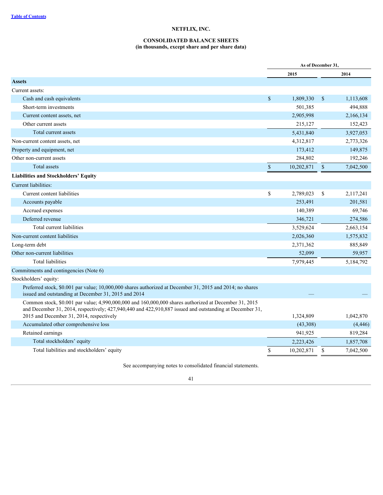# **CONSOLIDATED BALANCE SHEETS (in thousands, except share and per share data)**

|                                                                                                                                                                                                                                                              |                    | As of December 31, |      |           |
|--------------------------------------------------------------------------------------------------------------------------------------------------------------------------------------------------------------------------------------------------------------|--------------------|--------------------|------|-----------|
|                                                                                                                                                                                                                                                              |                    | 2015               |      | 2014      |
| <b>Assets</b>                                                                                                                                                                                                                                                |                    |                    |      |           |
| Current assets:                                                                                                                                                                                                                                              |                    |                    |      |           |
| Cash and cash equivalents                                                                                                                                                                                                                                    | $\mathbb{S}$       | 1,809,330 \$       |      | 1,113,608 |
| Short-term investments                                                                                                                                                                                                                                       |                    | 501,385            |      | 494,888   |
| Current content assets, net                                                                                                                                                                                                                                  |                    | 2,905,998          |      | 2,166,134 |
| Other current assets                                                                                                                                                                                                                                         |                    | 215,127            |      | 152,423   |
| Total current assets                                                                                                                                                                                                                                         |                    | 5,431,840          |      | 3,927,053 |
| Non-current content assets, net                                                                                                                                                                                                                              |                    | 4,312,817          |      | 2,773,326 |
| Property and equipment, net                                                                                                                                                                                                                                  |                    | 173,412            |      | 149,875   |
| Other non-current assets                                                                                                                                                                                                                                     |                    | 284,802            |      | 192,246   |
| Total assets                                                                                                                                                                                                                                                 | $\mathbf{\hat{s}}$ | 10,202,871 \$      |      | 7,042,500 |
| <b>Liabilities and Stockholders' Equity</b>                                                                                                                                                                                                                  |                    |                    |      |           |
| Current liabilities:                                                                                                                                                                                                                                         |                    |                    |      |           |
| Current content liabilities                                                                                                                                                                                                                                  | $\mathbb{S}$       | 2,789,023          | - \$ | 2,117,241 |
| Accounts payable                                                                                                                                                                                                                                             |                    | 253,491            |      | 201,581   |
| Accrued expenses                                                                                                                                                                                                                                             |                    | 140,389            |      | 69,746    |
| Deferred revenue                                                                                                                                                                                                                                             |                    | 346,721            |      | 274,586   |
| Total current liabilities                                                                                                                                                                                                                                    |                    | 3,529,624          |      | 2,663,154 |
| Non-current content liabilities                                                                                                                                                                                                                              |                    | 2,026,360          |      | 1,575,832 |
| Long-term debt                                                                                                                                                                                                                                               |                    | 2,371,362          |      | 885,849   |
| Other non-current liabilities                                                                                                                                                                                                                                |                    | 52,099             |      | 59,957    |
| Total liabilities                                                                                                                                                                                                                                            |                    | 7,979,445          |      | 5,184,792 |
| Commitments and contingencies (Note 6)                                                                                                                                                                                                                       |                    |                    |      |           |
| Stockholders' equity:                                                                                                                                                                                                                                        |                    |                    |      |           |
| Preferred stock, \$0.001 par value; 10,000,000 shares authorized at December 31, 2015 and 2014; no shares<br>issued and outstanding at December 31, 2015 and 2014                                                                                            |                    |                    |      |           |
| Common stock, \$0.001 par value; 4,990,000,000 and 160,000,000 shares authorized at December 31, 2015<br>and December 31, 2014, respectively; 427,940,440 and 422,910,887 issued and outstanding at December 31,<br>2015 and December 31, 2014, respectively |                    | 1,324,809          |      | 1,042,870 |
| Accumulated other comprehensive loss                                                                                                                                                                                                                         |                    | (43,308)           |      | (4, 446)  |
| Retained earnings                                                                                                                                                                                                                                            |                    | 941,925            |      | 819,284   |
| Total stockholders' equity                                                                                                                                                                                                                                   |                    | 2,223,426          |      | 1,857,708 |
| Total liabilities and stockholders' equity                                                                                                                                                                                                                   | <sup>\$</sup>      | 10,202,871         | -S   | 7,042,500 |

See accompanying notes to consolidated financial statements.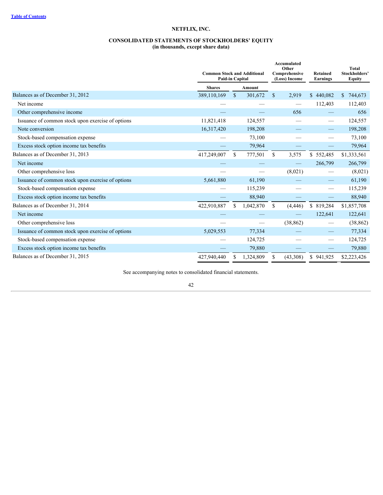#### **CONSOLIDATED STATEMENTS OF STOCKHOLDERS' EQUITY (in thousands, except share data)**

|                                                   | <b>Common Stock and Additional</b> |                 |                          | Accumulated<br>Other<br>Comprehensive | Retained                        | Total<br>Stockholders' |
|---------------------------------------------------|------------------------------------|-----------------|--------------------------|---------------------------------------|---------------------------------|------------------------|
|                                                   |                                    | Paid-in Capital |                          | (Loss) Income                         | Earnings                        | Equity                 |
|                                                   | <b>Shares</b>                      | Amount          |                          |                                       |                                 |                        |
| Balances as of December 31, 2012                  | 389,110,169                        | 301,672         |                          | 2,919<br>-8                           | 440,082                         | 744,673<br>-S          |
| Net income                                        |                                    |                 |                          |                                       | 112,403                         | 112,403                |
| Other comprehensive income                        | $\hspace{0.1mm}-\hspace{0.1mm}$    |                 |                          | 656                                   |                                 | 656                    |
| Issuance of common stock upon exercise of options | 11,821,418                         | 124,557         |                          | $\overline{\phantom{m}}$              | $\qquad \qquad$                 | 124,557                |
| Note conversion                                   | 16,317,420                         | 198,208         |                          | $\hspace{0.05cm}$                     | $\hspace{0.1mm}-\hspace{0.1mm}$ | 198,208                |
| Stock-based compensation expense                  |                                    |                 | 73,100                   |                                       |                                 | 73,100                 |
| Excess stock option income tax benefits           |                                    |                 | 79,964                   |                                       |                                 | 79,964                 |
| Balances as of December 31, 2013                  | 417,249,007                        |                 | 777,501                  | 3,575<br>-S                           | 552,485                         | \$1,333,561            |
| Net income                                        |                                    |                 |                          |                                       | 266,799                         | 266,799                |
| Other comprehensive loss                          |                                    |                 | $\overline{\phantom{m}}$ | (8,021)                               |                                 | (8,021)                |
| Issuance of common stock upon exercise of options | 5,661,880                          |                 | 61,190                   |                                       | $\overline{\phantom{a}}$        | 61,190                 |
| Stock-based compensation expense                  |                                    | 115,239         |                          | $\overline{\phantom{m}}$              |                                 | 115,239                |
| Excess stock option income tax benefits           |                                    |                 | 88,940                   |                                       |                                 | 88,940                 |
| Balances as of December 31, 2014                  | 422,910,887                        | -S              | ,042,870                 | (4, 446)<br>- S                       | 819,284<br>-S                   | \$1,857,708            |
| Net income                                        |                                    |                 |                          |                                       | 122,641                         | 122,641                |
| Other comprehensive loss                          |                                    |                 | $\hspace{0.05cm}$        | (38, 862)                             | $\hspace{0.05cm}$               | (38, 862)              |
| Issuance of common stock upon exercise of options | 5,029,553                          |                 | 77,334                   |                                       |                                 | 77,334                 |
| Stock-based compensation expense                  |                                    | 124,725         |                          |                                       |                                 | 124,725                |
| Excess stock option income tax benefits           |                                    |                 | 79,880                   |                                       | $\overline{\phantom{a}}$        | 79,880                 |
| Balances as of December 31, 2015                  | 427,940,440                        | 1,324,809<br>.S |                          | (43,308)                              | \$941,925                       | \$2,223,426            |

See accompanying notes to consolidated financial statements.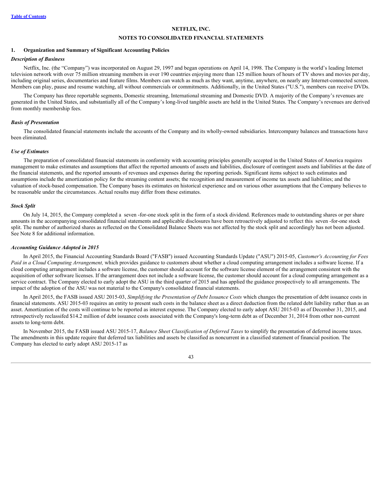## **NOTES TO CONSOLIDATED FINANCIAL STATEMENTS**

### **1. Organization and Summary of Significant Accounting Policies**

## *Description of Business*

Netflix, Inc. (the "Company") was incorporated on August 29, 1997 and began operations on April 14, 1998. The Company is the world's leading Internet television network with over 75 million streaming members in over 190 countries enjoying more than 125 million hours of hours of TV shows and movies per day, including original series, documentaries and feature films. Members can watch as much as they want, anytime, anywhere, on nearly any Internet-connected screen. Members can play, pause and resume watching, all without commercials or commitments. Additionally, in the United States ("U.S."), members can receive DVDs.

The Company has three reportable segments, Domestic streaming, International streaming and Domestic DVD. A majority of the Company's revenues are generated in the United States, and substantially all of the Company's long-lived tangible assets are held in the United States. The Company's revenues are derived from monthly membership fees.

#### *Basis of Presentation*

The consolidated financial statements include the accounts of the Company and its wholly-owned subsidiaries. Intercompany balances and transactions have been eliminated.

#### *Use of Estimates*

The preparation of consolidated financial statements in conformity with accounting principles generally accepted in the United States of America requires management to make estimates and assumptions that affect the reported amounts of assets and liabilities, disclosure of contingent assets and liabilities at the date of the financial statements, and the reported amounts of revenues and expenses during the reporting periods. Significant items subject to such estimates and assumptions include the amortization policy for the streaming content assets; the recognition and measurement of income tax assets and liabilities; and the valuation of stock-based compensation. The Company bases its estimates on historical experience and on various other assumptions that the Company believes to be reasonable under the circumstances. Actual results may differ from these estimates.

#### *Stock Split*

On July 14, 2015, the Company completed a seven -for-one stock split in the form of a stock dividend. References made to outstanding shares or per share amounts in the accompanying consolidated financial statements and applicable disclosures have been retroactively adjusted to reflect this seven -for-one stock split. The number of authorized shares as reflected on the Consolidated Balance Sheets was not affected by the stock split and accordingly has not been adjusted. See Note 8 for additional information.

#### *Accounting Guidance Adopted in 2015*

In April 2015, the Financial Accounting Standards Board ("FASB") issued Accounting Standards Update ("ASU") 2015-05, *Customer's Accounting for Fees Paid in a Cloud Computing Arrangement,* which provides guidance to customers about whether a cloud computing arrangement includes a software license. If a cloud computing arrangement includes a software license, the customer should account for the software license element of the arrangement consistent with the acquisition of other software licenses. If the arrangement does not include a software license, the customer should account for a cloud computing arrangement as a service contract. The Company elected to early adopt the ASU in the third quarter of 2015 and has applied the guidance prospectively to all arrangements. The impact of the adoption of the ASU was not material to the Company's consolidated financial statements.

In April 2015, the FASB issued ASU 2015-03, *Simplifying the Presentation of Debt Issuance Costs* which changes the presentation of debt issuance costs in financial statements. ASU 2015-03 requires an entity to present such costs in the balance sheet as a direct deduction from the related debt liability rather than as an asset. Amortization of the costs will continue to be reported as interest expense. The Company elected to early adopt ASU 2015-03 as of December 31, 2015, and retrospectively reclassifed \$14.2 million of debt issuance costs associated with the Company's long-term debt as of December 31, 2014 from other non-current assets to long-term debt.

In November 2015, the FASB issued ASU 2015-17, *Balance Sheet Classification of Deferred Taxes* to simplify the presentation of deferred income taxes. The amendments in this update require that deferred tax liabilities and assets be classified as noncurrent in a classified statement of financial position. The Company has elected to early adopt ASU 2015-17 as

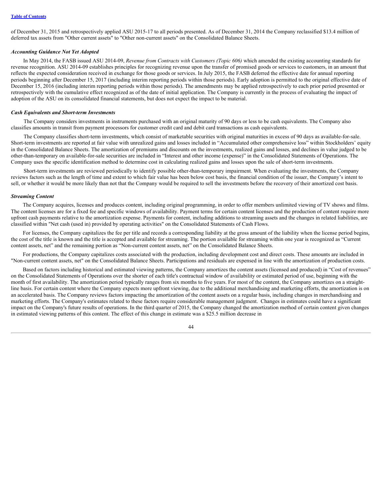of December 31, 2015 and retrospectively applied ASU 2015-17 to all periods presented. As of December 31, 2014 the Company reclassified \$13.4 million of deferred tax assets from "Other current assets" to "Other non-current assets" on the Consolidated Balance Sheets.

### *Accounting Guidance Not Yet Adopted*

In May 2014, the FASB issued ASU 2014-09, *Revenue from Contracts with Customers (Topic 606)* which amended the existing accounting standards for revenue recognition. ASU 2014-09 establishes principles for recognizing revenue upon the transfer of promised goods or services to customers, in an amount that reflects the expected consideration received in exchange for those goods or services. In July 2015, the FASB deferred the effective date for annual reporting periods beginning after December 15, 2017 (including interim reporting periods within those periods). Early adoption is permitted to the original effective date of December 15, 2016 (including interim reporting periods within those periods). The amendments may be applied retrospectively to each prior period presented or retrospectively with the cumulative effect recognized as of the date of initial application. The Company is currently in the process of evaluating the impact of adoption of the ASU on its consolidated financial statements, but does not expect the impact to be material.

### *Cash Equivalents and Short-term Investments*

The Company considers investments in instruments purchased with an original maturity of 90 days or less to be cash equivalents. The Company also classifies amounts in transit from payment processors for customer credit card and debit card transactions as cash equivalents.

The Company classifies short-term investments, which consist of marketable securities with original maturities in excess of 90 days as available-for-sale. Short-term investments are reported at fair value with unrealized gains and losses included in "Accumulated other comprehensive loss" within Stockholders' equity in the Consolidated Balance Sheets. The amortization of premiums and discounts on the investments, realized gains and losses, and declines in value judged to be other-than-temporary on available-for-sale securities are included in "Interest and other income (expense)" in the Consolidated Statements of Operations. The Company uses the specific identification method to determine cost in calculating realized gains and losses upon the sale of short-term investments.

Short-term investments are reviewed periodically to identify possible other-than-temporary impairment. When evaluating the investments, the Company reviews factors such as the length of time and extent to which fair value has been below cost basis, the financial condition of the issuer, the Company's intent to sell, or whether it would be more likely than not that the Company would be required to sell the investments before the recovery of their amortized cost basis.

#### *Streaming Content*

The Company acquires, licenses and produces content, including original programming, in order to offer members unlimited viewing of TV shows and films. The content licenses are for a fixed fee and specific windows of availability. Payment terms for certain content licenses and the production of content require more upfront cash payments relative to the amortization expense. Payments for content, including additions to streaming assets and the changes in related liabilities, are classified within "Net cash (used in) provided by operating activities" on the Consolidated Statements of Cash Flows.

For licenses, the Company capitalizes the fee per title and records a corresponding liability at the gross amount of the liability when the license period begins, the cost of the title is known and the title is accepted and available for streaming. The portion available for streaming within one year is recognized as "Current content assets, net" and the remaining portion as "Non-current content assets, net" on the Consolidated Balance Sheets.

For productions, the Company capitalizes costs associated with the production, including development cost and direct costs. These amounts are included in "Non-current content assets, net" on the Consolidated Balance Sheets. Participations and residuals are expensed in line with the amortization of production costs.

Based on factors including historical and estimated viewing patterns, the Company amortizes the content assets (licensed and produced) in "Cost of revenues" on the Consolidated Statements of Operations over the shorter of each title's contractual window of availability or estimated period of use, beginning with the month of first availability. The amortization period typically ranges from six months to five years. For most of the content, the Company amortizes on a straightline basis. For certain content where the Company expects more upfront viewing, due to the additional merchandising and marketing efforts, the amortization is on an accelerated basis. The Company reviews factors impacting the amortization of the content assets on a regular basis, including changes in merchandising and marketing efforts. The Company's estimates related to these factors require considerable management judgment. Changes in estimates could have a significant impact on the Company's future results of operations. In the third quarter of 2015, the Company changed the amortization method of certain content given changes in estimated viewing patterns of this content. The effect of this change in estimate was a \$25.5 million decrease in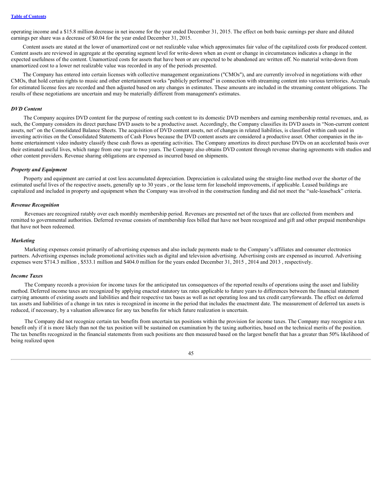operating income and a \$15.8 million decrease in net income for the year ended December 31, 2015. The effect on both basic earnings per share and diluted earnings per share was a decrease of \$0.04 for the year ended December 31, 2015.

Content assets are stated at the lower of unamortized cost or net realizable value which approximates fair value of the capitalized costs for produced content. Content assets are reviewed in aggregate at the operating segment level for write-down when an event or change in circumstances indicates a change in the expected usefulness of the content. Unamortized costs for assets that have been or are expected to be abandoned are written off. No material write-down from unamortized cost to a lower net realizable value was recorded in any of the periods presented.

The Company has entered into certain licenses with collective management organizations ("CMOs"), and are currently involved in negotiations with other CMOs, that hold certain rights to music and other entertainment works "publicly performed" in connection with streaming content into various territories. Accruals for estimated license fees are recorded and then adjusted based on any changes in estimates. These amounts are included in the streaming content obligations. The results of these negotiations are uncertain and may be materially different from management's estimates.

#### *DVD Content*

The Company acquires DVD content for the purpose of renting such content to its domestic DVD members and earning membership rental revenues, and, as such, the Company considers its direct purchase DVD assets to be a productive asset. Accordingly, the Company classifies its DVD assets in "Non-current content assets, net" on the Consolidated Balance Sheets. The acquisition of DVD content assets, net of changes in related liabilities, is classified within cash used in investing activities on the Consolidated Statements of Cash Flows because the DVD content assets are considered a productive asset. Other companies in the inhome entertainment video industry classify these cash flows as operating activities. The Company amortizes its direct purchase DVDs on an accelerated basis over their estimated useful lives, which range from one year to two years. The Company also obtains DVD content through revenue sharing agreements with studios and other content providers. Revenue sharing obligations are expensed as incurred based on shipments.

#### *Property and Equipment*

Property and equipment are carried at cost less accumulated depreciation. Depreciation is calculated using the straight-line method over the shorter of the estimated useful lives of the respective assets, generally up to 30 years , or the lease term for leasehold improvements, if applicable. Leased buildings are capitalized and included in property and equipment when the Company was involved in the construction funding and did not meet the "sale-leaseback" criteria.

#### *Revenue Recognition*

Revenues are recognized ratably over each monthly membership period. Revenues are presented net of the taxes that are collected from members and remitted to governmental authorities. Deferred revenue consists of membership fees billed that have not been recognized and gift and other prepaid memberships that have not been redeemed.

#### *Marketing*

Marketing expenses consist primarily of advertising expenses and also include payments made to the Company's affiliates and consumer electronics partners. Advertising expenses include promotional activities such as digital and television advertising. Advertising costs are expensed as incurred. Advertising expenses were \$714.3 million , \$533.1 million and \$404.0 million for the years ended December 31, 2015 , 2014 and 2013 , respectively.

#### *Income Taxes*

The Company records a provision for income taxes for the anticipated tax consequences of the reported results of operations using the asset and liability method. Deferred income taxes are recognized by applying enacted statutory tax rates applicable to future years to differences between the financial statement carrying amounts of existing assets and liabilities and their respective tax bases as well as net operating loss and tax credit carryforwards. The effect on deferred tax assets and liabilities of a change in tax rates is recognized in income in the period that includes the enactment date. The measurement of deferred tax assets is reduced, if necessary, by a valuation allowance for any tax benefits for which future realization is uncertain.

The Company did not recognize certain tax benefits from uncertain tax positions within the provision for income taxes. The Company may recognize a tax benefit only if it is more likely than not the tax position will be sustained on examination by the taxing authorities, based on the technical merits of the position. The tax benefits recognized in the financial statements from such positions are then measured based on the largest benefit that has a greater than 50% likelihood of being realized upon

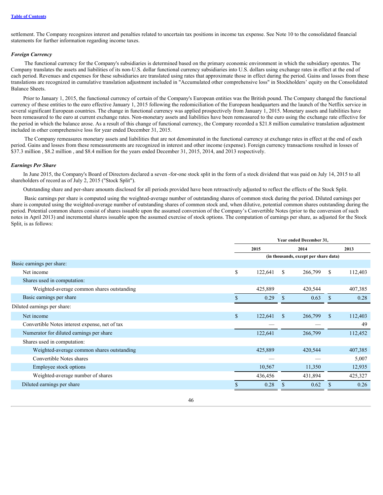settlement. The Company recognizes interest and penalties related to uncertain tax positions in income tax expense. See Note 10 to the consolidated financial statements for further information regarding income taxes.

### *Foreign Currency*

The functional currency for the Company's subsidiaries is determined based on the primary economic environment in which the subsidiary operates. The Company translates the assets and liabilities of its non-U.S. dollar functional currency subsidiaries into U.S. dollars using exchange rates in effect at the end of each period. Revenues and expenses for these subsidiaries are translated using rates that approximate those in effect during the period. Gains and losses from these translations are recognized in cumulative translation adjustment included in "Accumulated other comprehensive loss" in Stockholders' equity on the Consolidated Balance Sheets.

Prior to January 1, 2015, the functional currency of certain of the Company's European entities was the British pound. The Company changed the functional currency of these entities to the euro effective January 1, 2015 following the redomiciliation of the European headquarters and the launch of the Netflix service in several significant European countries. The change in functional currency was applied prospectively from January 1, 2015. Monetary assets and liabilities have been remeasured to the euro at current exchange rates. Non-monetary assets and liabilities have been remeasured to the euro using the exchange rate effective for the period in which the balance arose. As a result of this change of functional currency, the Company recorded a \$21.8 million cumulative translation adjustment included in other comprehensive loss for year ended December 31, 2015.

The Company remeasures monetary assets and liabilities that are not denominated in the functional currency at exchange rates in effect at the end of each period. Gains and losses from these remeasurements are recognized in interest and other income (expense). Foreign currency transactions resulted in losses of \$37.3 million , \$8.2 million , and \$8.4 million for the years ended December 31, 2015, 2014, and 2013 respectively.

### *Earnings Per Share*

In June 2015, the Company's Board of Directors declared a seven -for-one stock split in the form of a stock dividend that was paid on July 14, 2015 to all shareholders of record as of July 2, 2015 ("Stock Split").

Outstanding share and per-share amounts disclosed for all periods provided have been retroactively adjusted to reflect the effects of the Stock Split.

Basic earnings per share is computed using the weighted-average number of outstanding shares of common stock during the period. Diluted earnings per share is computed using the weighted-average number of outstanding shares of common stock and, when dilutive, potential common shares outstanding during the period. Potential common shares consist of shares issuable upon the assumed conversion of the Company's Convertible Notes (prior to the conversion of such notes in April 2013) and incremental shares issuable upon the assumed exercise of stock options. The computation of earnings per share, as adjusted for the Stock Split, is as follows:

|                                                | Year ended December 31,               |      |                   |               |         |  |  |  |  |
|------------------------------------------------|---------------------------------------|------|-------------------|---------------|---------|--|--|--|--|
|                                                | 2015                                  | 2013 |                   |               |         |  |  |  |  |
|                                                | (in thousands, except per share data) |      |                   |               |         |  |  |  |  |
| Basic earnings per share:                      |                                       |      |                   |               |         |  |  |  |  |
| Net income                                     | $122,641$ \$                          |      | 266,799           | <sup>S</sup>  | 112,403 |  |  |  |  |
| Shares used in computation:                    |                                       |      |                   |               |         |  |  |  |  |
| Weighted-average common shares outstanding     | 425,889                               |      | 420,544           |               | 407,385 |  |  |  |  |
| Basic earnings per share                       | 0.29                                  |      | 0.63              | $\mathcal{S}$ | 0.28    |  |  |  |  |
| Diluted earnings per share:                    |                                       |      |                   |               |         |  |  |  |  |
| Net income                                     | $122,641$ \$                          |      | 266,799 \$        |               | 112,403 |  |  |  |  |
| Convertible Notes interest expense, net of tax | $\hspace{0.05cm}$                     |      |                   |               | 49      |  |  |  |  |
| Numerator for diluted earnings per share       | 122,641                               |      | 266,799           |               | 112,452 |  |  |  |  |
| Shares used in computation:                    |                                       |      |                   |               |         |  |  |  |  |
| Weighted-average common shares outstanding     | 425,889                               |      | 420,544           |               | 407,385 |  |  |  |  |
| Convertible Notes shares                       | $\overbrace{\hspace{25mm}}^{}$        |      | $\hspace{0.05cm}$ |               | 5,007   |  |  |  |  |
| Employee stock options                         | 10,567                                |      | 11,350            |               | 12,935  |  |  |  |  |
| Weighted-average number of shares              | 436,456                               |      | 431,894           |               | 425,327 |  |  |  |  |
| Diluted earnings per share                     | 0.28                                  |      | 0.62              |               | 0.26    |  |  |  |  |
|                                                |                                       |      |                   |               |         |  |  |  |  |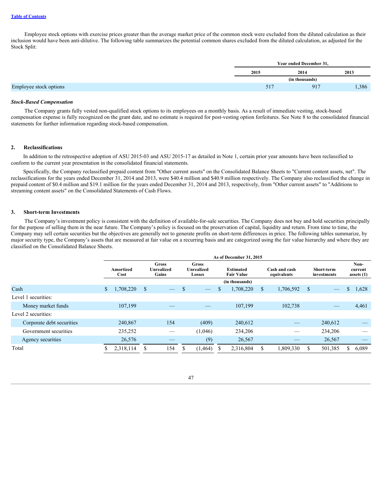Employee stock options with exercise prices greater than the average market price of the common stock were excluded from the diluted calculation as their inclusion would have been anti-dilutive. The following table summarizes the potential common shares excluded from the diluted calculation, as adjusted for the Stock Split:

|                        | Year ended December 31, |                |       |  |  |  |  |
|------------------------|-------------------------|----------------|-------|--|--|--|--|
|                        | 2015                    | 2014           | 2013  |  |  |  |  |
|                        |                         | (in thousands) |       |  |  |  |  |
| Employee stock options | - 1 -<br>51/            | 917            | 1,386 |  |  |  |  |

## *Stock-Based Compensation*

The Company grants fully vested non-qualified stock options to its employees on a monthly basis. As a result of immediate vesting, stock-based compensation expense is fully recognized on the grant date, and no estimate is required for post-vesting option forfeitures. See Note 8 to the consolidated financial statements for further information regarding stock-based compensation.

### **2. Reclassifications**

In addition to the retrospective adoption of ASU 2015-03 and ASU 2015-17 as detailed in Note 1, certain prior year amounts have been reclassified to conform to the current year presentation in the consolidated financial statements.

Specifically, the Company reclassified prepaid content from "Other current assets" on the Consolidated Balance Sheets to "Current content assets, net". The reclassifications for the years ended December 31, 2014 and 2013, were \$40.4 million and \$40.9 million respectively. The Company also reclassified the change in prepaid content of \$0.4 million and \$19.1 million for the years ended December 31, 2014 and 2013, respectively, from "Other current assets" to "Additions to streaming content assets" on the Consolidated Statements of Cash Flows.

#### **3. Short-term Investments**

The Company's investment policy is consistent with the definition of available-for-sale securities. The Company does not buy and hold securities principally for the purpose of selling them in the near future. The Company's policy is focused on the preservation of capital, liquidity and return. From time to time, the Company may sell certain securities but the objectives are generally not to generate profits on short-term differences in price. The following tables summarize, by major security type, the Company's assets that are measured at fair value on a recurring basis and are categorized using the fair value hierarchy and where they are classified on the Consolidated Balance Sheets.

|                           |                   |                                 |                                      | As of December 31, 2015               |                                 |                           |                                 |
|---------------------------|-------------------|---------------------------------|--------------------------------------|---------------------------------------|---------------------------------|---------------------------|---------------------------------|
|                           | Amortized<br>Cost | Gross<br>Unrealized<br>Gains    | Gross<br>Unrealized<br><b>Losses</b> | <b>Estimated</b><br><b>Fair Value</b> | Cash and cash<br>equivalents    | Short-term<br>investments | Non-<br>current<br>assets $(1)$ |
|                           |                   |                                 |                                      | (in thousands)                        |                                 |                           |                                 |
| Cash                      | $1,708,220$ \$    | $\overline{\phantom{a}}$        | $\overline{\phantom{a}}$             | ,708,220                              | 1,706,592                       | - S                       | $-$ \$ 1,628                    |
| Level 1 securities:       |                   |                                 |                                      |                                       |                                 |                           |                                 |
| Money market funds        | 107,199           | $\overline{\phantom{m}}$        | $\qquad \qquad -$                    | 107,199                               | 102,738                         | $\overline{\phantom{m}}$  | 4,461                           |
| Level 2 securities:       |                   |                                 |                                      |                                       |                                 |                           |                                 |
| Corporate debt securities | 240,867           | 154                             | (409)                                | 240,612                               | $\hspace{0.1mm}-\hspace{0.1mm}$ | 240,612                   | $\overline{\phantom{m}}$        |
| Government securities     | 235,252           | $\hspace{0.1mm}-\hspace{0.1mm}$ | (1,046)                              | 234,206                               | $\hspace{0.1mm}-\hspace{0.1mm}$ | 234,206                   | $\overline{\phantom{m}}$        |
| Agency securities         | 26,576            | $\overline{\phantom{a}}$        | (9)                                  | 26,567                                | $\overline{\phantom{a}}$        | 26,567                    |                                 |
| Total                     | 2,318,114 \$      | 154                             | (1, 464)                             | 2,316,804                             | 1,809,330                       | 501,385                   | \$6,089                         |
|                           |                   |                                 |                                      |                                       |                                 |                           |                                 |

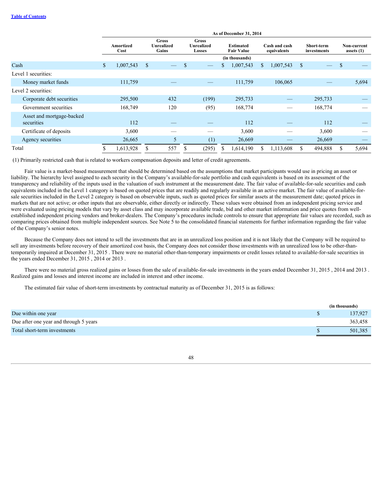|                                         |                                |                                     |                                      | As of December 31, 2014               |                               |                           |              |                          |
|-----------------------------------------|--------------------------------|-------------------------------------|--------------------------------------|---------------------------------------|-------------------------------|---------------------------|--------------|--------------------------|
|                                         | Amortized<br>Cost              | Gross<br><b>Unrealized</b><br>Gains | <b>Gross</b><br>Unrealized<br>Losses | <b>Estimated</b><br><b>Fair Value</b> | Cash and cash<br>equivalents  | Short-term<br>investments | assets $(1)$ | Non-current              |
|                                         |                                |                                     |                                      | (in thousands)                        |                               |                           |              |                          |
| Cash                                    | $1,007,543$ \$<br><sup>S</sup> | $\frac{1}{2}$                       | $\overline{\phantom{a}}$             | 1,007,543                             | $1,007,543$ \$                | $\overline{\phantom{a}}$  |              |                          |
| Level 1 securities:                     |                                |                                     |                                      |                                       |                               |                           |              |                          |
| Money market funds                      | 111,759                        | $\qquad \qquad -$                   | $\overline{\phantom{m}}$             | 111,759                               | 106,065                       | $\overline{\phantom{a}}$  |              | 5,694                    |
| Level 2 securities:                     |                                |                                     |                                      |                                       |                               |                           |              |                          |
| Corporate debt securities               | 295,500                        | 432                                 | (199)                                | 295,733                               | $\overline{\phantom{m}}$      | 295,733                   |              | $\frac{1}{2}$            |
| Government securities                   | 168,749                        | 120                                 | (95)                                 | 168,774                               |                               | 168,774                   |              |                          |
| Asset and mortgage-backed<br>securities | 112                            |                                     | $\overline{\phantom{m}}$             | 112                                   |                               | 112                       |              | $\overline{\phantom{m}}$ |
| Certificate of deposits                 | 3,600                          | $\overbrace{\phantom{aaaaa}}$       | $\overline{\phantom{0}}$             | 3,600                                 | $\overbrace{\phantom{aaaaa}}$ | 3,600                     |              | $\overline{\phantom{m}}$ |
| Agency securities                       | 26,665                         |                                     | (1)                                  | 26,669                                | $\overline{\phantom{a}}$      | 26,669                    |              | $\overline{\phantom{a}}$ |
| Total                                   | 1,613,928                      | 557                                 | (295)<br>-S                          | 1,614,190                             | 1,113,608                     | 494,888                   |              | 5,694                    |

(1) Primarily restricted cash that is related to workers compensation deposits and letter of credit agreements.

Fair value is a market-based measurement that should be determined based on the assumptions that market participants would use in pricing an asset or liability. The hierarchy level assigned to each security in the Company's available-for-sale portfolio and cash equivalents is based on its assessment of the transparency and reliability of the inputs used in the valuation of such instrument at the measurement date. The fair value of available-for-sale securities and cash equivalents included in the Level 1 category is based on quoted prices that are readily and regularly available in an active market. The fair value of available-forsale securities included in the Level 2 category is based on observable inputs, such as quoted prices for similar assets at the measurement date; quoted prices in markets that are not active; or other inputs that are observable, either directly or indirectly. These values were obtained from an independent pricing service and were evaluated using pricing models that vary by asset class and may incorporate available trade, bid and other market information and price quotes from wellestablished independent pricing vendors and broker-dealers. The Company's procedures include controls to ensure that appropriate fair values are recorded, such as comparing prices obtained from multiple independent sources. See Note 5 to the consolidated financial statements for further information regarding the fair value of the Company's senior notes.

Because the Company does not intend to sell the investments that are in an unrealized loss position and it is not likely that the Company will be required to sell any investments before recovery of their amortized cost basis, the Company does not consider those investments with an unrealized loss to be other-thantemporarily impaired at December 31, 2015 . There were no material other-than-temporary impairments or credit losses related to available-for-sale securities in the years ended December 31, 2015 , 2014 or 2013 .

There were no material gross realized gains or losses from the sale of available-for-sale investments in the years ended December 31, 2015 , 2014 and 2013 . Realized gains and losses and interest income are included in interest and other income.

The estimated fair value of short-term investments by contractual maturity as of December 31, 2015 is as follows:

|                                        | (in thousands) |
|----------------------------------------|----------------|
| Due within one year                    | 137,927        |
| Due after one year and through 5 years | 363,458        |
| Total short-term investments           | 501,385        |
|                                        |                |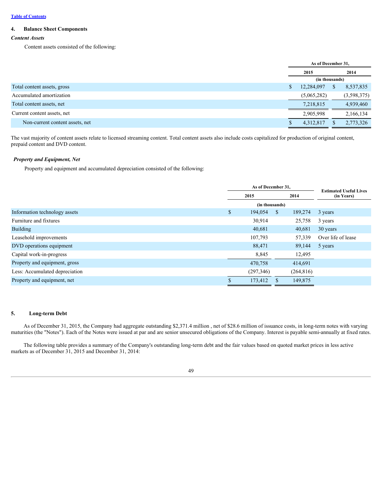### **4. Balance Sheet Components**

# *Content Assets*

Content assets consisted of the following:

|                                 |              | As of December 31, |                |             |  |  |
|---------------------------------|--------------|--------------------|----------------|-------------|--|--|
|                                 |              | 2015               |                | 2014        |  |  |
|                                 |              |                    | (in thousands) |             |  |  |
| Total content assets, gross     | $\mathbf{E}$ | 12,284,097         |                | 8,537,835   |  |  |
| Accumulated amortization        |              | (5,065,282)        |                | (3,598,375) |  |  |
| Total content assets, net       |              | 7,218,815          |                | 4,939,460   |  |  |
| Current content assets, net     |              | 2,905,998          |                | 2,166,134   |  |  |
| Non-current content assets, net |              | 4,312,817          |                | 2,773,326   |  |  |
|                                 |              |                    |                |             |  |  |

The vast majority of content assets relate to licensed streaming content. Total content assets also include costs capitalized for production of original content, prepaid content and DVD content.

### *Property and Equipment, Net*

Property and equipment and accumulated depreciation consisted of the following:

|                                |    | As of December 31,     |              |            | <b>Estimated Useful Lives</b> |  |
|--------------------------------|----|------------------------|--------------|------------|-------------------------------|--|
|                                |    | 2015<br>(in thousands) |              | 2014       | (in Years)                    |  |
|                                |    |                        |              |            |                               |  |
| Information technology assets  | D. | 194,054                | <sup>S</sup> | 189,274    | 3 years                       |  |
| Furniture and fixtures         |    | 30,914                 |              | 25,758     | 3 years                       |  |
| <b>Building</b>                |    | 40,681                 |              | 40,681     | 30 years                      |  |
| Leasehold improvements         |    | 107,793                |              | 57,339     | Over life of lease            |  |
| DVD operations equipment       |    | 88,471                 |              | 89,144     | 5 years                       |  |
| Capital work-in-progress       |    | 8,845                  |              | 12,495     |                               |  |
| Property and equipment, gross  |    | 470,758                |              | 414,691    |                               |  |
| Less: Accumulated depreciation |    | (297, 346)             |              | (264, 816) |                               |  |
| Property and equipment, net    |    | 173,412                |              | 149,875    |                               |  |
|                                |    |                        |              |            |                               |  |

# **5. Long-term Debt**

As of December 31, 2015, the Company had aggregate outstanding \$2,371.4 million , net of \$28.6 million of issuance costs, in long-term notes with varying maturities (the "Notes"). Each of the Notes were issued at par and are senior unsecured obligations of the Company. Interest is payable semi-annually at fixed rates.

The following table provides a summary of the Company's outstanding long-term debt and the fair values based on quoted market prices in less active markets as of December 31, 2015 and December 31, 2014:

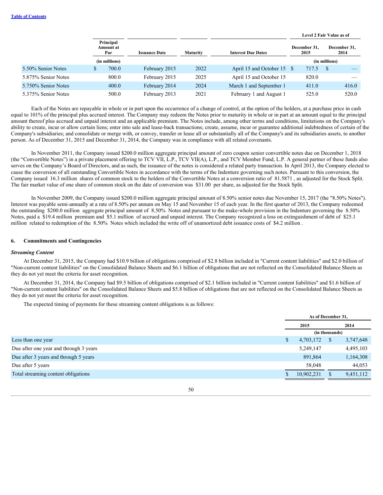|                               |                      |          |                           |       | Level 2 Fair Value as of                   |
|-------------------------------|----------------------|----------|---------------------------|-------|--------------------------------------------|
| Principal<br>Amount at<br>Par | <b>Issuance Date</b> | Maturity | <b>Interest Due Dates</b> | 2015  | December 31,<br>2014                       |
| (in millions)                 |                      |          |                           |       | (in millions)                              |
| 700.0                         | February 2015        | 2022     |                           | 717.5 |                                            |
| 800.0                         | February 2015        | 2025     | April 15 and October 15   | 820.0 | $\hspace{0.1mm}-\hspace{0.1mm}$            |
| 400.0                         | February 2014        | 2024     | March 1 and September 1   | 411.0 | 416.0                                      |
| 500.0                         | February 2013        | 2021     | February 1 and August 1   | 525.0 | 520.0                                      |
|                               |                      |          |                           |       | December 31,<br>April 15 and October 15 \$ |

Each of the Notes are repayable in whole or in part upon the occurrence of a change of control, at the option of the holders, at a purchase price in cash equal to 101% of the principal plus accrued interest. The Company may redeem the Notes prior to maturity in whole or in part at an amount equal to the principal amount thereof plus accrued and unpaid interest and an applicable premium. The Notes include, among other terms and conditions, limitations on the Company's ability to create, incur or allow certain liens; enter into sale and lease-back transactions; create, assume, incur or guarantee additional indebtedness of certain of the Company's subsidiaries; and consolidate or merge with, or convey, transfer or lease all or substantially all of the Company's and its subsidiaries assets, to another person. As of December 31, 2015 and December 31, 2014, the Company was in compliance with all related covenants.

In November 2011, the Company issued \$200.0 million aggregate principal amount of zero coupon senior convertible notes due on December 1, 2018 (the "Convertible Notes") in a private placement offering to TCV VII, L.P., TCV VII(A), L.P., and TCV Member Fund, L.P. A general partner of these funds also serves on the Company's Board of Directors, and as such, the issuance of the notes is considered a related party transaction. In April 2013, the Company elected to cause the conversion of all outstanding Convertible Notes in accordance with the terms of the Indenture governing such notes. Pursuant to this conversion, the Company issued 16.3 million shares of common stock to the holders of the Convertible Notes at a conversion ratio of 81.5871 , as adjusted for the Stock Split. The fair market value of one share of common stock on the date of conversion was \$31.00 per share, as adjusted for the Stock Split.

In November 2009, the Company issued \$200.0 million aggregate principal amount of 8.50% senior notes due November 15, 2017 (the "8.50% Notes"). Interest was payable semi-annually at a rate of 8.50% per annum on May 15 and November 15 of each year. In the first quarter of 2013, the Company redeemed the outstanding \$200.0 million aggregate principal amount of 8.50% Notes and pursuant to the make-whole provision in the Indenture governing the 8.50% Notes, paid a \$19.4 million premium and \$5.1 million of accrued and unpaid interest. The Company recognized a loss on extinguishment of debt of \$25.1 million related to redemption of the 8.50% Notes which included the write off of unamortized debt issuance costs of \$4.2 million .

#### **6. Commitments and Contingencies**

#### *Streaming Content*

At December 31, 2015, the Company had \$10.9 billion of obligations comprised of \$2.8 billion included in "Current content liabilities" and \$2.0 billion of "Non-current content liabilities" on the Consolidated Balance Sheets and \$6.1 billion of obligations that are not reflected on the Consolidated Balance Sheets as they do not yet meet the criteria for asset recognition.

At December 31, 2014, the Company had \$9.5 billion of obligations comprised of \$2.1 billion included in "Current content liabilities" and \$1.6 billion of "Non-current content liabilities" on the Consolidated Balance Sheets and \$5.8 billion of obligations that are not reflected on the Consolidated Balance Sheets as they do not yet meet the criteria for asset recognition.

The expected timing of payments for these streaming content obligations is as follows:

|                                        | As of December 31, |  |           |  |  |  |
|----------------------------------------|--------------------|--|-----------|--|--|--|
|                                        | 2015               |  | 2014      |  |  |  |
|                                        | (in thousands)     |  |           |  |  |  |
| Less than one year                     | 4,703,172          |  | 3,747,648 |  |  |  |
| Due after one year and through 3 years | 5,249,147          |  | 4,495,103 |  |  |  |
| Due after 3 years and through 5 years  | 891,864            |  | 1,164,308 |  |  |  |
| Due after 5 years                      | 58,048             |  | 44,053    |  |  |  |
| Total streaming content obligations    | 10,902,231         |  | 9,451,112 |  |  |  |
|                                        |                    |  |           |  |  |  |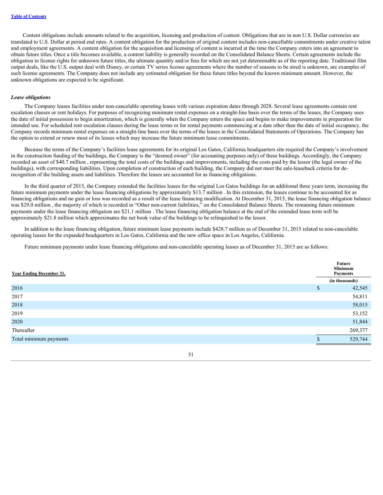Content obligations include amounts related to the acquisition, licensing and production of content. Obligations that are in non U.S. Dollar currencies are translated to U.S. Dollar at period end rates. A content obligation for the production of original content includes non-cancellable commitments under creative talent and employment agreements. A content obligation for the acquisition and licensing of content is incurred at the time the Company enters into an agreement to obtain future titles. Once a title becomes available, a content liability is generally recorded on the Consolidated Balance Sheets. Certain agreements include the obligation to license rights for unknown future titles, the ultimate quantity and/or fees for which are not yet determinable as of the reporting date. Traditional film output deals, like the U.S. output deal with Disney, or certain TV series license agreements where the number of seasons to be aired is unknown, are examples of such license agreements. The Company does not include any estimated obligation for these future titles beyond the known minimum amount. However, the unknown obligations are expected to be significant.

#### *Lease obligations*

The Company leases facilities under non-cancelable operating leases with various expiration dates through 2028. Several lease agreements contain rent escalation clauses or rent holidays. For purposes of recognizing minimum rental expenses on a straight-line basis over the terms of the leases, the Company uses the date of initial possession to begin amortization, which is generally when the Company enters the space and begins to make improvements in preparation for intended use. For scheduled rent escalation clauses during the lease terms or for rental payments commencing at a date other than the date of initial occupancy, the Company records minimum rental expenses on a straight-line basis over the terms of the leases in the Consolidated Statements of Operations. The Company has the option to extend or renew most of its leases which may increase the future minimum lease commitments.

Because the terms of the Company's facilities lease agreements for its original Los Gatos, California headquarters site required the Company's involvement in the construction funding of the buildings, the Company is the "deemed owner" (for accounting purposes only) of these buildings. Accordingly, the Company recorded an asset of \$40.7 million , representing the total costs of the buildings and improvements, including the costs paid by the lessor (the legal owner of the buildings), with corresponding liabilities. Upon completion of construction of each building, the Company did not meet the sale-leaseback criteria for derecognition of the building assets and liabilities. Therefore the leases are accounted for as financing obligations.

In the third quarter of 2015, the Company extended the facilities leases for the original Los Gatos buildings for an additional three years term, increasing the future minimum payments under the lease financing obligations by approximately \$13.7 million . In this extension, the leases continue to be accounted for as financing obligations and no gain or loss was recorded as a result of the lease financing modification. At December 31, 2015, the lease financing obligation balance was \$29.0 million, the majority of which is recorded in "Other non-current liabilities," on the Consolidated Balance Sheets. The remaining future minimum payments under the lease financing obligation are \$21.1 million . The lease financing obligation balance at the end of the extended lease term will be approximately \$21.8 million which approximates the net book value of the buildings to be relinquished to the lessor.

In addition to the lease financing obligation, future minimum lease payments include \$428.7 million as of December 31, 2015 related to non-cancelable operating leases for the expanded headquarters in Los Gatos, California and the new office space in Los Angeles, California.

Future minimum payments under lease financing obligations and non-cancelable operating leases as of December 31, 2015 are as follows:

| <b>Year Ending December 31,</b> | Future<br>Minimum<br><b>Payments</b><br>(in thousands) |
|---------------------------------|--------------------------------------------------------|
| 2016                            | 42,545                                                 |
| 2017                            | 54,811                                                 |
| 2018                            | 58,015                                                 |
| 2019                            | 53,152                                                 |
| 2020                            | 51,844                                                 |
| Thereafter                      | 269,377                                                |
| Total minimum payments          | 529,744                                                |
|                                 |                                                        |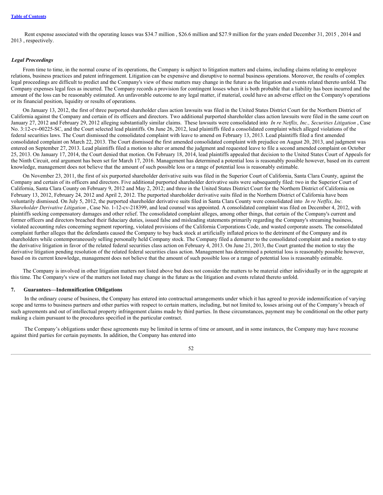Rent expense associated with the operating leases was \$34.7 million , \$26.6 million and \$27.9 million for the years ended December 31, 2015 , 2014 and 2013 , respectively.

### *Legal Proceedings*

From time to time, in the normal course of its operations, the Company is subject to litigation matters and claims, including claims relating to employee relations, business practices and patent infringement. Litigation can be expensive and disruptive to normal business operations. Moreover, the results of complex legal proceedings are difficult to predict and the Company's view of these matters may change in the future as the litigation and events related thereto unfold. The Company expenses legal fees as incurred. The Company records a provision for contingent losses when it is both probable that a liability has been incurred and the amount of the loss can be reasonably estimated. An unfavorable outcome to any legal matter, if material, could have an adverse effect on the Company's operations or its financial position, liquidity or results of operations.

On January 13, 2012, the first of three purported shareholder class action lawsuits was filed in the United States District Court for the Northern District of California against the Company and certain of its officers and directors. Two additional purported shareholder class action lawsuits were filed in the same court on January 27, 2012 and February 29, 2012 alleging substantially similar claims. These lawsuits were consolidated into *In re Netflix, Inc., Securities Litigation* , Case No. 3:12-cv-00225-SC, and the Court selected lead plaintiffs. On June 26, 2012, lead plaintiffs filed a consolidated complaint which alleged violations of the federal securities laws. The Court dismissed the consolidated complaint with leave to amend on February 13, 2013. Lead plaintiffs filed a first amended consolidated complaint on March 22, 2013. The Court dismissed the first amended consolidated complaint with prejudice on August 20, 2013, and judgment was entered on September 27, 2013. Lead plaintiffs filed a motion to alter or amend the judgment and requested leave to file a second amended complaint on October 25, 2013. On January 17, 2014, the Court denied that motion. On February 18, 2014, lead plaintiffs appealed that decision to the United States Court of Appeals for the Ninth Circuit, oral argument has been set for March 17, 2016. Management has determined a potential loss is reasonably possible however, based on its current knowledge, management does not believe that the amount of such possible loss or a range of potential loss is reasonably estimable.

On November 23, 2011, the first of six purported shareholder derivative suits was filed in the Superior Court of California, Santa Clara County, against the Company and certain of its officers and directors. Five additional purported shareholder derivative suits were subsequently filed: two in the Superior Court of California, Santa Clara County on February 9, 2012 and May 2, 2012; and three in the United States District Court for the Northern District of California on February 13, 2012, February 24, 2012 and April 2, 2012. The purported shareholder derivative suits filed in the Northern District of California have been voluntarily dismissed. On July 5, 2012, the purported shareholder derivative suits filed in Santa Clara County were consolidated into *In re Netflix, Inc. Shareholder Derivative Litigation* , Case No. 1-12-cv-218399, and lead counsel was appointed. A consolidated complaint was filed on December 4, 2012, with plaintiffs seeking compensatory damages and other relief. The consolidated complaint alleges, among other things, that certain of the Company's current and former officers and directors breached their fiduciary duties, issued false and misleading statements primarily regarding the Company's streaming business, violated accounting rules concerning segment reporting, violated provisions of the California Corporations Code, and wasted corporate assets. The consolidated complaint further alleges that the defendants caused the Company to buy back stock at artificially inflated prices to the detriment of the Company and its shareholders while contemporaneously selling personally held Company stock. The Company filed a demurrer to the consolidated complaint and a motion to stay the derivative litigation in favor of the related federal securities class action on February 4, 2013. On June 21, 2013, the Court granted the motion to stay the derivative litigation pending resolution of the related federal securities class action. Management has determined a potential loss is reasonably possible however, based on its current knowledge, management does not believe that the amount of such possible loss or a range of potential loss is reasonably estimable.

The Company is involved in other litigation matters not listed above but does not consider the matters to be material either individually or in the aggregate at this time. The Company's view of the matters not listed may change in the future as the litigation and events related thereto unfold.

#### **7. Guarantees—Indemnification Obligations**

In the ordinary course of business, the Company has entered into contractual arrangements under which it has agreed to provide indemnification of varying scope and terms to business partners and other parties with respect to certain matters, including, but not limited to, losses arising out of the Company's breach of such agreements and out of intellectual property infringement claims made by third parties. In these circumstances, payment may be conditional on the other party making a claim pursuant to the procedures specified in the particular contract.

The Company's obligations under these agreements may be limited in terms of time or amount, and in some instances, the Company may have recourse against third parties for certain payments. In addition, the Company has entered into

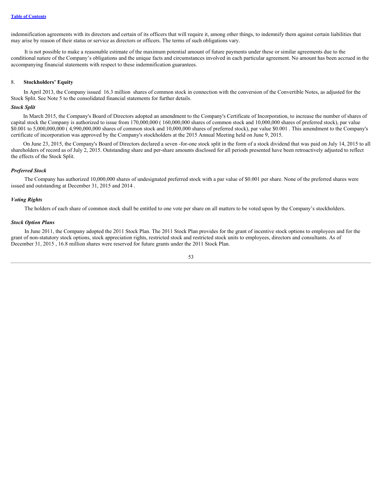indemnification agreements with its directors and certain of its officers that will require it, among other things, to indemnify them against certain liabilities that may arise by reason of their status or service as directors or officers. The terms of such obligations vary.

It is not possible to make a reasonable estimate of the maximum potential amount of future payments under these or similar agreements due to the conditional nature of the Company's obligations and the unique facts and circumstances involved in each particular agreement. No amount has been accrued in the accompanying financial statements with respect to these indemnification guarantees.

#### 8. **Stockholders' Equity**

In April 2013, the Company issued 16.3 million shares of common stock in connection with the conversion of the Convertible Notes, as adjusted for the Stock Split. See Note 5 to the consolidated financial statements for further details.

#### *Stock Split*

In March 2015, the Company's Board of Directors adopted an amendment to the Company's Certificate of Incorporation, to increase the number of shares of capital stock the Company is authorized to issue from 170,000,000 ( 160,000,000 shares of common stock and 10,000,000 shares of preferred stock), par value \$0.001 to 5,000,000,000 ( 4,990,000,000 shares of common stock and 10,000,000 shares of preferred stock), par value \$0.001 . This amendment to the Company's certificate of incorporation was approved by the Company's stockholders at the 2015 Annual Meeting held on June 9, 2015.

On June 23, 2015, the Company's Board of Directors declared a seven -for-one stock split in the form of a stock dividend that was paid on July 14, 2015 to all shareholders of record as of July 2, 2015. Outstanding share and per-share amounts disclosed for all periods presented have been retroactively adjusted to reflect the effects of the Stock Split.

#### *Preferred Stock*

The Company has authorized 10,000,000 shares of undesignated preferred stock with a par value of \$0.001 per share. None of the preferred shares were issued and outstanding at December 31, 2015 and 2014 .

### *Voting Rights*

The holders of each share of common stock shall be entitled to one vote per share on all matters to be voted upon by the Company's stockholders.

#### *Stock Option Plans*

In June 2011, the Company adopted the 2011 Stock Plan. The 2011 Stock Plan provides for the grant of incentive stock options to employees and for the grant of non-statutory stock options, stock appreciation rights, restricted stock and restricted stock units to employees, directors and consultants. As of December 31, 2015 , 16.8 million shares were reserved for future grants under the 2011 Stock Plan.

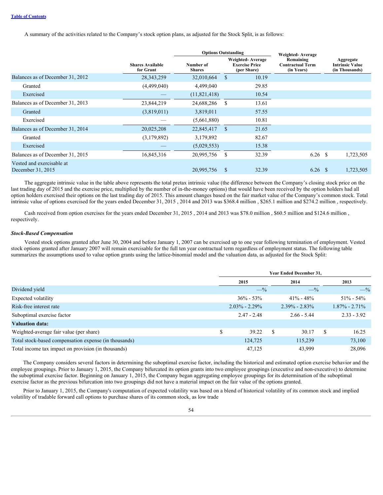A summary of the activities related to the Company's stock option plans, as adjusted for the Stock Split, is as follows:

|                                                |                                      |                            | <b>Options Outstanding</b> |                                                          | Weighted-Average                                   |                                                       |  |
|------------------------------------------------|--------------------------------------|----------------------------|----------------------------|----------------------------------------------------------|----------------------------------------------------|-------------------------------------------------------|--|
|                                                | <b>Shares Available</b><br>for Grant | Number of<br><b>Shares</b> |                            | Weighted-Average<br><b>Exercise Price</b><br>(per Share) | Remaining<br><b>Contractual Term</b><br>(in Years) | Aggregate<br><b>Intrinsic Value</b><br>(in Thousands) |  |
| Balances as of December 31, 2012               | 28, 343, 259                         | 32,010,664                 | Ъ                          | 10.19                                                    |                                                    |                                                       |  |
| Granted                                        | (4,499,040)                          | 4,499,040                  |                            | 29.85                                                    |                                                    |                                                       |  |
| Exercised                                      |                                      | (11,821,418)               |                            | 10.54                                                    |                                                    |                                                       |  |
| Balances as of December 31, 2013               | 23,844,219                           | 24,688,286                 | -S                         | 13.61                                                    |                                                    |                                                       |  |
| Granted                                        | (3,819,011)                          | 3,819,011                  |                            | 57.55                                                    |                                                    |                                                       |  |
| Exercised                                      |                                      | (5,661,880)                |                            | 10.81                                                    |                                                    |                                                       |  |
| Balances as of December 31, 2014               | 20,025,208                           | 22,845,417                 | Ъ                          | 21.65                                                    |                                                    |                                                       |  |
| Granted                                        | (3,179,892)                          | 3,179,892                  |                            | 82.67                                                    |                                                    |                                                       |  |
| Exercised                                      |                                      | (5,029,553)                |                            | 15.38                                                    |                                                    |                                                       |  |
| Balances as of December 31, 2015               | 16,845,316                           | 20,995,756                 | Ъ                          | 32.39                                                    | $6.26$ \$                                          | 1,723,505                                             |  |
| Vested and exercisable at<br>December 31, 2015 |                                      | 20,995,756                 | <sup>\$</sup>              | 32.39                                                    | 6.26 S                                             | 1,723,505                                             |  |
|                                                |                                      |                            |                            |                                                          |                                                    |                                                       |  |

The aggregate intrinsic value in the table above represents the total pretax intrinsic value (the difference between the Company's closing stock price on the last trading day of 2015 and the exercise price, multiplied by the number of in-the-money options) that would have been received by the option holders had all option holders exercised their options on the last trading day of 2015. This amount changes based on the fair market value of the Company's common stock. Total intrinsic value of options exercised for the years ended December 31, 2015 , 2014 and 2013 was \$368.4 million , \$265.1 million and \$274.2 million , respectively.

Cash received from option exercises for the years ended December 31, 2015 , 2014 and 2013 was \$78.0 million , \$60.5 million and \$124.6 million , respectively.

#### *Stock-Based Compensation*

Vested stock options granted after June 30, 2004 and before January 1, 2007 can be exercised up to one year following termination of employment. Vested stock options granted after January 2007 will remain exercisable for the full ten year contractual term regardless of employment status. The following table summarizes the assumptions used to value option grants using the lattice-binomial model and the valuation data, as adjusted for the Stock Split:

|                                                       | <b>Year Ended December 31,</b> |  |                   |                   |  |  |
|-------------------------------------------------------|--------------------------------|--|-------------------|-------------------|--|--|
|                                                       | 2015                           |  | 2014              | 2013              |  |  |
| Dividend yield                                        | $-$ %                          |  | $- \frac{0}{2}$   | $-$ %             |  |  |
| Expected volatility                                   | $36\% - 53\%$                  |  | $41\% - 48\%$     | $51\%$ - $54\%$   |  |  |
| Risk-free interest rate                               | $2.03\% - 2.29\%$              |  | $2.39\% - 2.83\%$ | $1.87\% - 2.71\%$ |  |  |
| Suboptimal exercise factor                            | $2.47 - 2.48$                  |  | $2.66 - 5.44$     | $2.33 - 3.92$     |  |  |
| <b>Valuation data:</b>                                |                                |  |                   |                   |  |  |
| Weighted-average fair value (per share)               | 39.22                          |  | 30.17             | 16.25             |  |  |
| Total stock-based compensation expense (in thousands) | 124,725                        |  | 115,239           | 73,100            |  |  |
| Total income tax impact on provision (in thousands)   | 47,125                         |  | 43,999            | 28,096            |  |  |

The Company considers several factors in determining the suboptimal exercise factor, including the historical and estimated option exercise behavior and the employee groupings. Prior to January 1, 2015, the Company bifurcated its option grants into two employee groupings (executive and non-executive) to determine the suboptimal exercise factor. Beginning on January 1, 2015, the Company began aggregating employee groupings for its determination of the suboptimal exercise factor as the previous bifurcation into two groupings did not have a material impact on the fair value of the options granted.

Prior to January 1, 2015, the Company's computation of expected volatility was based on a blend of historical volatility of its common stock and implied volatility of tradable forward call options to purchase shares of its common stock, as low trade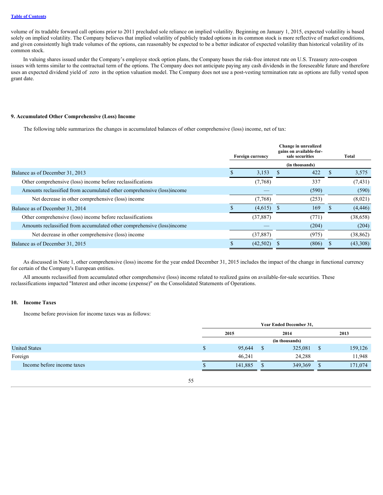volume of its tradable forward call options prior to 2011 precluded sole reliance on implied volatility. Beginning on January 1, 2015, expected volatility is based solely on implied volatility. The Company believes that implied volatility of publicly traded options in its common stock is more reflective of market conditions, and given consistently high trade volumes of the options, can reasonably be expected to be a better indicator of expected volatility than historical volatility of its common stock.

In valuing shares issued under the Company's employee stock option plans, the Company bases the risk-free interest rate on U.S. Treasury zero-coupon issues with terms similar to the contractual term of the options. The Company does not anticipate paying any cash dividends in the foreseeable future and therefore uses an expected dividend yield of zero in the option valuation model. The Company does not use a post-vesting termination rate as options are fully vested upon grant date.

# **9. Accumulated Other Comprehensive (Loss) Income**

The following table summarizes the changes in accumulated balances of other comprehensive (loss) income, net of tax:

|                                                            |                                                                        | <b>Foreign currency</b> |  | Change in unrealized<br>gains on available-for-<br>sale securities |  | Total     |
|------------------------------------------------------------|------------------------------------------------------------------------|-------------------------|--|--------------------------------------------------------------------|--|-----------|
|                                                            |                                                                        |                         |  | (in thousands)                                                     |  |           |
| Balance as of December 31, 2013                            |                                                                        | 3,153                   |  | 422                                                                |  | 3,575     |
| Other comprehensive (loss) income before reclassifications |                                                                        | (7,768)                 |  | 337                                                                |  | (7, 431)  |
|                                                            | Amounts reclassified from accumulated other comprehensive (loss)income |                         |  | (590)                                                              |  | (590)     |
| Net decrease in other comprehensive (loss) income          |                                                                        | (7,768)                 |  | (253)                                                              |  | (8,021)   |
| Balance as of December 31, 2014                            |                                                                        | $(4,615)$ \$            |  | 169                                                                |  | (4, 446)  |
| Other comprehensive (loss) income before reclassifications |                                                                        | (37, 887)               |  | (771)                                                              |  | (38,658)  |
|                                                            | Amounts reclassified from accumulated other comprehensive (loss)income |                         |  | (204)                                                              |  | (204)     |
| Net decrease in other comprehensive (loss) income          |                                                                        | (37, 887)               |  | (975)                                                              |  | (38, 862) |
| Balance as of December 31, 2015                            |                                                                        | (42,502)                |  | (806)                                                              |  | (43,308)  |
|                                                            |                                                                        |                         |  |                                                                    |  |           |

As discussed in Note 1, other comprehensive (loss) income for the year ended December 31, 2015 includes the impact of the change in functional currency for certain of the Company's European entities.

All amounts reclassified from accumulated other comprehensive (loss) income related to realized gains on available-for-sale securities. These reclassifications impacted "Interest and other income (expense)" on the Consolidated Statements of Operations.

## **10. Income Taxes**

Income before provision for income taxes was as follows:

|                            | <b>Year Ended December 31,</b> |  |                |          |         |  |  |  |  |
|----------------------------|--------------------------------|--|----------------|----------|---------|--|--|--|--|
|                            | 2015                           |  | 2014           |          | 2013    |  |  |  |  |
|                            |                                |  | (in thousands) |          |         |  |  |  |  |
| <b>United States</b>       | 95,644                         |  | 325,081        | $\sim$ S | 159,126 |  |  |  |  |
| Foreign                    | 46,241                         |  | 24,288         |          | 11,948  |  |  |  |  |
| Income before income taxes | 141,885                        |  | 349,369        |          | 171,074 |  |  |  |  |
|                            |                                |  |                |          |         |  |  |  |  |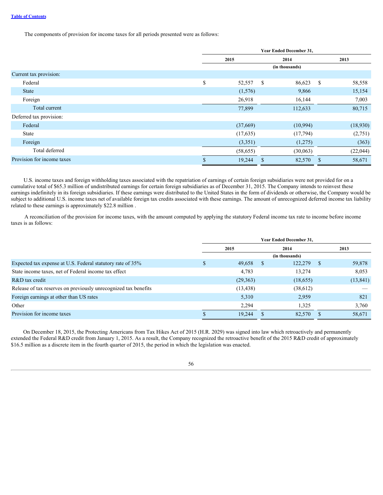The components of provision for income taxes for all periods presented were as follows:

|                            | <b>Year Ended December 31,</b> |  |           |  |           |  |  |  |  |
|----------------------------|--------------------------------|--|-----------|--|-----------|--|--|--|--|
|                            | 2015                           |  | 2014      |  | 2013      |  |  |  |  |
|                            | (in thousands)                 |  |           |  |           |  |  |  |  |
| Current tax provision:     |                                |  |           |  |           |  |  |  |  |
| Federal                    | \$<br>52,557 \$                |  | 86,623 \$ |  | 58,558    |  |  |  |  |
| State                      | (1,576)                        |  | 9,866     |  | 15,154    |  |  |  |  |
| Foreign                    | 26,918                         |  | 16,144    |  | 7,003     |  |  |  |  |
| Total current              | 77,899                         |  | 112,633   |  | 80,715    |  |  |  |  |
| Deferred tax provision:    |                                |  |           |  |           |  |  |  |  |
| Federal                    | (37,669)                       |  | (10, 994) |  | (18,930)  |  |  |  |  |
| State                      | (17, 635)                      |  | (17, 794) |  | (2,751)   |  |  |  |  |
| Foreign                    | (3,351)                        |  | (1,275)   |  | (363)     |  |  |  |  |
| Total deferred             | (58, 655)                      |  | (30,063)  |  | (22, 044) |  |  |  |  |
| Provision for income taxes | 19,244                         |  | 82,570 \$ |  | 58,671    |  |  |  |  |
|                            |                                |  |           |  |           |  |  |  |  |

U.S. income taxes and foreign withholding taxes associated with the repatriation of earnings of certain foreign subsidiaries were not provided for on a cumulative total of \$65.3 million of undistributed earnings for certain foreign subsidiaries as of December 31, 2015. The Company intends to reinvest these earnings indefinitely in its foreign subsidiaries. If these earnings were distributed to the United States in the form of dividends or otherwise, the Company would be subject to additional U.S. income taxes net of available foreign tax credits associated with these earnings. The amount of unrecognized deferred income tax liability related to these earnings is approximately \$22.8 million .

A reconciliation of the provision for income taxes, with the amount computed by applying the statutory Federal income tax rate to income before income taxes is as follows:

|                                                                 |      | Year Ended December 31, |                |           |  |  |  |
|-----------------------------------------------------------------|------|-------------------------|----------------|-----------|--|--|--|
|                                                                 | 2015 |                         | 2014           | 2013      |  |  |  |
|                                                                 |      |                         | (in thousands) |           |  |  |  |
| Expected tax expense at U.S. Federal statutory rate of 35%      |      | 49,658                  | 122,279        | 59,878    |  |  |  |
| State income taxes, net of Federal income tax effect            |      | 4,783                   | 13,274         | 8,053     |  |  |  |
| R&D tax credit                                                  |      | (29,363)                | (18, 655)      | (13, 841) |  |  |  |
| Release of tax reserves on previously unrecognized tax benefits |      | (13, 438)               | (38,612)       |           |  |  |  |
| Foreign earnings at other than US rates                         |      | 5,310                   | 2,959          | 821       |  |  |  |
| Other                                                           |      | 2,294                   | 1,325          | 3,760     |  |  |  |
| Provision for income taxes                                      |      | 19,244                  | 82,570         | 58,671    |  |  |  |
|                                                                 |      |                         |                |           |  |  |  |

On December 18, 2015, the Protecting Americans from Tax Hikes Act of 2015 (H.R. 2029) was signed into law which retroactively and permanently extended the Federal R&D credit from January 1, 2015. As a result, the Company recognized the retroactive benefit of the 2015 R&D credit of approximately \$16.5 million as a discrete item in the fourth quarter of 2015, the period in which the legislation was enacted.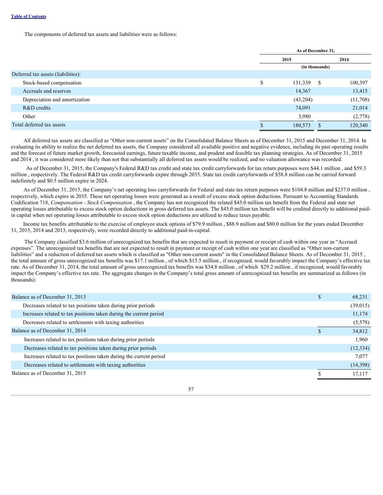The components of deferred tax assets and liabilities were as follows:

|                                    | As of December 31, |          |  |  |  |  |
|------------------------------------|--------------------|----------|--|--|--|--|
|                                    | 2015               | 2014     |  |  |  |  |
|                                    | (in thousands)     |          |  |  |  |  |
| Deferred tax assets (liabilities): |                    |          |  |  |  |  |
| Stock-based compensation           | $131,339$ \$       | 100,397  |  |  |  |  |
| Accruals and reserves              | 14,367             | 13,415   |  |  |  |  |
| Depreciation and amortization      | (43,204)           | (11,708) |  |  |  |  |
| R&D credits                        | 74,091             | 21,014   |  |  |  |  |
| Other                              | 3,980              | (2,778)  |  |  |  |  |
| Total deferred tax assets          | 180,573            | 120,340  |  |  |  |  |
|                                    |                    |          |  |  |  |  |

All deferred tax assets are classified as "Other non-current assets" on the Consolidated Balance Sheets as of December 31, 2015 and December 31, 2014. In evaluating its ability to realize the net deferred tax assets, the Company considered all available positive and negative evidence, including its past operating results and the forecast of future market growth, forecasted earnings, future taxable income, and prudent and feasible tax planning strategies. As of December 31, 2015 and 2014 , it was considered more likely than not that substantially all deferred tax assets would be realized, and no valuation allowance was recorded.

As of December 31, 2015, the Company's Federal R&D tax credit and state tax credit carryforwards for tax return purposes were \$44.1 million , and \$59.3 million , respectively. The Federal R&D tax credit carryforwards expire through 2035. State tax credit carryforwards of \$58.8 million can be carried forward indefinitely and \$0.5 million expire in 2024.

As of December 31, 2015, the Company's net operating loss carryforwards for Federal and state tax return purposes were \$104.8 million and \$237.0 million , respectively, which expire in 2035. These net operating losses were generated as a result of excess stock option deductions. Pursuant to Accounting Standards Codification 718, *Compensation - Stock Compensation* , the Company has not recognized the related \$45.0 million tax benefit from the Federal and state net operating losses attributable to excess stock option deductions in gross deferred tax assets. The \$45.0 million tax benefit will be credited directly to additional paidin capital when net operating losses attributable to excess stock option deductions are utilized to reduce taxes payable.

Income tax benefits attributable to the exercise of employee stock options of \$79.9 million , \$88.9 million and \$80.0 million for the years ended December 31, 2015, 2014 and 2013, respectively, were recorded directly to additional paid-in-capital.

The Company classified \$3.6 million of unrecognized tax benefits that are expected to result in payment or receipt of cash within one year as "Accrued expenses". The unrecognized tax benefits that are not expected to result in payment or receipt of cash within one year are classified as "Other non-current liabilities" and a reduction of deferred tax assets which is classified as "Other non-current assets" in the Consolidated Balance Sheets. As of December 31, 2015, the total amount of gross unrecognized tax benefits was \$17.1 million , of which \$13.5 million , if recognized, would favorably impact the Company's effective tax rate. As of December 31, 2014, the total amount of gross unrecognized tax benefits was \$34.8 million , of which \$29.2 million , if recognized, would favorably impact the Company's effective tax rate. The aggregate changes in the Company's total gross amount of unrecognized tax benefits are summarized as follows (in thousands):

| Balance as of December 31, 2013                                    | 68,231    |
|--------------------------------------------------------------------|-----------|
| Decreases related to tax positions taken during prior periods      | (39,015)  |
| Increases related to tax positions taken during the current period | 11,174    |
| Decreases related to settlements with taxing authorities           | (5,578)   |
| Balance as of December 31, 2014                                    | 34,812    |
| Increases related to tax positions taken during prior periods      | 1,960     |
| Decreases related to tax positions taken during prior periods      | (12, 334) |
| Increases related to tax positions taken during the current period | 7,077     |
| Decreases related to settlements with taxing authorities           | (14,398)  |
| Balance as of December 31, 2015                                    | 17,117    |
|                                                                    |           |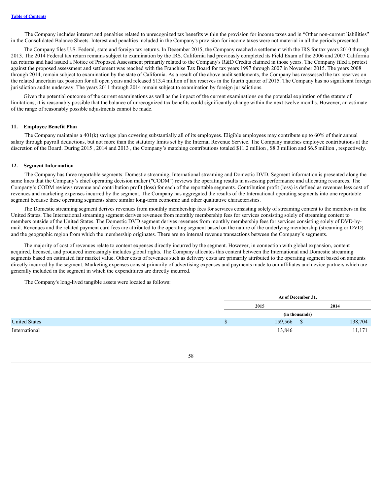The Company includes interest and penalties related to unrecognized tax benefits within the provision for income taxes and in "Other non-current liabilities" in the Consolidated Balance Sheets. Interest and penalties included in the Company's provision for income taxes were not material in all the periods presented.

The Company files U.S. Federal, state and foreign tax returns. In December 2015, the Company reached a settlement with the IRS for tax years 2010 through 2013. The 2014 Federal tax return remains subject to examination by the IRS. California had previously completed its Field Exam of the 2006 and 2007 California tax returns and had issued a Notice of Proposed Assessment primarily related to the Company's R&D Credits claimed in those years. The Company filed a protest against the proposed assessment and settlement was reached with the Franchise Tax Board for tax years 1997 through 2007 in November 2015. The years 2008 through 2014, remain subject to examination by the state of California. As a result of the above audit settlements, the Company has reassessed the tax reserves on the related uncertain tax position for all open years and released \$13.4 million of tax reserves in the fourth quarter of 2015. The Company has no significant foreign jurisdiction audits underway. The years 2011 through 2014 remain subject to examination by foreign jurisdictions.

Given the potential outcome of the current examinations as well as the impact of the current examinations on the potential expiration of the statute of limitations, it is reasonably possible that the balance of unrecognized tax benefits could significantly change within the next twelve months. However, an estimate of the range of reasonably possible adjustments cannot be made.

#### **11. Employee Benefit Plan**

The Company maintains a 401(k) savings plan covering substantially all of its employees. Eligible employees may contribute up to 60% of their annual salary through payroll deductions, but not more than the statutory limits set by the Internal Revenue Service. The Company matches employee contributions at the discretion of the Board. During 2015, 2014 and 2013, the Company's matching contributions totaled \$11.2 million, \$8.3 million and \$6.5 million, respectively.

#### **12. Segment Information**

The Company has three reportable segments: Domestic streaming, International streaming and Domestic DVD. Segment information is presented along the same lines that the Company's chief operating decision maker ("CODM") reviews the operating results in assessing performance and allocating resources. The Company's CODM reviews revenue and contribution profit (loss) for each of the reportable segments. Contribution profit (loss) is defined as revenues less cost of revenues and marketing expenses incurred by the segment. The Company has aggregated the results of the International operating segments into one reportable segment because these operating segments share similar long-term economic and other qualitative characteristics.

The Domestic streaming segment derives revenues from monthly membership fees for services consisting solely of streaming content to the members in the United States. The International streaming segment derives revenues from monthly membership fees for services consisting solely of streaming content to members outside of the United States. The Domestic DVD segment derives revenues from monthly membership fees for services consisting solely of DVD-bymail. Revenues and the related payment card fees are attributed to the operating segment based on the nature of the underlying membership (streaming or DVD) and the geographic region from which the membership originates. There are no internal revenue transactions between the Company's segments.

The majority of cost of revenues relate to content expenses directly incurred by the segment. However, in connection with global expansion, content acquired, licensed, and produced increasingly includes global rights. The Company allocates this content between the International and Domestic streaming segments based on estimated fair market value. Other costs of revenues such as delivery costs are primarily attributed to the operating segment based on amounts directly incurred by the segment. Marketing expenses consist primarily of advertising expenses and payments made to our affiliates and device partners which are generally included in the segment in which the expenditures are directly incurred.

The Company's long-lived tangible assets were located as follows:

|                      | As of December 31, |         |
|----------------------|--------------------|---------|
|                      | 2015               | 2014    |
|                      | (in thousands)     |         |
| <b>United States</b> | 159,566            | 138,704 |
| International        | 13,846             | 11,171  |
|                      |                    |         |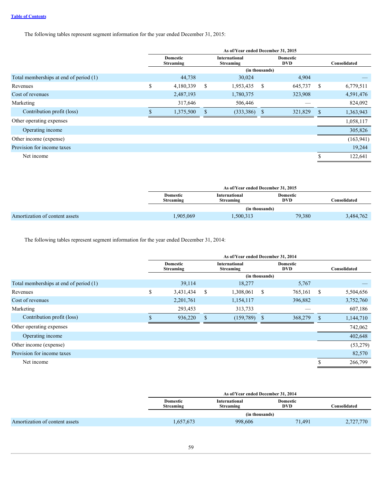The following tables represent segment information for the year ended December 31, 2015:

|                                        |                       | As of/Year ended December 31, 2015 |                |                                 |              |
|----------------------------------------|-----------------------|------------------------------------|----------------|---------------------------------|--------------|
|                                        | Domestic<br>Streaming | International<br>Streaming         |                | Domestic<br><b>DVD</b>          | Consolidated |
|                                        |                       |                                    | (in thousands) |                                 |              |
| Total memberships at end of period (1) | 44,738                | 30,024                             |                | 4,904                           |              |
| Revenues                               | 4,180,339 \$          | 1,953,435 \$                       |                | 645,737 \$                      | 6,779,511    |
| Cost of revenues                       | 2,487,193             | 1,780,375                          |                | 323,908                         | 4,591,476    |
| Marketing                              | 317,646               | 506,446                            |                | $\hspace{0.1mm}-\hspace{0.1mm}$ | 824,092      |
| Contribution profit (loss)             | 1,375,500 \$          | $(333,386)$ \$                     |                | 321,829                         | 1,363,943    |
| Other operating expenses               |                       |                                    |                |                                 | 1,058,117    |
| Operating income                       |                       |                                    |                |                                 | 305,826      |
| Other income (expense)                 |                       |                                    |                |                                 | (163, 941)   |
| Provision for income taxes             |                       |                                    |                |                                 | 19,244       |
| Net income                             |                       |                                    |                |                                 | 122,641      |
|                                        |                       |                                    |                |                                 |              |

|                                |                                     | As of/Year ended December 31, 2015 |                        |                     |
|--------------------------------|-------------------------------------|------------------------------------|------------------------|---------------------|
|                                | <b>Domestic</b><br><b>Streaming</b> | International<br><b>Streaming</b>  | Domestic<br><b>DVD</b> | <b>Consolidated</b> |
|                                |                                     | (in thousands)                     |                        |                     |
| Amortization of content assets | 1,905,069                           | 1,500,313                          | 79,380                 | 3,484,762           |

The following tables represent segment information for the year ended December 31, 2014:

|                                        |                       | As of/Year ended December 31, 2014 |                |                          |              |
|----------------------------------------|-----------------------|------------------------------------|----------------|--------------------------|--------------|
|                                        | Domestic<br>Streaming | International<br>Streaming         |                | Domestic<br><b>DVD</b>   | Consolidated |
|                                        |                       |                                    | (in thousands) |                          |              |
| Total memberships at end of period (1) | 39,114                | 18,277                             |                | 5,767                    |              |
| Revenues                               | $3,431,434$ \$        | 1,308,061 \$                       |                | $765,161$ \$             | 5,504,656    |
| Cost of revenues                       | 2,201,761             | 1,154,117                          |                | 396,882                  | 3,752,760    |
| Marketing                              | 293,453               | 313,733                            |                | $\overline{\phantom{m}}$ | 607,186      |
| Contribution profit (loss)             | 936,220               | $(159,789)$ \$                     |                | 368,279 \$               | 1,144,710    |
| Other operating expenses               |                       |                                    |                |                          | 742,062      |
| Operating income                       |                       |                                    |                |                          | 402,648      |
| Other income (expense)                 |                       |                                    |                |                          | (53,279)     |
| Provision for income taxes             |                       |                                    |                |                          | 82,570       |
| Net income                             |                       |                                    |                |                          | 266,799      |
|                                        |                       |                                    |                |                          |              |

|                                |                              |                                   | As of/Year ended December 31, 2014 |              |
|--------------------------------|------------------------------|-----------------------------------|------------------------------------|--------------|
|                                | Domestic<br><b>Streaming</b> | International<br><b>Streaming</b> | Domestic<br><b>DVD</b>             | Consolidated |
|                                |                              | (in thousands)                    |                                    |              |
| Amortization of content assets | 1,657,673                    | 998,606                           | 71,491                             | 2,727,770    |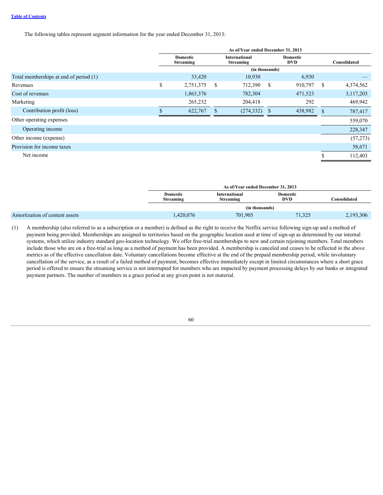The following tables represent segment information for the year ended December 31, 2013:

|                                        |                       | As of/Year ended December 31, 2013 |                               |                               |  |  |
|----------------------------------------|-----------------------|------------------------------------|-------------------------------|-------------------------------|--|--|
|                                        | Domestic<br>Streaming | International<br>Streaming         | <b>Domestic</b><br><b>DVD</b> | Consolidated                  |  |  |
|                                        |                       | (in thousands)                     |                               |                               |  |  |
| Total memberships at end of period (1) | 33,420                | 10,930                             | 6,930                         | $\overbrace{\phantom{aaaaa}}$ |  |  |
| Revenues                               | 2,751,375 \$          | 712,390 \$                         | 910,797 \$                    | 4,374,562                     |  |  |
| Cost of revenues                       | 1,863,376             | 782,304                            | 471,523                       | 3,117,203                     |  |  |
| Marketing                              | 265,232               | 204,418                            | 292                           | 469,942                       |  |  |
| Contribution profit (loss)             | 622,767               | $(274, 332)$ \$                    | 438,982                       | 787,417                       |  |  |
| Other operating expenses               |                       |                                    |                               | 559,070                       |  |  |
| Operating income                       |                       |                                    |                               | 228,347                       |  |  |
| Other income (expense)                 |                       |                                    |                               | (57, 273)                     |  |  |
| Provision for income taxes             |                       |                                    |                               | 58,671                        |  |  |
| Net income                             |                       |                                    |                               | 112,403                       |  |  |
|                                        |                       |                                    |                               |                               |  |  |

|                                |                       | As of/Year ended December 31, 2013 |                        |              |
|--------------------------------|-----------------------|------------------------------------|------------------------|--------------|
|                                | Domestic<br>Streaming | International<br><b>Streaming</b>  | Domestic<br><b>DVD</b> | Consolidated |
|                                |                       | (in thousands)                     |                        |              |
| Amortization of content assets | ,420,076              | 701,905                            | 71,325                 | 2,193,306    |

(1) A membership (also referred to as a subscription or a member) is defined as the right to receive the Netflix service following sign-up and a method of payment being provided. Memberships are assigned to territories based on the geographic location used at time of sign-up as determined by our internal systems, which utilize industry standard geo-location technology. We offer free-trial memberships to new and certain rejoining members. Total members include those who are on a free-trial as long as a method of payment has been provided. A membership is canceled and ceases to be reflected in the above metrics as of the effective cancellation date. Voluntary cancellations become effective at the end of the prepaid membership period, while involuntary cancellation of the service, as a result of a failed method of payment, becomes effective immediately except in limited circumstances where a short grace period is offered to ensure the streaming service is not interrupted for members who are impacted by payment processing delays by our banks or integrated payment partners. The number of members in a grace period at any given point is not material.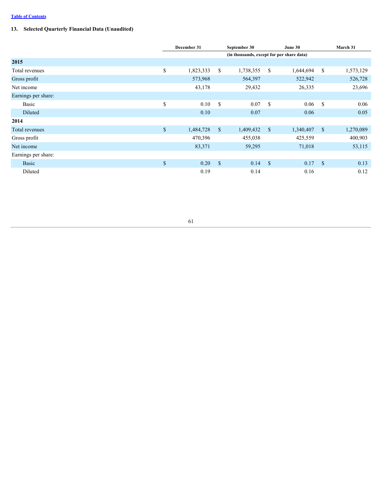# **Table of Contents**

# **13. Selected Quarterly Financial Data (Unaudited)**

|                     |               | December 31 | September 30  |                                           |              | June 30   | March 31     |           |
|---------------------|---------------|-------------|---------------|-------------------------------------------|--------------|-----------|--------------|-----------|
|                     |               |             |               | (in thousands, except for per share data) |              |           |              |           |
| 2015                |               |             |               |                                           |              |           |              |           |
| Total revenues      | \$            | 1,823,333   | <sup>\$</sup> | 1,738,355 \$                              |              | 1,644,694 | \$           | 1,573,129 |
| Gross profit        |               | 573,968     |               | 564,397                                   |              | 522,942   |              | 526,728   |
| Net income          |               | 43,178      |               | 29,432                                    |              | 26,335    |              | 23,696    |
| Earnings per share: |               |             |               |                                           |              |           |              |           |
| Basic               | <sup>\$</sup> | 0.10        | -S            | 0.07                                      | $\mathbf{s}$ | 0.06      | -S           | 0.06      |
| Diluted             |               | 0.10        |               | 0.07                                      |              | 0.06      |              | 0.05      |
| 2014                |               |             |               |                                           |              |           |              |           |
| Total revenues      | $\mathbb{S}$  | 1,484,728   | $\mathbb{S}$  | $1,409,432$ \$                            |              | 1,340,407 | $\mathbb{S}$ | 1,270,089 |
| Gross profit        |               | 470,396     |               | 455,038                                   |              | 425,559   |              | 400,903   |
| Net income          |               | 83,371      |               | 59,295                                    |              | 71,018    |              | 53,115    |
| Earnings per share: |               |             |               |                                           |              |           |              |           |
| Basic               | $\mathbb{S}$  | 0.20        | <sup>S</sup>  | $0.14$ \$                                 |              | $0.17$ \$ |              | 0.13      |
| Diluted             |               | 0.19        |               | 0.14                                      |              | 0.16      |              | 0.12      |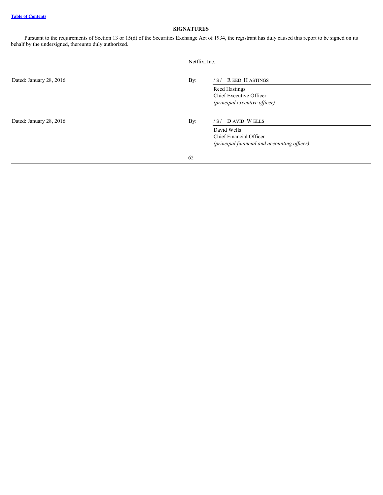# **SIGNATURES**

Pursuant to the requirements of Section 13 or 15(d) of the Securities Exchange Act of 1934, the registrant has duly caused this report to be signed on its behalf by the undersigned, thereunto duly authorized.

|                         | Netflix, Inc. |                                                                                  |
|-------------------------|---------------|----------------------------------------------------------------------------------|
| Dated: January 28, 2016 | By:           | <b>REED HASTINGS</b><br>$\sqrt{s}$                                               |
|                         |               | <b>Reed Hastings</b><br>Chief Executive Officer<br>(principal executive officer) |
| Dated: January 28, 2016 | By:           | D AVID W ELLS<br>$\sqrt{s}$<br>David Wells<br>Chief Financial Officer            |
|                         |               | (principal financial and accounting officer)                                     |
|                         | 62            |                                                                                  |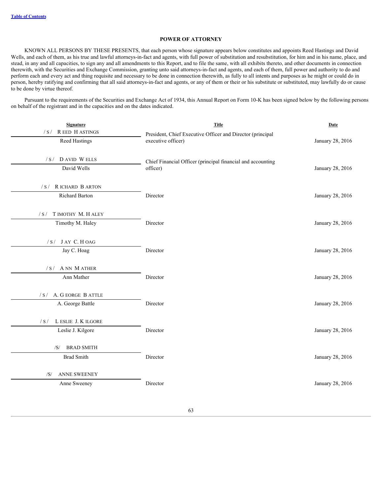## **POWER OF ATTORNEY**

KNOWN ALL PERSONS BY THESE PRESENTS, that each person whose signature appears below constitutes and appoints Reed Hastings and David Wells, and each of them, as his true and lawful attorneys-in-fact and agents, with full power of substitution and resubstitution, for him and in his name, place, and stead, in any and all capacities, to sign any and all amendments to this Report, and to file the same, with all exhibits thereto, and other documents in connection therewith, with the Securities and Exchange Commission, granting unto said attorneys-in-fact and agents, and each of them, full power and authority to do and perform each and every act and thing requisite and necessary to be done in connection therewith, as fully to all intents and purposes as he might or could do in person, hereby ratifying and confirming that all said attorneys-in-fact and agents, or any of them or their or his substitute or substituted, may lawfully do or cause to be done by virtue thereof.

Pursuant to the requirements of the Securities and Exchange Act of 1934, this Annual Report on Form 10-K has been signed below by the following persons on behalf of the registrant and in the capacities and on the dates indicated.

| <b>Signature</b>                                           | <b>Title</b>                                                                     | $\underline{\textbf{Date}}$ |
|------------------------------------------------------------|----------------------------------------------------------------------------------|-----------------------------|
| / S / $\;$ R $\;$ EED $\;$ H $\;$ ASTINGS<br>Reed Hastings | President, Chief Executive Officer and Director (principal<br>executive officer) | January 28, 2016            |
|                                                            |                                                                                  |                             |
| / $S$ / $D$ AVID W ELLS                                    | Chief Financial Officer (principal financial and accounting                      |                             |
| David Wells                                                | officer)                                                                         | January 28, 2016            |
| /S/ RICHARD B ARTON                                        |                                                                                  |                             |
| Richard Barton                                             | Director                                                                         | January 28, 2016            |
|                                                            |                                                                                  |                             |
| /S/ T IMOTHY M. H ALEY                                     |                                                                                  |                             |
| Timothy M. Haley                                           | Director                                                                         | January 28, 2016            |
|                                                            |                                                                                  |                             |
| /S/ JAY C. HOAG                                            |                                                                                  |                             |
| Jay C. Hoag                                                | Director                                                                         | January 28, 2016            |
| /S/ ANN MATHER                                             |                                                                                  |                             |
| Ann Mather                                                 | Director                                                                         | January 28, 2016            |
|                                                            |                                                                                  |                             |
| / S / A. G EORGE B ATTLE                                   |                                                                                  |                             |
| A. George Battle                                           | Director                                                                         | January 28, 2016            |
| L ESLIE J. K ILGORE<br>/ S /                               |                                                                                  |                             |
| Leslie J. Kilgore                                          | Director                                                                         | January 28, 2016            |
| <b>BRAD SMITH</b><br>/S/                                   |                                                                                  |                             |
| <b>Brad Smith</b>                                          | Director                                                                         | January 28, 2016            |
|                                                            |                                                                                  |                             |
| ANNE SWEENEY<br>/S/                                        |                                                                                  |                             |
| Anne Sweeney                                               | Director                                                                         | January 28, 2016            |
|                                                            |                                                                                  |                             |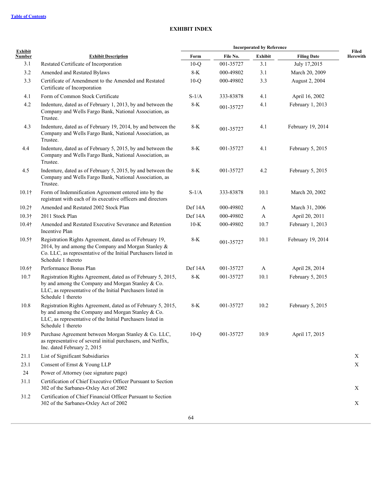# **EXHIBIT INDEX**

|                          |                                                                                                                                                                                                        |         |           | <b>Incorporated by Reference</b> |                    | Filed       |
|--------------------------|--------------------------------------------------------------------------------------------------------------------------------------------------------------------------------------------------------|---------|-----------|----------------------------------|--------------------|-------------|
| <b>Exhibit</b><br>Number | <b>Exhibit Description</b>                                                                                                                                                                             | Form    | File No.  | <b>Exhibit</b>                   | <b>Filing Date</b> | Herewith    |
| 3.1                      | Restated Certificate of Incorporation                                                                                                                                                                  | $10-Q$  | 001-35727 | 3.1                              | July 17,2015       |             |
| 3.2                      | Amended and Restated Bylaws                                                                                                                                                                            | $8-K$   | 000-49802 | 3.1                              | March 20, 2009     |             |
| 3.3                      | Certificate of Amendment to the Amended and Restated<br>Certificate of Incorporation                                                                                                                   | $10-Q$  | 000-49802 | 3.3                              | August 2, 2004     |             |
| 4.1                      | Form of Common Stock Certificate                                                                                                                                                                       | $S-1/A$ | 333-83878 | 4.1                              | April 16, 2002     |             |
| 4.2                      | Indenture, dated as of February 1, 2013, by and between the<br>Company and Wells Fargo Bank, National Association, as<br>Trustee.                                                                      | $8-K$   | 001-35727 | 4.1                              | February 1, 2013   |             |
| 4.3                      | Indenture, dated as of February 19, 2014, by and between the<br>Company and Wells Fargo Bank, National Association, as<br>Trustee.                                                                     | $8-K$   | 001-35727 | 4.1                              | February 19, 2014  |             |
| 4.4                      | Indenture, dated as of February 5, 2015, by and between the<br>Company and Wells Fargo Bank, National Association, as<br>Trustee.                                                                      | $8-K$   | 001-35727 | 4.1                              | February 5, 2015   |             |
| 4.5                      | Indenture, dated as of February 5, 2015, by and between the<br>Company and Wells Fargo Bank, National Association, as<br>Trustee.                                                                      | 8-K     | 001-35727 | 4.2                              | February 5, 2015   |             |
| $10.1$ †                 | Form of Indemnification Agreement entered into by the<br>registrant with each of its executive officers and directors                                                                                  | $S-1/A$ | 333-83878 | 10.1                             | March 20, 2002     |             |
| $10.2\dagger$            | Amended and Restated 2002 Stock Plan                                                                                                                                                                   | Def 14A | 000-49802 | A                                | March 31, 2006     |             |
| $10.3\dagger$            | 2011 Stock Plan                                                                                                                                                                                        | Def 14A | 000-49802 | A                                | April 20, 2011     |             |
| $10.4\dagger$            | Amended and Restated Executive Severance and Retention<br>Incentive Plan                                                                                                                               | $10-K$  | 000-49802 | 10.7                             | February 1, 2013   |             |
| $10.5\dagger$            | Registration Rights Agreement, dated as of February 19,<br>2014, by and among the Company and Morgan Stanley &<br>Co. LLC, as representative of the Initial Purchasers listed in<br>Schedule 1 thereto | $8-K$   | 001-35727 | 10.1                             | February 19, 2014  |             |
| $10.6\dagger$            | Performance Bonus Plan                                                                                                                                                                                 | Def 14A | 001-35727 | A                                | April 28, 2014     |             |
| 10.7                     | Registration Rights Agreement, dated as of February 5, 2015,<br>by and among the Company and Morgan Stanley & Co.<br>LLC, as representative of the Initial Purchasers listed in<br>Schedule 1 thereto  | $8-K$   | 001-35727 | 10.1                             | February 5, 2015   |             |
| 10.8                     | Registration Rights Agreement, dated as of February 5, 2015,<br>by and among the Company and Morgan Stanley & Co.<br>LLC, as representative of the Initial Purchasers listed in<br>Schedule 1 thereto  | 8-K     | 001-35727 | 10.2                             | February 5, 2015   |             |
| 10.9                     | Purchase Agreement between Morgan Stanley & Co. LLC,<br>as representative of several initial purchasers, and Netflix,<br>Inc. dated February 2, 2015                                                   | $10-Q$  | 001-35727 | 10.9                             | April 17, 2015     |             |
| 21.1                     | List of Significant Subsidiaries                                                                                                                                                                       |         |           |                                  |                    | X           |
| 23.1                     | Consent of Ernst & Young LLP                                                                                                                                                                           |         |           |                                  |                    | $\mathbf X$ |
| 24                       | Power of Attorney (see signature page)                                                                                                                                                                 |         |           |                                  |                    |             |
| 31.1                     | Certification of Chief Executive Officer Pursuant to Section<br>302 of the Sarbanes-Oxley Act of 2002                                                                                                  |         |           |                                  |                    | X           |
| 31.2                     | Certification of Chief Financial Officer Pursuant to Section<br>302 of the Sarbanes-Oxley Act of 2002                                                                                                  |         |           |                                  |                    | $\mathbf X$ |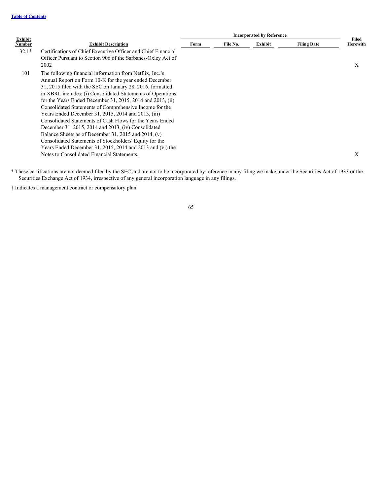| Exhibit       |                                                               |      | Filed    |         |                    |          |
|---------------|---------------------------------------------------------------|------|----------|---------|--------------------|----------|
| <b>Number</b> | <b>Exhibit Description</b>                                    | Form | File No. | Exhibit | <b>Filing Date</b> | Herewith |
| $32.1*$       | Certifications of Chief Executive Officer and Chief Financial |      |          |         |                    |          |
|               | Officer Pursuant to Section 906 of the Sarbanes-Oxley Act of  |      |          |         |                    |          |
|               | 2002                                                          |      |          |         |                    | X        |
| 101           | The following financial information from Netflix, Inc.'s      |      |          |         |                    |          |
|               | Annual Report on Form 10-K for the year ended December        |      |          |         |                    |          |
|               | 31, 2015 filed with the SEC on January 28, 2016, formatted    |      |          |         |                    |          |
|               | in XBRL includes: (i) Consolidated Statements of Operations   |      |          |         |                    |          |
|               | for the Years Ended December 31, 2015, 2014 and 2013, (ii)    |      |          |         |                    |          |
|               | Consolidated Statements of Comprehensive Income for the       |      |          |         |                    |          |
|               | Years Ended December 31, 2015, 2014 and 2013, (iii)           |      |          |         |                    |          |
|               | Consolidated Statements of Cash Flows for the Years Ended     |      |          |         |                    |          |
|               | December 31, 2015, 2014 and 2013, (iv) Consolidated           |      |          |         |                    |          |
|               | Balance Sheets as of December 31, 2015 and 2014, (v)          |      |          |         |                    |          |
|               | Consolidated Statements of Stockholders' Equity for the       |      |          |         |                    |          |
|               | Years Ended December 31, 2015, 2014 and 2013 and (vi) the     |      |          |         |                    |          |
|               | Notes to Consolidated Financial Statements.                   |      |          |         |                    | X        |
|               |                                                               |      |          |         |                    |          |

\* These certifications are not deemed filed by the SEC and are not to be incorporated by reference in any filing we make under the Securities Act of 1933 or the Securities Exchange Act of 1934, irrespective of any general incorporation language in any filings.

† Indicates a management contract or compensatory plan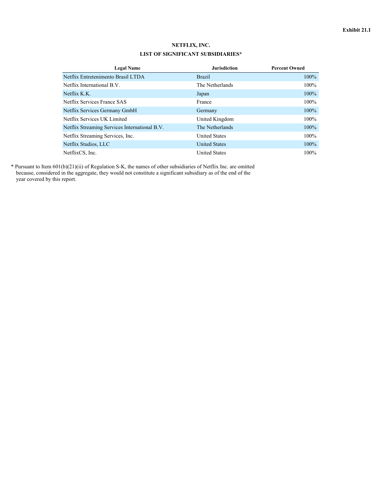# **NETFLIX, INC. LIST OF SIGNIFICANT SUBSIDIARIES\***

| <b>Legal Name</b>                             | <b>Jurisdiction</b>  | <b>Percent Owned</b> |
|-----------------------------------------------|----------------------|----------------------|
| Netflix Entretenimento Brasil LTDA            | <b>Brazil</b>        | 100%                 |
| Netflix International B.V.                    | The Netherlands      | 100%                 |
| Netflix K.K.                                  | Japan                | $100\%$              |
| Netflix Services France SAS                   | France               | $100\%$              |
| Netflix Services Germany GmbH                 | Germany              | 100%                 |
| Netflix Services UK Limited                   | United Kingdom       | 100%                 |
| Netflix Streaming Services International B.V. | The Netherlands      | 100%                 |
| Netflix Streaming Services, Inc.              | <b>United States</b> | 100%                 |
| Netflix Studios, LLC                          | <b>United States</b> | 100%                 |
| NetflixCS, Inc.                               | <b>United States</b> | 100%                 |

\* Pursuant to Item 601(b)(21)(ii) of Regulation S-K, the names of other subsidiaries of Netflix Inc. are omitted because, considered in the aggregate, they would not constitute a significant subsidiary as of the end of the year covered by this report.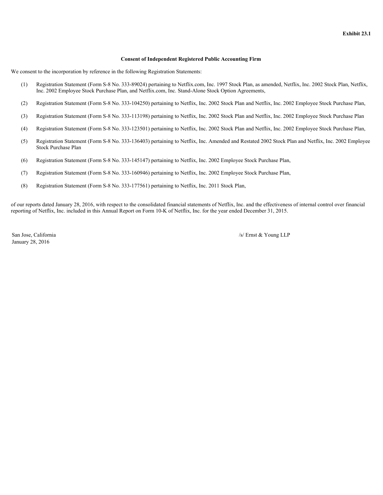### **Consent of Independent Registered Public Accounting Firm**

We consent to the incorporation by reference in the following Registration Statements:

- (1) Registration Statement (Form S-8 No. 333-89024) pertaining to Netflix.com, Inc. 1997 Stock Plan, as amended, Netflix, Inc. 2002 Stock Plan, Netflix, Inc. 2002 Employee Stock Purchase Plan, and Netflix.com, Inc. Stand-Alone Stock Option Agreements,
- (2) Registration Statement (Form S-8 No. 333-104250) pertaining to Netflix, Inc. 2002 Stock Plan and Netflix, Inc. 2002 Employee Stock Purchase Plan,
- (3) Registration Statement (Form S-8 No. 333-113198) pertaining to Netflix, Inc. 2002 Stock Plan and Netflix, Inc. 2002 Employee Stock Purchase Plan
- (4) Registration Statement (Form S-8 No. 333-123501) pertaining to Netflix, Inc. 2002 Stock Plan and Netflix, Inc. 2002 Employee Stock Purchase Plan,
- (5) Registration Statement (Form S-8 No. 333-136403) pertaining to Netflix, Inc. Amended and Restated 2002 Stock Plan and Netflix, Inc. 2002 Employee Stock Purchase Plan
- (6) Registration Statement (Form S-8 No. 333-145147) pertaining to Netflix, Inc. 2002 Employee Stock Purchase Plan,
- (7) Registration Statement (Form S-8 No. 333-160946) pertaining to Netflix, Inc. 2002 Employee Stock Purchase Plan,
- (8) Registration Statement (Form S-8 No. 333-177561) pertaining to Netflix, Inc. 2011 Stock Plan,

of our reports dated January 28, 2016, with respect to the consolidated financial statements of Netflix, Inc. and the effectiveness of internal control over financial reporting of Netflix, Inc. included in this Annual Report on Form 10-K of Netflix, Inc. for the year ended December 31, 2015.

San Jose, California January 28, 2016

/s/ Ernst & Young LLP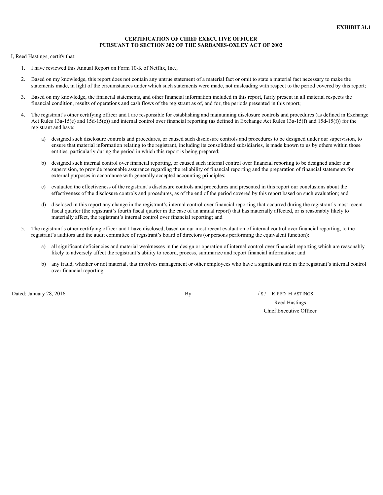# **CERTIFICATION OF CHIEF EXECUTIVE OFFICER PURSUANT TO SECTION 302 OF THE SARBANES-OXLEY ACT OF 2002**

I, Reed Hastings, certify that:

- 1. I have reviewed this Annual Report on Form 10-K of Netflix, Inc.;
- 2. Based on my knowledge, this report does not contain any untrue statement of a material fact or omit to state a material fact necessary to make the statements made, in light of the circumstances under which such statements were made, not misleading with respect to the period covered by this report;
- 3. Based on my knowledge, the financial statements, and other financial information included in this report, fairly present in all material respects the financial condition, results of operations and cash flows of the registrant as of, and for, the periods presented in this report;
- 4. The registrant's other certifying officer and I are responsible for establishing and maintaining disclosure controls and procedures (as defined in Exchange Act Rules 13a-15(e) and 15d-15(e)) and internal control over financial reporting (as defined in Exchange Act Rules 13a-15(f) and 15d-15(f)) for the registrant and have:
	- a) designed such disclosure controls and procedures, or caused such disclosure controls and procedures to be designed under our supervision, to ensure that material information relating to the registrant, including its consolidated subsidiaries, is made known to us by others within those entities, particularly during the period in which this report is being prepared;
	- b) designed such internal control over financial reporting, or caused such internal control over financial reporting to be designed under our supervision, to provide reasonable assurance regarding the reliability of financial reporting and the preparation of financial statements for external purposes in accordance with generally accepted accounting principles;
	- c) evaluated the effectiveness of the registrant's disclosure controls and procedures and presented in this report our conclusions about the effectiveness of the disclosure controls and procedures, as of the end of the period covered by this report based on such evaluation; and
	- d) disclosed in this report any change in the registrant's internal control over financial reporting that occurred during the registrant's most recent fiscal quarter (the registrant's fourth fiscal quarter in the case of an annual report) that has materially affected, or is reasonably likely to materially affect, the registrant's internal control over financial reporting; and
- 5. The registrant's other certifying officer and I have disclosed, based on our most recent evaluation of internal control over financial reporting, to the registrant's auditors and the audit committee of registrant's board of directors (or persons performing the equivalent function):
	- a) all significant deficiencies and material weaknesses in the design or operation of internal control over financial reporting which are reasonably likely to adversely affect the registrant's ability to record, process, summarize and report financial information; and
	- b) any fraud, whether or not material, that involves management or other employees who have a significant role in the registrant's internal control over financial reporting.

Dated: January 28, 2016 By: *By: Simulary 28, 2016* By: */ S/ R EED H ASTINGS* 

Reed Hastings Chief Executive Officer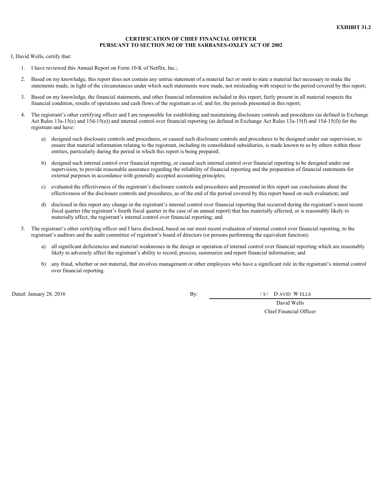# **CERTIFICATION OF CHIEF FINANCIAL OFFICER PURSUANT TO SECTION 302 OF THE SARBANES-OXLEY ACT OF 2002**

I, David Wells, certify that:

- 1. I have reviewed this Annual Report on Form 10-K of Netflix, Inc.;
- 2. Based on my knowledge, this report does not contain any untrue statement of a material fact or omit to state a material fact necessary to make the statements made, in light of the circumstances under which such statements were made, not misleading with respect to the period covered by this report;
- 3. Based on my knowledge, the financial statements, and other financial information included in this report, fairly present in all material respects the financial condition, results of operations and cash flows of the registrant as of, and for, the periods presented in this report;
- 4. The registrant's other certifying officer and I are responsible for establishing and maintaining disclosure controls and procedures (as defined in Exchange Act Rules 13a-15(e) and 15d-15(e)) and internal control over financial reporting (as defined in Exchange Act Rules 13a-15(f) and 15d-15(f)) for the registrant and have:
	- a) designed such disclosure controls and procedures, or caused such disclosure controls and procedures to be designed under our supervision, to ensure that material information relating to the registrant, including its consolidated subsidiaries, is made known to us by others within those entities, particularly during the period in which this report is being prepared;
	- b) designed such internal control over financial reporting, or caused such internal control over financial reporting to be designed under our supervision, to provide reasonable assurance regarding the reliability of financial reporting and the preparation of financial statements for external purposes in accordance with generally accepted accounting principles;
	- c) evaluated the effectiveness of the registrant's disclosure controls and procedures and presented in this report our conclusions about the effectiveness of the disclosure controls and procedures, as of the end of the period covered by this report based on such evaluation; and
	- d) disclosed in this report any change in the registrant's internal control over financial reporting that occurred during the registrant's most recent fiscal quarter (the registrant's fourth fiscal quarter in the case of an annual report) that has materially affected, or is reasonably likely to materially affect, the registrant's internal control over financial reporting; and
- 5. The registrant's other certifying officer and I have disclosed, based on our most recent evaluation of internal control over financial reporting, to the registrant's auditors and the audit committee of registrant's board of directors (or persons performing the equivalent function):
	- a) all significant deficiencies and material weaknesses in the design or operation of internal control over financial reporting which are reasonably likely to adversely affect the registrant's ability to record, process, summarize and report financial information; and
	- b) any fraud, whether or not material, that involves management or other employees who have a significant role in the registrant's internal control over financial reporting.

Dated: January 28, 2016 **By:** / S / D AVID W ELLS

David Wells Chief Financial Officer